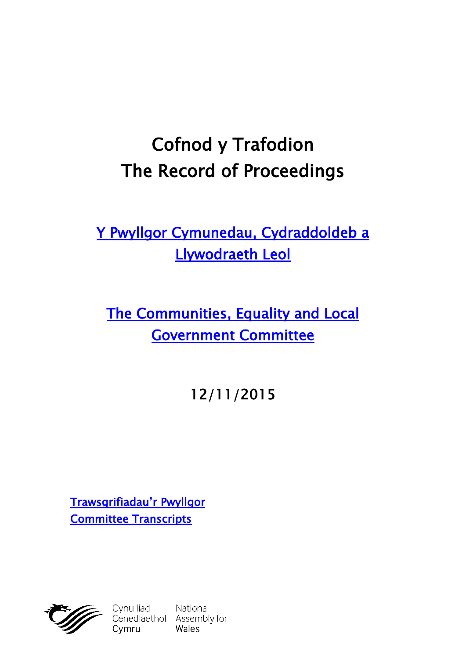# **Cofnod y Trafodion The Record of Proceedings**

**[Y Pwyllgor Cymunedau, Cydraddoldeb a](http://cynulliad.cymru/SeneddCCLLL)  [Llywodraeth Leol](http://cynulliad.cymru/SeneddCCLLL)**

**[The Communities, Equality and Local](http://assembly.wales/SeneddCELG)  [Government Committee](http://assembly.wales/SeneddCELG)**

**12/11/2015**

**[Trawsgrifiadau'r Pwyllgor](http://www.senedd.cynulliad.cymru/mgIssueHistoryHome.aspx?IId=1306) [Committee Transcripts](http://www.senedd.assembly.wales/mgIssueHistoryHome.aspx?IId=1306)**



Cynulliad National<br>Cenedlaethol Assembly for Cymru

**Wales**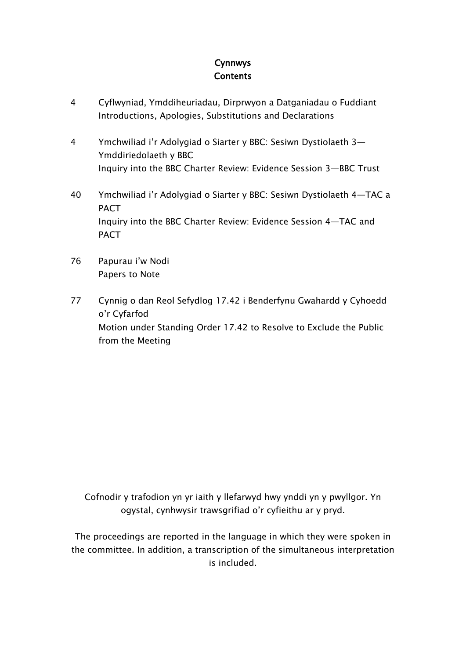# **Cynnwys Contents**

- [4](#page-3-0) C[yflwyniad](#page-3-0), [Ymddiheuriadau,](#page-3-0) Dirprwyon a Datganiadau o Fuddiant [Introductions,](#page-3-0) Apologies, Substitutions and Declarations
- [4](#page-3-1) [Ymchwiliad](#page-3-1) i'r Adolygiad o Siarter y BBC: Sesiwn Dystiolaeth 3— [Ymddiriedolaeth](#page-3-1) y BBC Inquiry into the BBC Charter Review: [Evidence](#page-3-1) Session 3—BBC Trust
- [40](#page-39-0) [Ymchwiliad](#page-39-0) i'r Adolygiad o Siarter y BBC: Sesiwn Dystiolaeth 4—TAC a [PACT](#page-39-0) Inquiry into the BBC Charter Review: [Evidence](#page-39-0) Session 4—TAC and [PACT](#page-39-0)
- [76](#page-75-0) [Papurau](#page-75-0) i'w Nodi [Papers](#page-75-0) to Note
- [77](#page-76-0) Cynnig o dan Reol Sefydlog 17.42 i [Benderfynu](#page-76-0) Gwahardd y Cyhoedd o'r [Cyfarfod](#page-76-0) Motion under [Standing](#page-76-0) Order 17.42 to Resolve to Exclude the Public from the [Meeting](#page-76-0)

Cofnodir y trafodion yn yr iaith y llefarwyd hwy ynddi yn y pwyllgor. Yn ogystal, cynhwysir trawsgrifiad o'r cyfieithu ar y pryd.

The proceedings are reported in the language in which they were spoken in the committee. In addition, a transcription of the simultaneous interpretation is included.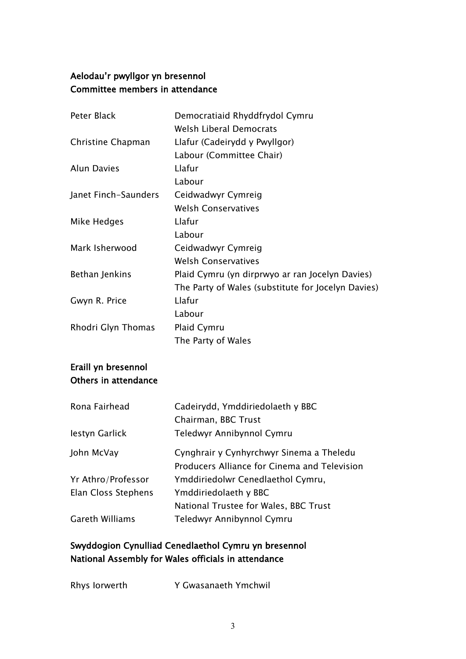# **Aelodau'r pwyllgor yn bresennol Committee members in attendance**

| Peter Black          | Democratiaid Rhyddfrydol Cymru                     |
|----------------------|----------------------------------------------------|
|                      | <b>Welsh Liberal Democrats</b>                     |
| Christine Chapman    | Llafur (Cadeirydd y Pwyllgor)                      |
|                      | Labour (Committee Chair)                           |
| <b>Alun Davies</b>   | Llafur                                             |
|                      | Labour                                             |
| Janet Finch-Saunders | Ceidwadwyr Cymreig                                 |
|                      | <b>Welsh Conservatives</b>                         |
| Mike Hedges          | Llafur                                             |
|                      | Labour                                             |
| Mark Isherwood       | Ceidwadwyr Cymreig                                 |
|                      | <b>Welsh Conservatives</b>                         |
| Bethan Jenkins       | Plaid Cymru (yn dirprwyo ar ran Jocelyn Davies)    |
|                      | The Party of Wales (substitute for Jocelyn Davies) |
| Gwyn R. Price        | Llafur                                             |
|                      | Labour                                             |
| Rhodri Glyn Thomas   | Plaid Cymru                                        |
|                      | The Party of Wales                                 |

# **Eraill yn bresennol Others in attendance**

| Cadeirydd, Ymddiriedolaeth y BBC             |
|----------------------------------------------|
| Chairman, BBC Trust                          |
| Teledwyr Annibynnol Cymru                    |
| Cynghrair y Cynhyrchwyr Sinema a Theledu     |
| Producers Alliance for Cinema and Television |
| Ymddiriedolwr Cenedlaethol Cymru,            |
| Ymddiriedolaeth y BBC                        |
| National Trustee for Wales, BBC Trust        |
| Teledwyr Annibynnol Cymru                    |
|                                              |

# **Swyddogion Cynulliad Cenedlaethol Cymru yn bresennol National Assembly for Wales officials in attendance**

| Rhys lorwerth | Y Gwasanaeth Ymchwil |
|---------------|----------------------|
|               |                      |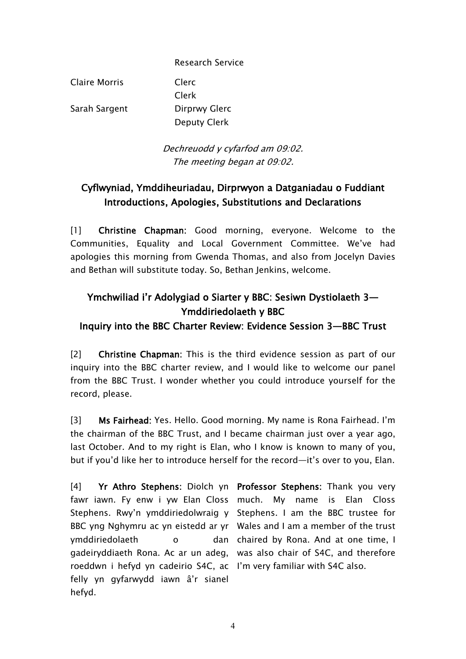Research Service

Claire Morris Clerc

Clerk Sarah Sargent Dirprwy Glerc Deputy Clerk

> *Dechreuodd y cyfarfod am 09:02. The meeting began at 09:02.*

# <span id="page-3-0"></span>**Cyflwyniad, Ymddiheuriadau, Dirprwyon a Datganiadau o Fuddiant Introductions, Apologies, Substitutions and Declarations**

[1] **Christine Chapman:** Good morning, everyone. Welcome to the Communities, Equality and Local Government Committee. We've had apologies this morning from Gwenda Thomas, and also from Jocelyn Davies and Bethan will substitute today. So, Bethan Jenkins, welcome.

# <span id="page-3-1"></span>**Ymchwiliad i'r Adolygiad o Siarter y BBC: Sesiwn Dystiolaeth 3— Ymddiriedolaeth y BBC**

## **Inquiry into the BBC Charter Review: Evidence Session 3—BBC Trust**

[2] **Christine Chapman:** This is the third evidence session as part of our inquiry into the BBC charter review, and I would like to welcome our panel from the BBC Trust. I wonder whether you could introduce yourself for the record, please.

[3] **Ms Fairhead:** Yes. Hello. Good morning. My name is Rona Fairhead. I'm the chairman of the BBC Trust, and I became chairman just over a year ago, last October. And to my right is Elan, who I know is known to many of you, but if you'd like her to introduce herself for the record—it's over to you, Elan.

[4] **Yr Athro Stephens:** Diolch yn **Professor Stephens:** Thank you very fawr iawn. Fy enw i yw Elan Closs much. My name is Elan Closs Stephens. Rwy'n ymddiriedolwraig y Stephens. I am the BBC trustee for BBC yng Nghymru ac yn eistedd ar yr Wales and I am a member of the trust ymddiriedolaeth o gadeiryddiaeth Rona. Ac ar un adeg, was also chair of S4C, and therefore roeddwn i hefyd yn cadeirio S4C, ac I'm very familiar with S4C also.felly yn gyfarwydd iawn â'r sianel hefyd.

dan chaired by Rona. And at one time, I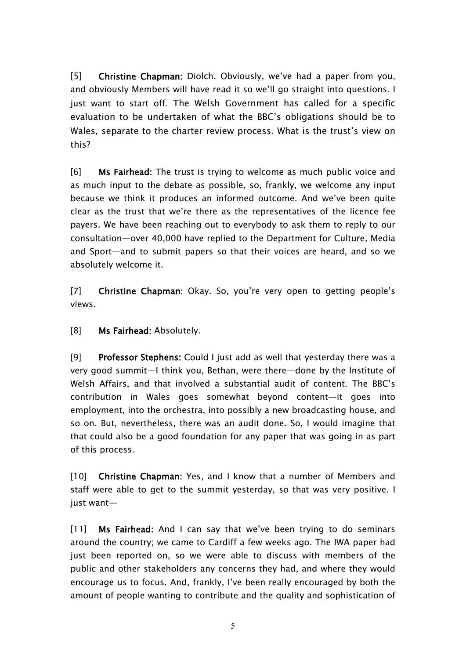[5] **Christine Chapman:** Diolch. Obviously, we've had a paper from you, and obviously Members will have read it so we'll go straight into questions. I just want to start off.The Welsh Government has called for a specific evaluation to be undertaken of what the BBC's obligations should be to Wales, separate to the charter review process. What is the trust's view on this?

[6] **Ms Fairhead:** The trust is trying to welcome as much public voice and as much input to the debate as possible, so, frankly, we welcome any input because we think it produces an informed outcome. And we've been quite clear as the trust that we're there as the representatives of the licence fee payers. We have been reaching out to everybody to ask them to reply to our consultation—over 40,000 have replied to the Department for Culture, Media and Sport—and to submit papers so that their voices are heard, and so we absolutely welcome it.

[7] **Christine Chapman:** Okay. So, you're very open to getting people's views.

[8] **Ms Fairhead:** Absolutely.

[9] **Professor Stephens:** Could I just add as well that yesterday there was a very good summit—I think you, Bethan, were there—done by the Institute of Welsh Affairs, and that involved a substantial audit of content. The BBC's contribution in Wales goes somewhat beyond content—it goes into employment, into the orchestra, into possibly a new broadcasting house, and so on. But, nevertheless, there was an audit done. So, I would imagine that that could also be a good foundation for any paper that was going in as part of this process.

[10] **Christine Chapman:** Yes, and I know that a number of Members and staff were able to get to the summit yesterday, so that was very positive. I just want—

[11] **Ms Fairhead:** And I can say that we've been trying to do seminars around the country; we came to Cardiff a few weeks ago. The IWA paper had just been reported on, so we were able to discuss with members of the public and other stakeholders any concerns they had, and where they would encourage us to focus. And, frankly, I've been really encouraged by both the amount of people wanting to contribute and the quality and sophistication of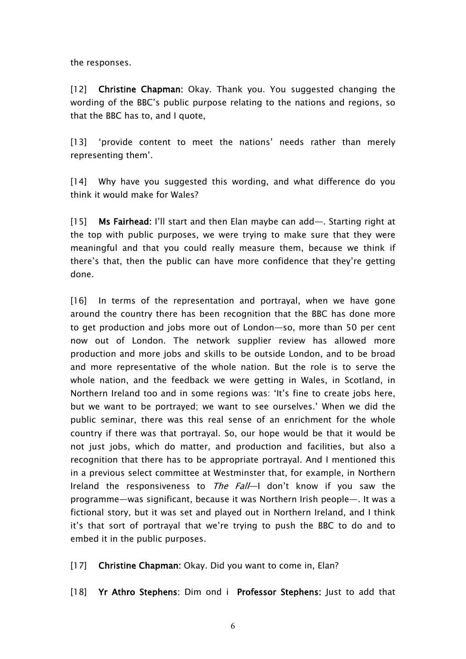the responses.

[12] **Christine Chapman:** Okay. Thank you. You suggested changing the wording of the BBC's public purpose relating to the nations and regions, so that the BBC has to, and I quote,

[13] 'provide content to meet the nations' needs rather than merely representing them'.

[14] Why have you suggested this wording, and what difference do you think it would make for Wales?

[15] **Ms Fairhead:** I'll start and then Elan maybe can add—. Starting right at the top with public purposes, we were trying to make sure that they were meaningful and that you could really measure them, because we think if there's that, then the public can have more confidence that they're getting done.

[16] In terms of the representation and portrayal, when we have gone around the country there has been recognition that the BBC has done more to get production and jobs more out of London—so, more than 50 per cent now out of London. The network supplier review has allowed more production and more jobs and skills to be outside London, and to be broad and more representative of the whole nation. But the role is to serve the whole nation, and the feedback we were getting in Wales, in Scotland, in Northern Ireland too and in some regions was: 'It's fine to create jobs here, but we want to be portrayed; we want to see ourselves.' When we did the public seminar, there was this real sense of an enrichment for the whole country if there was that portrayal. So, our hope would be that it would be not just jobs, which do matter, and production and facilities, but also a recognition that there has to be appropriate portrayal. And I mentioned this in a previous select committee at Westminster that, for example, in Northern Ireland the responsiveness to *The Fall*—I don't know if you saw the programme—was significant, because it was Northern Irish people—. It was a fictional story, but it was set and played out in Northern Ireland, and I think it's that sort of portrayal that we're trying to push the BBC to do and to embed it in the public purposes.

[17] **Christine Chapman:** Okay. Did you want to come in, Elan?

[18] **Yr Athro Stephens:** Dim ond i **Professor Stephens:** Just to add that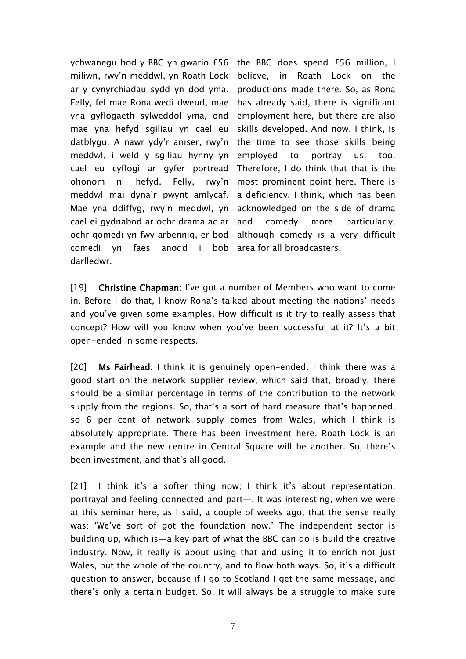ychwanegu bod y BBC yn gwario £56 the BBC does spend £56 million, I miliwn, rwy'n meddwl, yn Roath Lock ar y cynyrchiadau sydd yn dod yma. Felly, fel mae Rona wedi dweud, mae yna gyflogaeth sylweddol yma, ond mae yna hefyd sgiliau yn cael eu datblygu. A nawr ydy'r amser, rwy'n meddwl, i weld y sgiliau hynny yn cael eu cyflogi ar gyfer portread ohonom ni hefyd. Felly, rwy'n meddwl mai dyna'r pwynt amlycaf. Mae yna ddiffyg, rwy'n meddwl, yn cael ei gydnabod ar ochr drama ac ar ochr gomedi yn fwy arbennig, er bod comedi yn faes anodd i bob darlledwr.

believe, in Roath Lock on the productions made there. So, as Rona has already said, there is significant employment here, but there are also skills developed. And now, I think, is the time to see those skills being employed to portray us, too. Therefore, I do think that that is the most prominent point here. There is a deficiency, I think, which has been acknowledged on the side of drama and comedy more particularly, although comedy is a very difficult area for all broadcasters.

[19] **Christine Chapman:** I've got a number of Members who want to come in. Before I do that, I know Rona's talked about meeting the nations' needs and you've given some examples. How difficult is it try to really assess that concept? How will you know when you've been successful at it? It's a bit open-ended in some respects.

[20] **Ms Fairhead:** I think it is genuinely open-ended. I think there was a good start on the network supplier review, which said that, broadly, there should be a similar percentage in terms of the contribution to the network supply from the regions. So, that's a sort of hard measure that's happened, so 6 per cent of network supply comes from Wales, which I think is absolutely appropriate. There has been investment here. Roath Lock is an example and the new centre in Central Square will be another. So, there's been investment, and that's all good.

[21] I think it's a softer thing now; I think it's about representation, portrayal and feeling connected and part—. It was interesting, when we were at this seminar here, as I said, a couple of weeks ago, that the sense really was: 'We've sort of got the foundation now.' The independent sector is building up, which is—a key part of what the BBC can do is build the creative industry. Now, it really is about using that and using it to enrich not just Wales, but the whole of the country, and to flow both ways. So, it's a difficult question to answer, because if I go to Scotland I get the same message, and there's only a certain budget. So, it will always be a struggle to make sure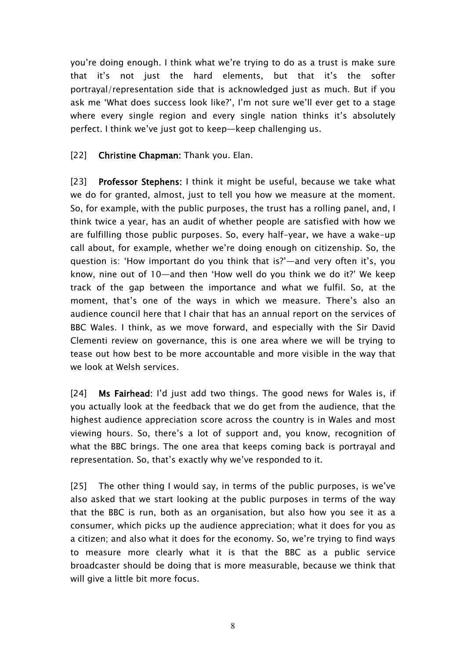you're doing enough. I think what we're trying to do as a trust is make sure that it's not just the hard elements, but that it's the softer portrayal/representation side that is acknowledged just as much. But if you ask me 'What does success look like?', I'm not sure we'll ever get to a stage where every single region and every single nation thinks it's absolutely perfect. I think we've just got to keep—keep challenging us.

[22] **Christine Chapman:** Thank you. Elan.

[23] **Professor Stephens:** I think it might be useful, because we take what we do for granted, almost, just to tell you how we measure at the moment. So, for example, with the public purposes, the trust has a rolling panel, and, I think twice a year, has an audit of whether people are satisfied with how we are fulfilling those public purposes. So, every half-year, we have a wake-up call about, for example, whether we're doing enough on citizenship. So, the question is: 'How important do you think that is?'—and very often it's, you know, nine out of 10—and then 'How well do you think we do it?' We keep track of the gap between the importance and what we fulfil. So, at the moment, that's one of the ways in which we measure. There's also an audience council here that I chair that has an annual report on the services of BBC Wales. I think, as we move forward, and especially with the Sir David Clementi review on governance, this is one area where we will be trying to tease out how best to be more accountable and more visible in the way that we look at Welsh services.

[24] **Ms Fairhead:** I'd just add two things. The good news for Wales is, if you actually look at the feedback that we do get from the audience, that the highest audience appreciation score across the country is in Wales and most viewing hours. So, there's a lot of support and, you know, recognition of what the BBC brings. The one area that keeps coming back is portrayal and representation. So, that's exactly why we've responded to it.

[25] The other thing I would say, in terms of the public purposes, is we've also asked that we start looking at the public purposes in terms of the way that the BBC is run, both as an organisation, but also how you see it as a consumer, which picks up the audience appreciation; what it does for you as a citizen; and also what it does for the economy. So, we're trying to find ways to measure more clearly what it is that the BBC as a public service broadcaster should be doing that is more measurable, because we think that will give a little bit more focus.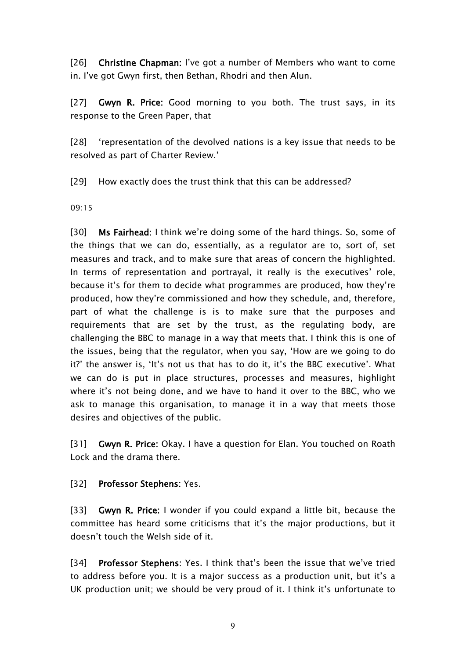[26] **Christine Chapman:** I've got a number of Members who want to come in. I've got Gwyn first, then Bethan, Rhodri and then Alun.

[27] **Gwyn R. Price:** Good morning to you both. The trust says, in its response to the Green Paper, that

[28] 'representation of the devolved nations is a key issue that needs to be resolved as part of Charter Review.'

[29] How exactly does the trust think that this can be addressed?

09:15

[30] **Ms Fairhead:** I think we're doing some of the hard things. So, some of the things that we can do, essentially, as a regulator are to, sort of, set measures and track, and to make sure that areas of concern the highlighted. In terms of representation and portrayal, it really is the executives' role, because it's for them to decide what programmes are produced, how they're produced, how they're commissioned and how they schedule, and, therefore, part of what the challenge is is to make sure that the purposes and requirements that are set by the trust, as the regulating body, are challenging the BBC to manage in a way that meets that. I think this is one of the issues, being that the regulator, when you say, 'How are we going to do it?' the answer is, 'It's not us that has to do it, it's the BBC executive'. What we can do is put in place structures, processes and measures, highlight where it's not being done, and we have to hand it over to the BBC, who we ask to manage this organisation, to manage it in a way that meets those desires and objectives of the public.

[31] **Gwyn R. Price:** Okay. I have a question for Elan. You touched on Roath Lock and the drama there.

## [32] **Professor Stephens:** Yes.

[33] **Gwyn R. Price:** I wonder if you could expand a little bit, because the committee has heard some criticisms that it's the major productions, but it doesn't touch the Welsh side of it.

[34] **Professor Stephens:** Yes. I think that's been the issue that we've tried to address before you. It is a major success as a production unit, but it's a UK production unit; we should be very proud of it. I think it's unfortunate to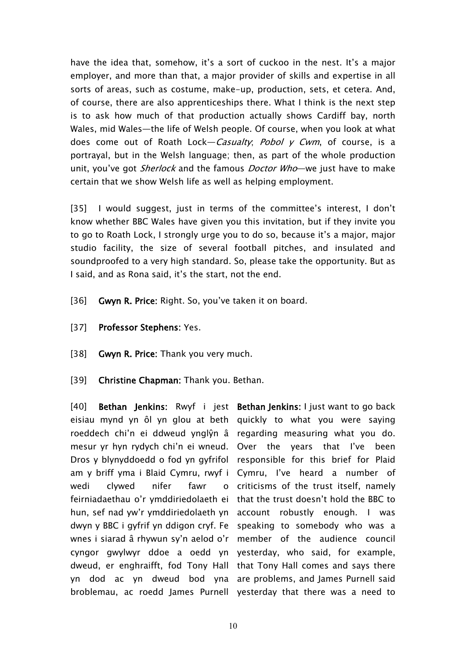have the idea that, somehow, it's a sort of cuckoo in the nest. It's a major employer, and more than that, a major provider of skills and expertise in all sorts of areas, such as costume, make-up, production, sets, et cetera. And, of course, there are also apprenticeships there. What I think is the next step is to ask how much of that production actually shows Cardiff bay, north Wales, mid Wales—the life of Welsh people. Of course, when you look at what does come out of Roath Lock—*Casualty*; *Pobol <sup>y</sup> Cwm*, of course, is a portrayal, but in the Welsh language; then, as part of the whole production unit, you've got *Sherlock* and the famous *Doctor Who*—we just have to make certain that we show Welsh life as well as helping employment.

[35] I would suggest, just in terms of the committee's interest, I don't know whether BBC Wales have given you this invitation, but if they invite you to go to Roath Lock, I strongly urge you to do so, because it's a major, major studio facility, the size of several football pitches, and insulated and soundproofed to a very high standard. So, please take the opportunity. But as I said, and as Rona said, it's the start, not the end.

- [36] **Gwyn R. Price:** Right. So, you've taken it on board.
- [37] **Professor Stephens:** Yes.
- [38] **Gwyn R. Price:** Thank you very much.
- [39] **Christine Chapman:** Thank you. Bethan.

[40] **Bethan Jenkins:** Rwyf i jest **Bethan Jenkins:** I just want to go back eisiau mynd yn ôl yn glou at beth quickly to what you were saying roeddech chi'n ei ddweud ynglŷn â regarding measuring what you do. mesur yr hyn rydych chi'n ei wneud. Over the years that I've been Dros y blynyddoedd o fod yn gyfrifol responsible for this brief for Plaid am y briff yma i Blaid Cymru, rwyf i Cymru, I've heard a number of wedi clywed nifer fawr feirniadaethau o'r ymddiriedolaeth ei that the trust doesn't hold the BBC to hun, sef nad yw'r ymddiriedolaeth yn account robustly enough. I was dwyn y BBC i gyfrif yn ddigon cryf. Fe speaking to somebody who was a wnes i siarad â rhywun sy'n aelod o'r member of the audience council cyngor gwylwyr ddoe a oedd yn yesterday, who said, for example, dweud, er enghraifft, fod Tony Hall that Tony Hall comes and says there yn dod ac yn dweud bod yna are problems, and James Purnell said broblemau, ac roedd James Purnell yesterday that there was a need to

o criticisms of the trust itself, namely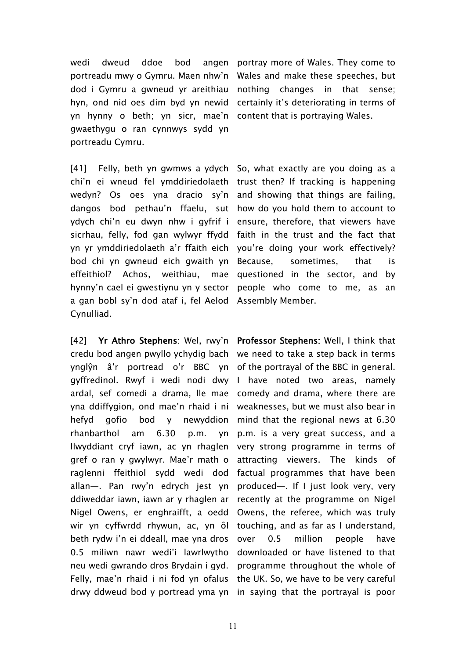wedi dweud ddoe bod portreadu mwy o Gymru. Maen nhw'n Wales and make these speeches, but dod i Gymru a gwneud yr areithiau nothing changes in that sense; hyn, ond nid oes dim byd yn newid certainly it's deteriorating in terms of yn hynny o beth; yn sicr, mae'n content-that-is-portraying-Wales. gwaethygu o ran cynnwys sydd yn portreadu Cymru.

[41] Felly, beth yn gwmws a ydych So, what exactly are you doing as a chi'n ei wneud fel ymddiriedolaeth trust then? If tracking is happening wedyn? Os oes yna dracio sy'n and showing that things are failing, dangos bod pethau'n ffaelu, sut how do you hold them to account to ydych chi'n eu dwyn nhw i gyfrif i ensure, therefore, that viewers have sicrhau, felly, fod gan wylwyr ffydd faith in the trust and the fact that yn yr ymddiriedolaeth a'r ffaith eich you're doing your work effectively? bod chi yn gwneud eich gwaith yn effeithiol? Achos, weithiau, hynny'n cael ei gwestiynu yn y sector people who come to me, as an a gan bobl sy'n dod ataf i, fel Aelod Assembly Member. Cynulliad.

[42] **Yr Athro Stephens:** Wel, rwy'n **Professor Stephens:** Well, I think that credu bod angen pwyllo ychydig bach we need to take a step back in terms ynglŷn â'r portread o'r BBC yn of the portrayal of the BBC in general. gyffredinol. Rwyf i wedi nodi dwy I have noted two areas, namely ardal, sef comedi a drama, lle mae comedy and drama, where there are yna ddiffygion, ond mae'n rhaid i ni weaknesses, but we must also bear in hefyd gofio bod y newyddion mind that the regional news at 6.30  $r$ hanbarthol am  $6.30$  p.m. llwyddiant cryf iawn, ac yn rhaglen gref o ran y gwylwyr. Mae'r math o raglenni ffeithiol sydd wedi dod factual programmes that have been allan—. Pan rwy'n edrych jest yn produced—. If I just look very, very ddiweddar iawn, iawn ar y rhaglen ar Nigel Owens, er enghraifft, a oedd Owens, the referee, which was truly wir yn cyffwrdd rhywun, ac, yn ôl touching, and as far as I understand, beth rydw i'n ei ddeall, mae yna dros 0.5 miliwn nawr wedi'i lawrlwytho neu wedi gwrando dros Brydain i gyd. programme throughout the whole of Felly, mae'n rhaid i ni fod yn ofalus the UK. So, we have to be very careful drwy ddweud bod y portread yma yn in saying that the portrayal is poor

angen portray more of Wales. They come to

sometimes, that is mae questioned in the sector, and by

p.m. is a very great success, and a very strong programme in terms of attracting viewers. The kinds of recently at the programme on Nigel over 0.5 million people have downloaded or have listened to that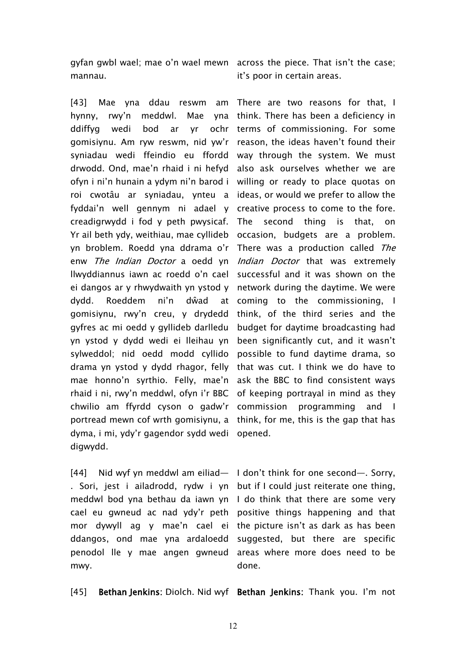gyfan gwbl wael; mae o'n wael mewn across the piece. That isn't the case; mannau.

[43] Mae yna ddau reswm am There are two reasons for that, I hynny, rwy'n meddwl. Mae ddiffyg wedi bod ar yr gomisiynu. Am ryw reswm, nid yw'r reason, the ideas haven't found their syniadau wedi ffeindio eu ffordd way through the system. We must drwodd. Ond, mae'n rhaid i ni hefyd also ask ourselves whether we are ofyn i ni'n hunain a ydym ni'n barod i roi cwotâu ar syniadau, ynteu a fyddai'n well gennym ni adael y creadigrwydd i fod y peth pwysicaf. Yr ail beth ydy, weithiau, mae cyllideb yn broblem. Roedd yna ddrama o'r enw *The Indian Doctor* a oedd yn *Indian Doctor* that was extremely llwyddiannus iawn ac roedd o'n cael successful and it was shown on the ei dangos ar y rhwydwaith yn ystod y dydd. Roeddem ni'n dŵad at gomisiynu, rwy'n creu, y drydedd gyfres ac mi oedd y gyllideb darlledu yn ystod y dydd wedi ei lleihau yn been significantly cut, and it wasn't sylweddol; nid oedd modd cyllido possible to fund daytime drama, so drama yn ystod y dydd rhagor, felly that was cut. I think we do have to mae honno'n syrthio. Felly, mae'n ask the BBC to find consistent ways rhaid i ni, rwy'n meddwl, ofyn i'r BBC of keeping portrayal in mind as they chwilio am ffyrdd cyson o gadw'r commission programming and I portread mewn cof wrth gomisiynu, a think, for me, this is the gap that has dyma, i mi, ydy'r gagendor sydd wedi opened. digwydd.

[44] Nid wyf yn meddwl am eiliad— I don't think for one second—. Sorry, . Sori, jest i ailadrodd, rydw i yn but if I could just reiterate one thing, meddwl bod yna bethau da iawn yn I do think that there are some very cael eu gwneud ac nad ydy'r peth positive things happening and that mor dywyll ag y mae'n cael ei the picture isn't as dark as has been ddangos, ond mae yna ardaloedd suggested, but there are specific penodol lle y mae angen gwneud areas where more does need to be mwy.

it's poor in certain areas.

yna think. There has been a deficiency in ochr terms of commissioning. For some willing or ready to place quotas on ideas, or would we prefer to allow the creative process to come to the fore. The second thing is that, on occasion, budgets are a problem. There was a production called *The* network during the daytime. We were coming to the commissioning, I think, of the third series and the budget for daytime broadcasting had

done.

[45] **Bethan Jenkins:** Diolch. Nid wyf **Bethan Jenkins:** Thank you. I'm not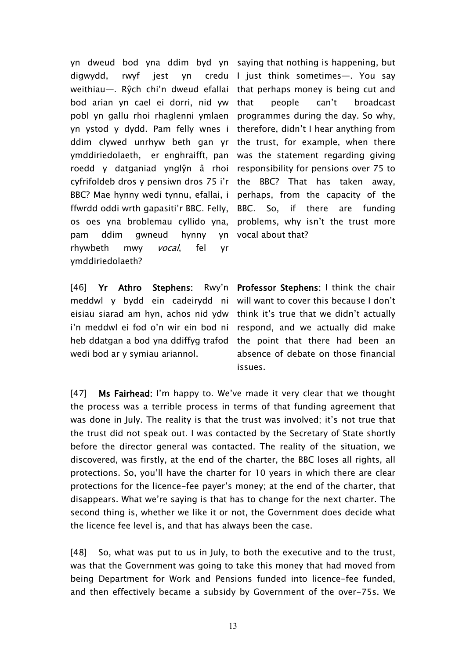yn dweud bod yna ddim byd yn saying that nothing is happening, but digwydd, rwyf jest yn weithiau—. Rŷch chi'n dweud efallai that perhaps money is being cut and bod arian yn cael ei dorri, nid yw pobl yn gallu rhoi rhaglenni ymlaen programmes during the day. So why, yn ystod y dydd. Pam felly wnes i therefore, didn't I hear anything from ddim clywed unrhyw beth gan yr the trust, for example, when there ymddiriedolaeth, er enghraifft, pan was the statement regarding giving roedd y datganiad ynglŷn â rhoi responsibility for pensions over 75 to cyfrifoldeb dros y pensiwn dros 75 i'r the BBC? That has taken away, BBC? Mae hynny wedi tynnu, efallai, i perhaps, from the capacity of the ffwrdd oddi wrth gapasiti'r BBC. Felly, os oes yna broblemau cyllido yna, problems, why isn't the trust more pam ddim gwneud hynny yn rhywbeth mwy *vocal*, fel yr ymddiriedolaeth?

[46] **Yr Athro Stephens:** Rwy'n **Professor Stephens:** I think the chair meddwl y bydd ein cadeirydd ni will want to cover this because I don't eisiau siarad am hyn, achos nid ydw think it's true that we didn't actually i'n meddwl ei fod o'n wir ein bod ni respond, and we actually did make heb ddatgan a bod yna ddiffyg trafod the point that there had been an wedi bod ar y symiau ariannol.

credu I just think sometimes—. You say people can't broadcast So, if there are funding vocal about that?

> absence of debate on those financial issues.

[47] **Ms Fairhead:** I'm happy to.We've made it very clear that we thought the process was a terrible process in terms of that funding agreement that was done in July. The reality is that the trust was involved; it's not true that the trust did not speak out. I was contacted by the Secretary of State shortly before the director general was contacted. The reality of the situation, we discovered, was firstly, at the end of the charter, the BBC loses all rights, all protections. So, you'll have the charter for 10 years in which there are clear protections for the licence-fee payer's money; at the end of the charter, that disappears. What we're saying is that has to change for the next charter. The second thing is, whether we like it or not, the Government does decide what the licence fee level is, and that has always been the case.

[48] So, what was put to us in July, to both the executive and to the trust, was that the Government was going to take this money that had moved from being Department for Work and Pensions funded into licence-fee funded, and then effectively became a subsidy by Government of the over-75s. We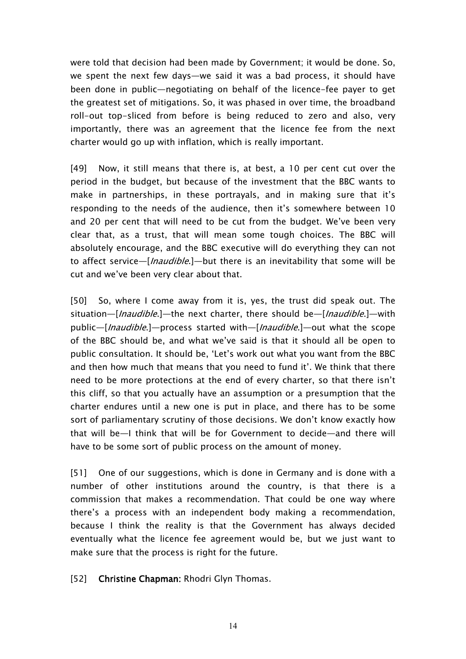were told that decision had been made by Government; it would be done. So, we spent the next few days—we said it was a bad process, it should have been done in public—negotiating on behalf of the licence-fee payer to get the greatest set of mitigations. So, it was phased in over time, the broadband roll-out top-sliced from before is being reduced to zero and also, very importantly, there was an agreement that the licence fee from the next charter would go up with inflation, which is really important.

[49] Now, it still means that there is, at best, a 10 per cent cut over the period in the budget, but because of the investment that the BBC wants to make in partnerships, in these portrayals, and in making sure that it's responding to the needs of the audience, then it's somewhere between 10 and 20 per cent that will need to be cut from the budget. We've been very clear that, as a trust, that will mean some tough choices. The BBC will absolutely encourage, and the BBC executive will do everything they can not to affect service—[*Inaudible*.]—but there is an inevitability that some will be cut and we've been very clear about that.

[50] So, where I come away from it is, yes, the trust did speak out. The situation—[*Inaudible*.]—the next charter, there should be—[*Inaudible*.]—with public—[*Inaudible*.]—process started with—[*Inaudible*.]—out what the scope of the BBC should be, and what we've said is that it should all be open to public consultation. It should be, 'Let's work out what you want from the BBC and then how much that means that you need to fund it'. We think that there need to be more protections at the end of every charter, so that there isn't this cliff, so that you actually have an assumption or a presumption that the charter endures until a new one is put in place, and there has to be some sort of parliamentary scrutiny of those decisions. We don't know exactly how that will be—I think that will be for Government to decide—and there will have to be some sort of public process on the amount of money.

[51] One of our suggestions, which is done in Germany and is done with a number of other institutions around the country, is that there is a commission that makes a recommendation. That could be one way where there's a process with an independent body making a recommendation, because I think the reality is that the Government has always decided eventually what the licence fee agreement would be, but we just want to make sure that the process is right for the future.

[52] **Christine Chapman:** Rhodri Glyn Thomas.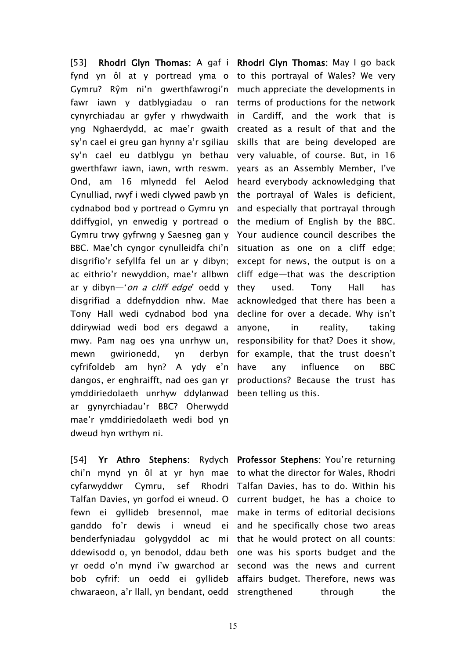[53] **Rhodri Glyn Thomas:** A gaf i **Rhodri Glyn Thomas:** May I go back fynd yn ôl at y portread yma o to this portrayal of Wales? We very Gymru? Rŷm ni'n gwerthfawrogi'n fawr iawn y datblygiadau o ran cynyrchiadau ar gyfer y rhwydwaith yng Nghaerdydd, ac mae'r gwaith sy'n cael ei greu gan hynny a'r sgiliau sy'n cael eu datblygu yn bethau gwerthfawr iawn, iawn, wrth reswm. Ond, am 16 mlynedd fel Aelod Cynulliad, rwyf i wedi clywed pawb yn cydnabod bod y portread o Gymru yn ddiffygiol, yn enwedig y portread o Gymru trwy gyfrwng y Saesneg gan y BBC. Mae'ch cyngor cynulleidfa chi'n situation as one on a cliff edge; disgrifio'r sefyllfa fel un ar y dibyn; ac eithrio'r newyddion, mae'r allbwn ar y dibyn—'*on <sup>a</sup> cliff edge*' oedd y disgrifiad a ddefnyddion nhw. Mae Tony Hall wedi cydnabod bod yna ddirywiad wedi bod ers degawd a mwy. Pam nag oes yna unrhyw un, mewn gwirionedd, yn derbyn cyfrifoldeb am hyn? A ydy e'n dangos, er enghraifft, nad oes gan yr productions? Because the trust has ymddiriedolaeth unrhyw ddylanwad been telling us this. ar gynyrchiadau'r BBC? Oherwydd mae'r ymddiriedolaeth wedi bod yn dweud hyn wrthym ni.

chi'n mynd yn ôl at yr hyn mae to what the director for Wales, Rhodri cyfarwyddwr Cymru, sef Rhodri Talfan Davies, has to do. Within his Talfan Davies, yn gorfod ei wneud. O current budget, he has a choice to fewn ei gyllideb bresennol, mae make in terms of editorial decisions ganddo fo'r dewis i wneud ei and-he-specifically-chose-two-areas benderfyniadau golygyddol ac mi that he would protect on all counts: ddewisodd o, yn benodol, ddau beth one was his sports budget and the yr oedd o'n mynd i'w gwarchod ar second was the news and current bob cyfrif: un oedd ei gyllideb affairs budget. Therefore, news was

much appreciate the developments in terms of productions for the network in Cardiff, and the work that is created as a result of that and the skills that are being developed are very valuable, of course. But, in 16 years as an Assembly Member, I've heard everybody acknowledging that the portrayal of Wales is deficient, and especially that portrayal through the medium of English by the BBC. Your audience council describes the except for news, the output is on a cliff edge—that was the description they used. Tony Hall has acknowledged that there has been a decline for over a decade. Why isn't anyone, in reality, taking responsibility for that? Does it show, for example, that the trust doesn't have any influence on BBC

[54] **Yr Athro Stephens:** Rydych **Professor Stephens:** You're returning chwaraeon, a'r llall, yn bendant, oedd strengthened through the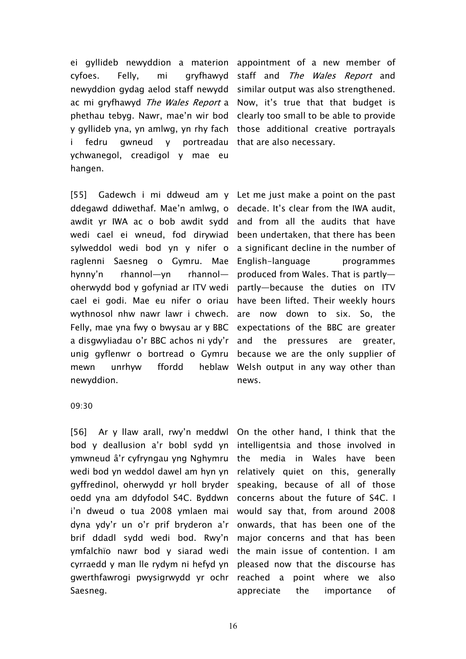ei gyllideb newyddion a materion appointment of a new member of cyfoes. Felly, mi gryfhawyd newyddion gydag aelod staff newydd similar output was also strengthened. ac mi gryfhawyd *The Wales Report* a Now, it's true that that budget is phethau tebyg. Nawr, mae'n wir bod clearly too small to be able to provide y gyllideb yna, yn amlwg, yn rhy fach those additional creative portrayals fedru gwneud y portreadau ychwanegol, creadigol y mae eu hangen.

staff and *The Wales Report* and that are also necessary.

[55] Gadewch i mi ddweud am y Let me just make a point on the past ddegawd ddiwethaf. Mae'n amlwg, o awdit yr IWA ac o bob awdit sydd wedi cael ei wneud, fod dirywiad sylweddol wedi bod yn y nifer o raglenni Saesneg o Gymru. Mae hynny'n rhannol—yn rhannol oherwydd bod y gofyniad ar ITV wedi cael ei godi. Mae eu nifer o oriau wythnosol nhw nawr lawr i chwech. Felly, mae yna fwy o bwysau ar y BBC a disgwyliadau o'r BBC achos ni ydy'r unig gyflenwr o bortread o Gymru mewn unrhyw ffordd heblaw newyddion.

decade. It's clear from the IWA audit, and from all the audits that have been undertaken, that there has been a significant decline in the number of English-language programmes produced from Wales. That is partly partly—because the duties on ITV have been lifted. Their weekly hours are now down to six. So, the expectations of the BBC are greater and the pressures are greater, because we are the only supplier of Welsh output in any way other than news.

#### 09:30

[56] Ar y llaw arall, rwy'n meddwl On the other hand, I think that the bod y deallusion a'r bobl sydd yn ymwneud â'r cyfryngau yng Nghymru wedi bod yn weddol dawel am hyn yn gyffredinol, oherwydd yr holl bryder oedd yna am ddyfodol S4C. Byddwn i'n dweud o tua 2008 ymlaen mai dyna ydy'r un o'r prif bryderon a'r brif ddadl sydd wedi bod. Rwy'n ymfalchïo nawr bod y siarad wedi cyrraedd y man lle rydym ni hefyd yn gwerthfawrogi pwysigrwydd yr ochr Saesneg.

intelligentsia and those involved in the media in Wales have been relatively quiet on this, generally speaking, because of all of those concerns about the future of S4C. I would say that, from around 2008 onwards, that has been one of the major concerns and that has been the main issue of contention. I am pleased now that the discourse has reached a point where we also appreciate the importance of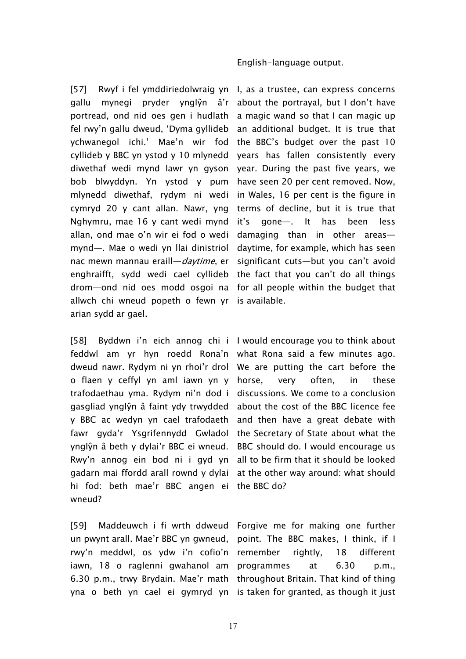#### English-language output.

[57] Rwyf i fel ymddiriedolwraig yn I, as a trustee, can express concerns gallu mynegi pryder ynglŷn â'r portread, ond nid oes gen i hudlath fel rwy'n gallu dweud, 'Dyma gyllideb ychwanegol ichi.' Mae'n wir fod the BBC's budget over the past 10 cyllideb y BBC yn ystod y 10 mlynedd diwethaf wedi mynd lawr yn gyson year. During the past five years, we bob blwyddyn. Yn ystod y pum mlynedd diwethaf, rydym ni wedi cymryd 20 y cant allan. Nawr, yng Nghymru, mae 16 y cant wedi mynd allan, ond mae o'n wir ei fod o wedi mynd—. Mae o wedi yn llai dinistriol nac mewn mannau eraill—*daytime*, er enghraifft, sydd wedi cael cyllideb the fact that you can't do all things drom—ond nid oes modd osgoi na for all people within the budget that allwch chi wneud popeth o fewn yr is available. arian sydd ar gael.

[58] Byddwn i'n eich annog chi i I would encourage you to think about feddwl am yr hyn roedd Rona'n what Rona said a few minutes ago. dweud nawr. Rydym ni yn rhoi'r drol We are putting the cart before the o flaen y ceffyl yn aml iawn yn y horse, very often, in these trafodaethau yma. Rydym ni'n dod i discussions. We come to a conclusion gasgliad ynglŷn â faint ydy trwydded about the cost of the BBC licence fee y BBC ac wedyn yn cael trafodaeth and then have a great debate with fawr gyda'r Ysgrifennydd Gwladol the Secretary of State about what the ynglŷn â beth y dylai'r BBC ei wneud. BBC should do. I would encourage us Rwy'n annog ein bod ni i gyd yn all to be firm that it should be looked gadarn mai ffordd arall rownd y dylai at the other way around: what should hi fod: beth mae'r BBC angen ei the BBC do? wneud?

[59] Maddeuwch i fi wrth ddweud Forgive me for making one further un pwynt arall. Mae'r BBC yn gwneud, point. The BBC makes, I think, if I rwy'n meddwl, os ydw i'n cofio'n remember rightly, 18 different iawn, 18 o raglenni gwahanol am programmes at 6.30 p.m., 6.30 p.m., trwy Brydain. Mae'r math throughout Britain. That kind of thing yna o beth yn cael ei gymryd yn is taken for granted, as though it just

about the portrayal, but I don't have a magic wand so that I can magic up an additional budget. It is true that years has fallen consistently every have seen 20 per cent removed. Now, in Wales, 16 per cent is the figure in terms of decline, but it is true that it's gone—. It has been less damaging than in other areas daytime, for example, which has seen significant cuts—but you can't avoid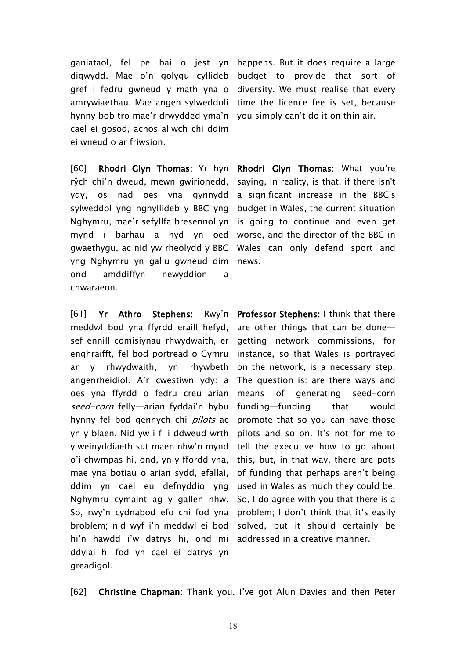ganiataol, fel pe bai o jest yn happens. But it does require a large digwydd. Mae o'n golygu cyllideb budget to provide that sort of gref i fedru gwneud y math yna o diversity. We must realise that every amrywiaethau. Mae angen sylweddoli time the licence fee is set, because hynny bob tro mae'r drwydded yma'n you simply can't do it on thin air. cael ei gosod, achos allwch chi ddim ei wneud o ar friwsion.

[60] **Rhodri Glyn Thomas:** Yr hyn **Rhodri Glyn Thomas:** What you're rŷch chi'n dweud, mewn gwirionedd, ydy, os nad oes yna gynnydd sylweddol yng nghyllideb y BBC yng Nghymru, mae'r sefyllfa bresennol yn mynd i barhau a hyd yn oed gwaethygu, ac nid yw rheolydd y BBC Wales can only defend sport and yng Nghymru yn gallu gwneud dim news. ond amddiffyn newyddion a chwaraeon.

[61] **Yr Athro Stephens:** Rwy'n **Professor Stephens:** I think that there meddwl bod yna ffyrdd eraill hefyd, sef ennill comisiynau rhwydwaith, er enghraifft, fel bod portread o Gymru ar y rhwydwaith, yn rhywbeth on the network, is a necessary step. angenrheidiol. A'r cwestiwn ydy: a oes yna ffyrdd o fedru creu arian means of generating seed-corn *seed-corn* felly—arian fyddai'n hybu hynny fel bod gennych chi *pilots* ac yn y blaen. Nid yw i fi i ddweud wrth y weinyddiaeth sut maen nhw'n mynd o'i chwmpas hi, ond, yn y ffordd yna, mae yna botiau o arian sydd, efallai, ddim yn cael eu defnyddio yng Nghymru cymaint ag y gallen nhw. So, rwy'n cydnabod efo chi fod yna problem; I don't think that it's easily broblem; nid wyf i'n meddwl ei bod hi'n hawdd i'w datrys hi, ond mi addressed in a creative manner. ddylai hi fod yn cael ei datrys yn greadigol.

saying, in reality, is that, if there isn't a significant increase in the BBC's budget in Wales, the current situation is going to continue and even get worse, and the director of the BBC in

are other things that can be done getting network commissions, for instance, so that Wales is portrayed The question is: are there ways and funding—funding that would promote that so you can have those pilots and so on. It's not for me to tell the executive how to go about this, but, in that way, there are pots of funding that perhaps aren't being used in Wales as much they could be. So, I do agree with you that there is a solved, but it should certainly be

[62] **Christine Chapman:** Thank you. I've got Alun Davies and then Peter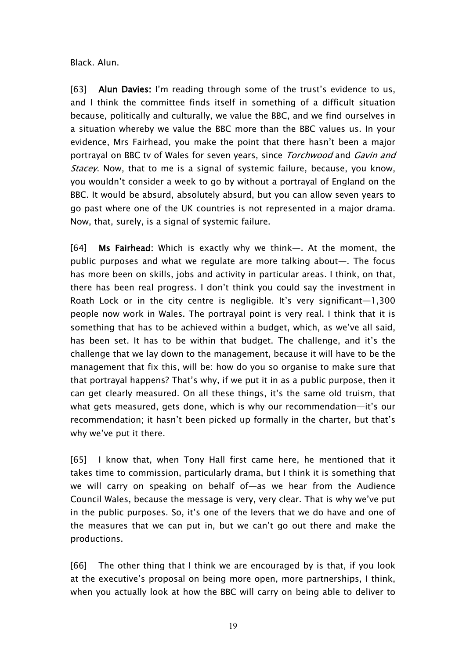Black. Alun.

[63] **Alun Davies:** I'm reading through some of the trust's evidence to us, and I think the committee finds itself in something of a difficult situation because, politically and culturally, we value the BBC, and we find ourselves in a situation whereby we value the BBC more than the BBC values us. In your evidence, Mrs Fairhead, you make the point that there hasn't been a major portrayal on BBC tv of Wales for seven years, since *Torchwood* and *Gavin and Stacey*. Now, that to me is a signal of systemic failure, because, you know, you wouldn't consider a week to go by without a portrayal of England on the BBC. It would be absurd, absolutely absurd, but you can allow seven years to go past where one of the UK countries is not represented in a major drama. Now, that, surely, is a signal of systemic failure.

[64] **Ms Fairhead:** Which is exactly why we think—. At the moment, the public purposes and what we regulate are more talking about—. The focus has more been on skills, jobs and activity in particular areas. I think, on that, there has been real progress. I don't think you could say the investment in Roath Lock or in the city centre is negligible. It's very significant—1,300 people now work in Wales. The portrayal point is very real. I think that it is something that has to be achieved within a budget, which, as we've all said, has been set. It has to be within that budget. The challenge, and it's the challenge that we lay down to the management, because it will have to be the management that fix this, will be: how do you so organise to make sure that that portrayal happens? That's why, if we put it in as a public purpose, then it can get clearly measured. On all these things, it's the same old truism, that what gets measured, gets done, which is why our recommendation—it's our recommendation; it hasn't been picked up formally in the charter, but that's why we've put it there.

[65] I know that, when Tony Hall first came here, he mentioned that it takes time to commission, particularly drama, but I think it is something that we will carry on speaking on behalf of—as we hear from the Audience Council Wales, because the message is very, very clear. That is why we've put in the public purposes. So, it's one of the levers that we do have and one of the measures that we can put in, but we can't go out there and make the productions.

[66] The other thing that I think we are encouraged by is that, if you look at the executive's proposal on being more open, more partnerships, I think, when you actually look at how the BBC will carry on being able to deliver to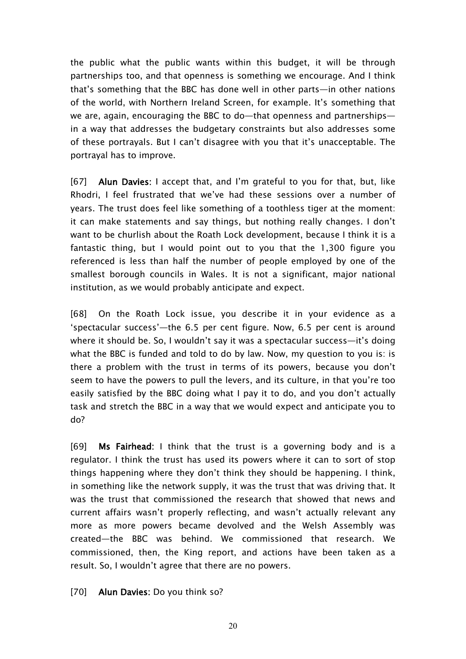the public what the public wants within this budget, it will be through partnerships too, and that openness is something we encourage. And I think that's something that the BBC has done well in other parts—in other nations of the world, with Northern Ireland Screen, for example. It's something that we are, again, encouraging the BBC to do—that openness and partnerships in a way that addresses the budgetary constraints but also addresses some of these portrayals. But I can't disagree with you that it's unacceptable. The portrayal has to improve.

[67] **Alun Davies:** I accept that, and I'm grateful to you for that, but, like Rhodri, I feel frustrated that we've had these sessions over a number of years. The trust does feel like something of a toothless tiger at the moment: it can make statements and say things, but nothing really changes. I don't want to be churlish about the Roath Lock development, because I think it is a fantastic thing, but I would point out to you that the 1,300 figure you referenced is less than half the number of people employed by one of the smallest borough councils in Wales. It is not a significant, major national institution, as we would probably anticipate and expect.

[68] On the Roath Lock issue, you describe it in your evidence as a 'spectacular success'—the 6.5 per cent figure. Now, 6.5 per cent is around where it should be. So, I wouldn't say it was a spectacular success—it's doing what the BBC is funded and told to do by law. Now, my question to you is: is there a problem with the trust in terms of its powers, because you don't seem to have the powers to pull the levers, and its culture, in that you're too easily satisfied by the BBC doing what I pay it to do, and you don't actually task and stretch the BBC in a way that we would expect and anticipate you to do?

[69] **Ms Fairhead:** I think that the trust is a governing body and is a regulator. I think the trust has used its powers where it can to sort of stop things happening where they don't think they should be happening. I think, in something like the network supply, it was the trust that was driving that. It was the trust that commissioned the research that showed that news and current affairs wasn't properly reflecting, and wasn't actually relevant any more as more powers became devolved and the Welsh Assembly was created—the BBC was behind. We commissioned that research. We commissioned, then, the King report, and actions have been taken as a result. So, I wouldn't agree that there are no powers.

[70] **Alun Davies:** Do you think so?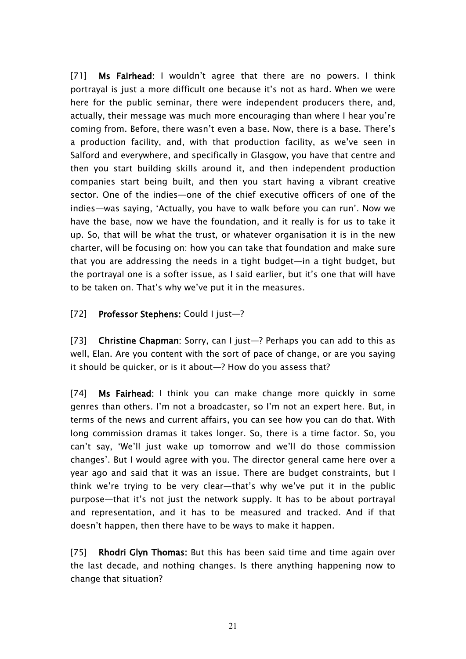[71] **Ms Fairhead:** I wouldn't agree that there are no powers. I think portrayal is just a more difficult one because it's not as hard. When we were here for the public seminar, there were independent producers there, and, actually, their message was much more encouraging than where I hear you're coming from. Before, there wasn't even a base. Now, there is a base. There's a production facility, and, with that production facility, as we've seen in Salford and everywhere, and specifically in Glasgow, you have that centre and then you start building skills around it, and then independent production companies start being built, and then you start having a vibrant creative sector. One of the indies—one of the chief executive officers of one of the indies—was saying, 'Actually, you have to walk before you can run'. Now we have the base, now we have the foundation, and it really is for us to take it up. So, that will be what the trust, or whatever organisation it is in the new charter, will be focusing on: how you can take that foundation and make sure that you are addressing the needs in a tight budget—in a tight budget, but the portrayal one is a softer issue, as I said earlier, but it's one that will have to be taken on. That's why we've put it in the measures.

### [72] **Professor Stephens:** Could I just—?

[73] **Christine Chapman:** Sorry, can I just—? Perhaps you can add to this as well, Elan. Are you content with the sort of pace of change, or are you saying it should be quicker, or is it about—? How do you assess that?

[74] **Ms Fairhead:** I think you can make change more quickly in some genres than others. I'm not a broadcaster, so I'm not an expert here. But, in terms of the news and current affairs, you can see how you can do that. With long commission dramas it takes longer. So, there is a time factor. So, you can't say, 'We'll just wake up tomorrow and we'll do those commission changes'. But I would agree with you. The director general came here over a year ago and said that it was an issue. There are budget constraints, but I think we're trying to be very clear—that's why we've put it in the public purpose—that it's not just the network supply. It has to be about portrayal and representation, and it has to be measured and tracked. And if that doesn't happen, then there have to be ways to make it happen.

[75] **Rhodri Glyn Thomas:** But this has been said time and time again over the last decade, and nothing changes. Is there anything happening now to change that situation?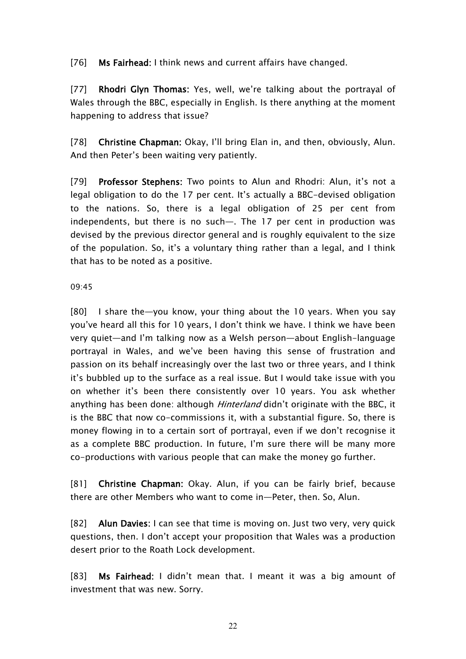[76] **Ms Fairhead:** I think news and current affairs have changed.

[77] **Rhodri Glyn Thomas:** Yes, well, we're talking about the portrayal of Wales through the BBC, especially in English. Is there anything at the moment happening to address that issue?

[78] **Christine Chapman:** Okay, I'll bring Elan in, and then, obviously, Alun. And then Peter's been waiting very patiently.

[79] **Professor Stephens:** Two points to Alun and Rhodri: Alun, it's not a legal obligation to do the 17 per cent. It's actually a BBC-devised obligation to the nations. So, there is a legal obligation of 25 per cent from independents, but there is no such—. The 17 per cent in production was devised by the previous director general and is roughly equivalent to the size of the population. So, it's a voluntary thing rather than a legal, and I think that has to be noted as a positive.

#### 09:45

[80] I share the—you know, your thing about the 10 years. When you say you've heard all this for 10 years, I don't think we have. I think we have been very quiet—and I'm talking now as a Welsh person—about English-language portrayal in Wales, and we've been having this sense of frustration and passion on its behalf increasingly over the last two or three years, and I think it's bubbled up to the surface as a real issue. But I would take issue with you on whether it's been there consistently over 10 years. You ask whether anything has been done: although *Hinterland* didn't originate with the BBC, it is the BBC that now co-commissions it, with a substantial figure. So, there is money flowing in to a certain sort of portrayal, even if we don't recognise it as a complete BBC production. In future, I'm sure there will be many more co-productions with various people that can make the money go further.

[81] **Christine Chapman:** Okay. Alun, if you can be fairly brief, because there are other Members who want to come in—Peter, then. So, Alun.

[82] **Alun Davies:** I can see that time is moving on. Just two very, very quick questions, then. I don't accept your proposition that Wales was a production desert prior to the Roath Lock development.

[83] **Ms Fairhead:** I didn't mean that. I meant it was a big amount of investment that was new. Sorry.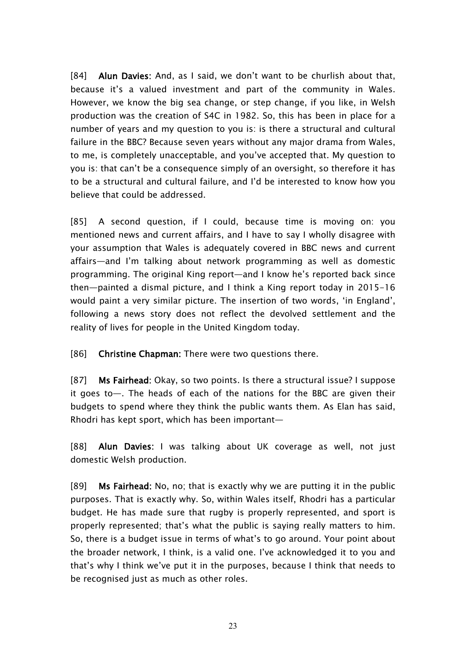[84] **Alun Davies:** And, as I said, we don't want to be churlish about that, because it's a valued investment and part of the community in Wales. However, we know the big sea change, or step change, if you like, in Welsh production was the creation of S4C in 1982. So, this has been in place for a number of years and my question to you is: is there a structural and cultural failure in the BBC? Because seven years without any major drama from Wales, to me, is completely unacceptable, and you've accepted that. My question to you is: that can't be a consequence simply of an oversight, so therefore it has to be a structural and cultural failure, and I'd be interested to know how you believe that could be addressed.

[85] A second question, if I could, because time is moving on: you mentioned news and current affairs, and I have to say I wholly disagree with your assumption that Wales is adequately covered in BBC news and current affairs—and I'm talking about network programming as well as domestic programming. The original King report—and I know he's reported back since then—painted a dismal picture, and I think a King report today in 2015-16 would paint a very similar picture. The insertion of two words, 'in England', following a news story does not reflect the devolved settlement and the reality of lives for people in the United Kingdom today.

[86] **Christine Chapman:** There were two questions there.

[87] **Ms Fairhead:** Okay, so two points. Is there a structural issue? I suppose it goes to—. The heads of each of the nations for the BBC are given their budgets to spend where they think the public wants them. As Elan has said, Rhodri has kept sport, which has been important—

[88] **Alun Davies:** I was talking about UK coverage as well, not just domestic Welsh production.

[89] **Ms Fairhead:** No, no; that is exactly why we are putting it in the public purposes. That is exactly why. So, within Wales itself, Rhodri has a particular budget. He has made sure that rugby is properly represented, and sport is properly represented; that's what the public is saying really matters to him. So, there is a budget issue in terms of what's to go around. Your point about the broader network, I think, is a valid one. I've acknowledged it to you and that's why I think we've put it in the purposes, because I think that needs to be recognised just as much as other roles.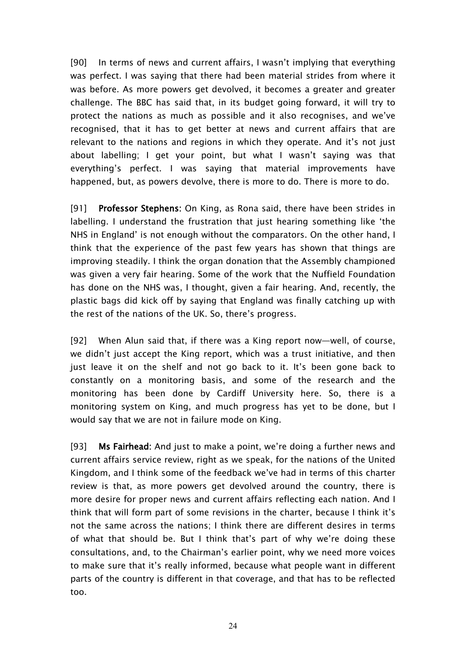[90] In terms of news and current affairs, I wasn't implying that everything was perfect. I was saying that there had been material strides from where it was before. As more powers get devolved, it becomes a greater and greater challenge. The BBC has said that, in its budget going forward, it will try to protect the nations as much as possible and it also recognises, and we've recognised, that it has to get better at news and current affairs that are relevant to the nations and regions in which they operate. And it's not just about labelling; I get your point, but what I wasn't saying was that everything's perfect. I was saying that material improvements have happened, but, as powers devolve, there is more to do. There is more to do.

[91] **Professor Stephens:** On King, as Rona said, there have been strides in labelling. I understand the frustration that just hearing something like 'the NHS in England' is not enough without the comparators. On the other hand, I think that the experience of the past few years has shown that things are improving steadily. I think the organ donation that the Assembly championed was given a very fair hearing. Some of the work that the Nuffield Foundation has done on the NHS was, I thought, given a fair hearing. And, recently, the plastic bags did kick off by saying that England was finally catching up with the rest of the nations of the UK. So, there's progress.

[92] When Alun said that, if there was a King report now—well, of course, we didn't just accept the King report, which was a trust initiative, and then just leave it on the shelf and not go back to it. It's been gone back to constantly on a monitoring basis, and some of the research and the monitoring has been done by Cardiff University here. So, there is a monitoring system on King, and much progress has yet to be done, but I would say that we are not in failure mode on King.

[93] **Ms Fairhead:** And just to make a point, we're doing a further news and current affairs service review, right as we speak, for the nations of the United Kingdom, and I think some of the feedback we've had in terms of this charter review is that, as more powers get devolved around the country, there is more desire for proper news and current affairs reflecting each nation. And I think that will form part of some revisions in the charter, because I think it's not the same across the nations; I think there are different desires in terms of what that should be. But I think that's part of why we're doing these consultations, and, to the Chairman's earlier point, why we need more voices to make sure that it's really informed, because what people want in different parts of the country is different in that coverage, and that has to be reflected too.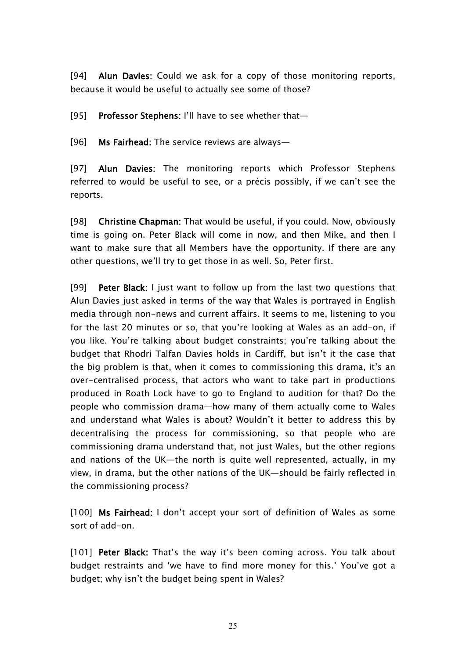[94] **Alun Davies:** Could we ask for a copy of those monitoring reports, because it would be useful to actually see some of those?

[95] **Professor Stephens:** I'll have to see whether that—

[96] **Ms Fairhead:** The service reviews are always—

[97] **Alun Davies:** The monitoring reports which Professor Stephens referred to would be useful to see, or a précis possibly, if we can't see the reports.

[98] **Christine Chapman:** That would be useful, if you could. Now, obviously time is going on. Peter Black will come in now, and then Mike, and then I want to make sure that all Members have the opportunity. If there are any other questions, we'll try to get those in as well. So, Peter first.

[99] **Peter Black:** I just want to follow up from the last two questions that Alun Davies just asked in terms of the way that Wales is portrayed in English media through non-news and current affairs. It seems to me, listening to you for the last 20 minutes or so, that you're looking at Wales as an add-on, if you like. You're talking about budget constraints; you're talking about the budget that Rhodri Talfan Davies holds in Cardiff, but isn't it the case that the big problem is that, when it comes to commissioning this drama, it's an over-centralised process, that actors who want to take part in productions produced in Roath Lock have to go to England to audition for that? Do the people who commission drama—how many of them actually come to Wales and understand what Wales is about? Wouldn't it better to address this by decentralising the process for commissioning, so that people who are commissioning drama understand that, not just Wales, but the other regions and nations of the UK—the north is quite well represented, actually, in my view, in drama, but the other nations of the UK—should be fairly reflected in the commissioning process?

[100] **Ms Fairhead:** I don't accept your sort of definition of Wales as some sort of add-on.

[101] **Peter Black:** That's the way it's been coming across. You talk about budget restraints and 'we have to find more money for this.' You've got a budget; why isn't the budget being spent in Wales?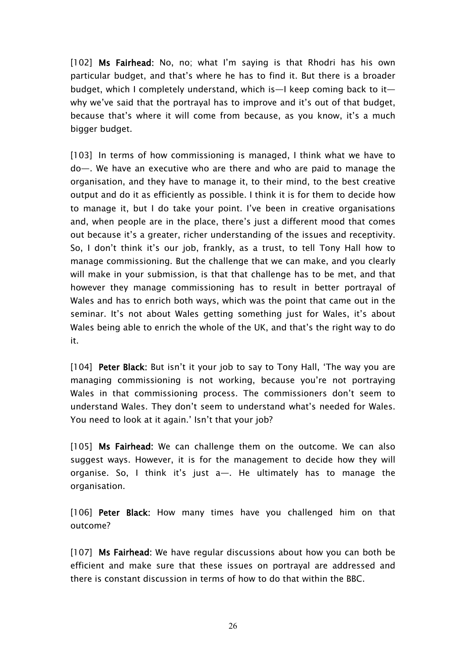[102] **Ms Fairhead:** No, no; what I'm saying is that Rhodri has his own particular budget, and that's where he has to find it. But there is a broader budget, which I completely understand, which is—I keep coming back to it why we've said that the portrayal has to improve and it's out of that budget, because that's where it will come from because, as you know, it's a much bigger budget.

[103] In terms of how commissioning is managed, I think what we have to do—. We have an executive who are there and who are paid to manage the organisation, and they have to manage it, to their mind, to the best creative output and do it as efficiently as possible. I think it is for them to decide how to manage it, but I do take your point. I've been in creative organisations and, when people are in the place, there's just a different mood that comes out because it's a greater, richer understanding of the issues and receptivity. So, I don't think it's our job, frankly, as a trust, to tell Tony Hall how to manage commissioning. But the challenge that we can make, and you clearly will make in your submission, is that that challenge has to be met, and that however they manage commissioning has to result in better portrayal of Wales and has to enrich both ways, which was the point that came out in the seminar. It's not about Wales getting something just for Wales, it's about Wales being able to enrich the whole of the UK, and that's the right way to do it.

[104] **Peter Black:** But isn't it your job to say to Tony Hall, 'The way you are managing commissioning is not working, because you're not portraying Wales in that commissioning process. The commissioners don't seem to understand Wales. They don't seem to understand what's needed for Wales. You need to look at it again.' Isn't that your job?

[105] **Ms Fairhead:** We can challenge them on the outcome. We can also suggest ways. However, it is for the management to decide how they will organise. So, I think it's just a—. He ultimately has to manage the organisation.

[106] **Peter Black:** How many times have you challenged him on that outcome?

[107] **Ms Fairhead:** We have regular discussions about how you can both be efficient and make sure that these issues on portrayal are addressed and there is constant discussion in terms of how to do that within the BBC.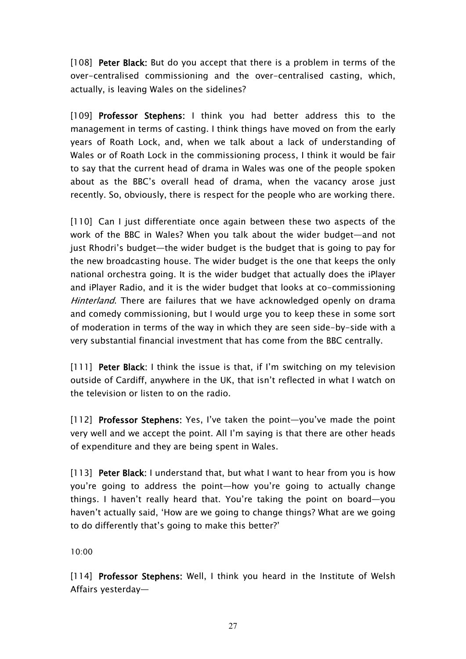[108] **Peter Black:** But do you accept that there is a problem in terms of the over-centralised commissioning and the over-centralised casting, which, actually, is leaving Wales on the sidelines?

[109] **Professor Stephens:** I think you had better address this to the management in terms of casting. I think things have moved on from the early years of Roath Lock, and, when we talk about a lack of understanding of Wales or of Roath Lock in the commissioning process, I think it would be fair to say that the current head of drama in Wales was one of the people spoken about as the BBC's overall head of drama, when the vacancy arose just recently. So, obviously, there is respect for the people who are working there.

[110] Can I just differentiate once again between these two aspects of the work of the BBC in Wales? When you talk about the wider budget—and not just Rhodri's budget—the wider budget is the budget that is going to pay for the new broadcasting house. The wider budget is the one that keeps the only national orchestra going. It is the wider budget that actually does the iPlayer and iPlayer Radio, and it is the wider budget that looks at co-commissioning *Hinterland*. There are failures that we have acknowledged openly on drama and comedy commissioning, but I would urge you to keep these in some sort of moderation in terms of the way in which they are seen side-by-side with a very substantial financial investment that has come from the BBC centrally.

[111] **Peter Black:** I think the issue is that, if I'm switching on my television outside of Cardiff, anywhere in the UK, that isn't reflected in what I watch on the television or listen to on the radio.

[112] **Professor Stephens:** Yes, I've taken the point—you've made the point very well and we accept the point. All I'm saying is that there are other heads of expenditure and they are being spent in Wales.

[113] **Peter Black:** I understand that, but what I want to hear from you is how you're going to address the point—how you're going to actually change things. I haven't really heard that. You're taking the point on board—you haven't actually said, 'How are we going to change things? What are we going to do differently that's going to make this better?'

10:00

[114] **Professor Stephens:** Well, I think you heard in the Institute of Welsh Affairs yesterday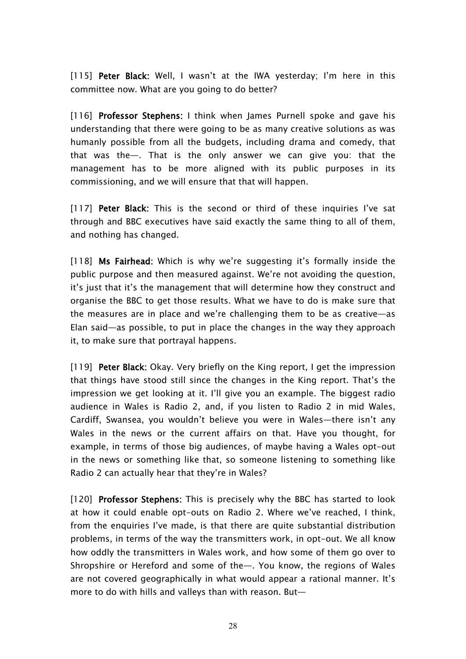[115] **Peter Black:** Well, I wasn't at the IWA yesterday; I'm here in this committee now. What are you going to do better?

[116] **Professor Stephens:** I think when James Purnell spoke and gave his understanding that there were going to be as many creative solutions as was humanly possible from all the budgets, including drama and comedy, that that was the—. That is the only answer we can give you: that the management has to be more aligned with its public purposes in its commissioning, and we will ensure that that will happen.

[117] **Peter Black:** This is the second or third of these inquiries I've sat through and BBC executives have said exactly the same thing to all of them, and nothing has changed.

[118] **Ms Fairhead:** Which is why we're suggesting it's formally inside the public purpose and then measured against. We're not avoiding the question, it's just that it's the management that will determine how they construct and organise the BBC to get those results. What we have to do is make sure that the measures are in place and we're challenging them to be as creative—as Elan said—as possible, to put in place the changes in the way they approach it, to make sure that portrayal happens.

[119] **Peter Black:** Okay. Very briefly on the King report, I get the impression that things have stood still since the changes in the King report. That's the impression we get looking at it. I'll give you an example. The biggest radio audience in Wales is Radio 2, and, if you listen to Radio 2 in mid Wales, Cardiff, Swansea, you wouldn't believe you were in Wales—there isn't any Wales in the news or the current affairs on that. Have you thought, for example, in terms of those big audiences, of maybe having a Wales opt-out in the news or something like that, so someone listening to something like Radio 2 can actually hear that they're in Wales?

[120] **Professor Stephens:** This is precisely why the BBC has started to look at how it could enable opt-outs on Radio 2. Where we've reached, I think, from the enquiries I've made, is that there are quite substantial distribution problems, in terms of the way the transmitters work, in opt-out. We all know how oddly the transmitters in Wales work, and how some of them go over to Shropshire or Hereford and some of the—. You know, the regions of Wales are not covered geographically in what would appear a rational manner. It's more to do with hills and valleys than with reason. But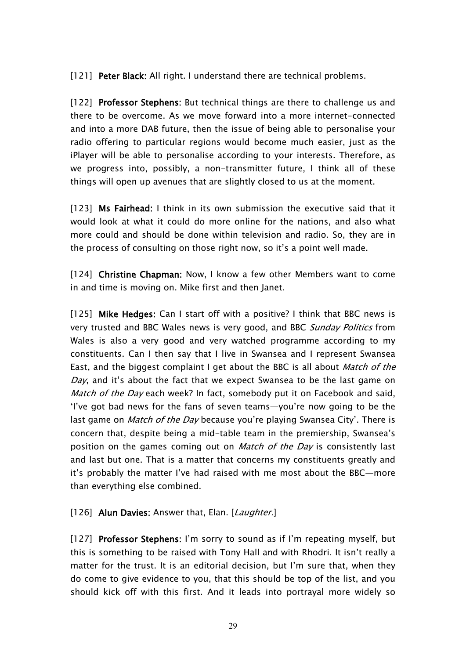[121] **Peter Black:** All right. I understand there are technical problems.

[122] **Professor Stephens:** But technical things are there to challenge us and there to be overcome. As we move forward into a more internet-connected and into a more DAB future, then the issue of being able to personalise your radio offering to particular regions would become much easier, just as the iPlayer will be able to personalise according to your interests. Therefore, as we progress into, possibly, a non-transmitter future, I think all of these things will open up avenues that are slightly closed to us at the moment.

[123] **Ms Fairhead:** I think in its own submission the executive said that it would look at what it could do more online for the nations, and also what more could and should be done within television and radio. So, they are in the process of consulting on those right now, so it's a point well made.

[124] **Christine Chapman:** Now, I know a few other Members want to come in and time is moving on. Mike first and then Janet.

[125] **Mike Hedges:** Can I start off with a positive? I think that BBC news is very trusted and BBC Wales news is very good, and BBC *Sunday Politics* from Wales is also a very good and very watched programme according to my constituents. Can I then say that I live in Swansea and I represent Swansea East, and the biggest complaint I get about the BBC is all about *Match of the Day*, and it's about the fact that we expect Swansea to be the last game on *Match of the Day* each week? In fact, somebody put it on Facebook and said, 'I've got bad news for the fans of seven teams—you're now going to be the last game on *Match of the Day* because you're playing Swansea City'. There is concern that, despite being a mid-table team in the premiership, Swansea's position on the games coming out on *Match of the Day* is consistently last and last but one. That is a matter that concerns my constituents greatly and it's probably the matter I've had raised with me most about the BBC—more than everything else combined.

#### [126] **Alun Davies:** Answer that, Elan. [*Laughter.*]

[127] **Professor Stephens:** I'm sorry to sound as if I'm repeating myself, but this is something to be raised with Tony Hall and with Rhodri. It isn't really a matter for the trust. It is an editorial decision, but I'm sure that, when they do come to give evidence to you, that this should be top of the list, and you should kick off with this first. And it leads into portrayal more widely so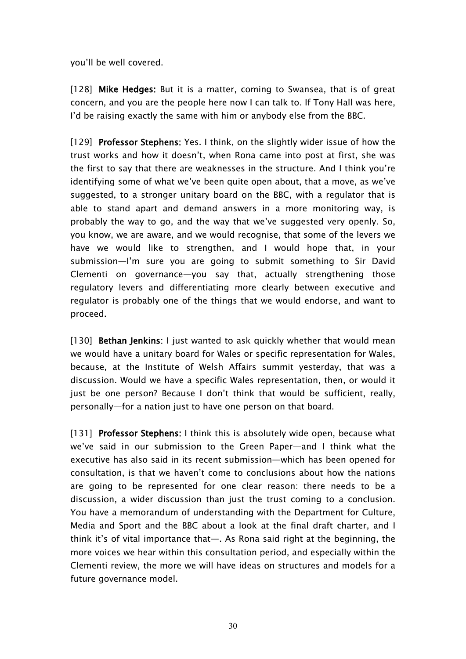you'll be well covered.

[128] **Mike Hedges:** But it is a matter, coming to Swansea, that is of great concern, and you are the people here now I can talk to. If Tony Hall was here, I'd be raising exactly the same with him or anybody else from the BBC.

[129] **Professor Stephens:** Yes. I think, on the slightly wider issue of how the trust works and how it doesn't, when Rona came into post at first, she was the first to say that there are weaknesses in the structure. And I think you're identifying some of what we've been quite open about, that a move, as we've suggested, to a stronger unitary board on the BBC, with a regulator that is able to stand apart and demand answers in a more monitoring way, is probably the way to go, and the way that we've suggested very openly. So, you know, we are aware, and we would recognise, that some of the levers we have we would like to strengthen, and I would hope that, in your submission—I'm sure you are going to submit something to Sir David Clementi on governance—you say that, actually strengthening those regulatory levers and differentiating more clearly between executive and regulator is probably one of the things that we would endorse, and want to proceed.

[130] **Bethan Jenkins:** I just wanted to ask quickly whether that would mean we would have a unitary board for Wales or specific representation for Wales, because, at the Institute of Welsh Affairs summit yesterday, that was a discussion. Would we have a specific Wales representation, then, or would it just be one person? Because I don't think that would be sufficient, really, personally—for a nation just to have one person on that board.

[131] **Professor Stephens:** I think this is absolutely wide open, because what we've said in our submission to the Green Paper—and I think what the executive has also said in its recent submission—which has been opened for consultation, is that we haven't come to conclusions about how the nations are going to be represented for one clear reason: there needs to be a discussion, a wider discussion than just the trust coming to a conclusion. You have a memorandum of understanding with the Department for Culture, Media and Sport and the BBC about a look at the final draft charter, and I think it's of vital importance that—. As Rona said right at the beginning, the more voices we hear within this consultation period, and especially within the Clementi review, the more we will have ideas on structures and models for a future governance model.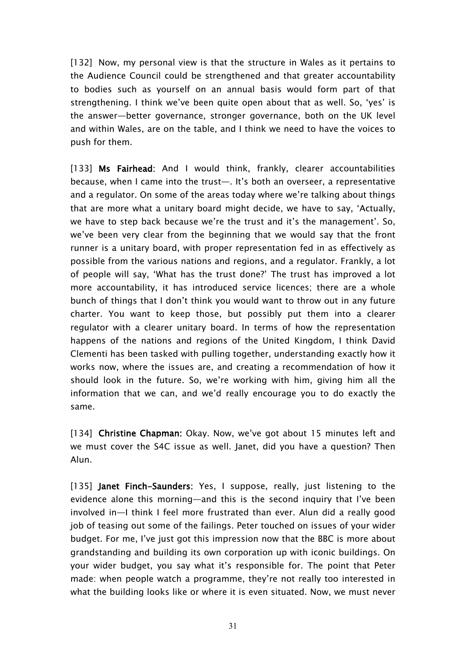[132] Now, my personal view is that the structure in Wales as it pertains to the Audience Council could be strengthened and that greater accountability to bodies such as yourself on an annual basis would form part of that strengthening. I think we've been quite open about that as well. So, 'yes' is the answer—better governance, stronger governance, both on the UK level and within Wales, are on the table, and I think we need to have the voices to push for them.

[133] **Ms Fairhead:** And I would think, frankly, clearer accountabilities because, when I came into the trust—. It's both an overseer, a representative and a regulator. On some of the areas today where we're talking about things that are more what a unitary board might decide, we have to say, 'Actually, we have to step back because we're the trust and it's the management'. So, we've been very clear from the beginning that we would say that the front runner is a unitary board, with proper representation fed in as effectively as possible from the various nations and regions, and a regulator. Frankly, a lot of people will say, 'What has the trust done?' The trust has improved a lot more accountability, it has introduced service licences; there are a whole bunch of things that I don't think you would want to throw out in any future charter. You want to keep those, but possibly put them into a clearer regulator with a clearer unitary board. In terms of how the representation happens of the nations and regions of the United Kingdom, I think David Clementi has been tasked with pulling together, understanding exactly how it works now, where the issues are, and creating a recommendation of how it should look in the future. So, we're working with him, giving him all the information that we can, and we'd really encourage you to do exactly the same.

[134] **Christine Chapman:** Okay. Now, we've got about 15 minutes left and we must cover the S4C issue as well. Janet, did you have a question? Then Alun.

[135] **Janet Finch-Saunders:** Yes, I suppose, really, just listening to the evidence alone this morning—and this is the second inquiry that I've been involved in—I think I feel more frustrated than ever. Alun did a really good job of teasing out some of the failings. Peter touched on issues of your wider budget. For me, I've just got this impression now that the BBC is more about grandstanding and building its own corporation up with iconic buildings. On your wider budget, you say what it's responsible for. The point that Peter made: when people watch a programme, they're not really too interested in what the building looks like or where it is even situated. Now, we must never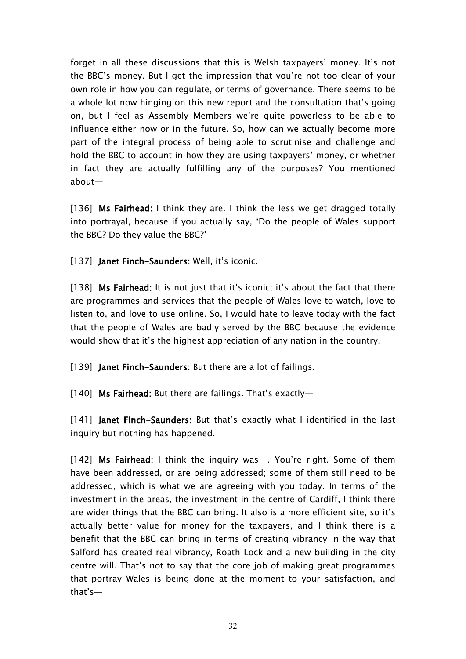forget in all these discussions that this is Welsh taxpayers' money. It's not the BBC's money. But I get the impression that you're not too clear of your own role in how you can regulate, or terms of governance. There seems to be a whole lot now hinging on this new report and the consultation that's going on, but I feel as Assembly Members we're quite powerless to be able to influence either now or in the future. So, how can we actually become more part of the integral process of being able to scrutinise and challenge and hold the BBC to account in how they are using taxpayers' money, or whether in fact they are actually fulfilling any of the purposes? You mentioned about—

[136] **Ms Fairhead:** I think they are. I think the less we get dragged totally into portrayal, because if you actually say, 'Do the people of Wales support the BBC? Do they value the BBC?'—

[137] **Janet Finch-Saunders:** Well, it's iconic.

[138] **Ms Fairhead:** It is not just that it's iconic; it's about the fact that there are programmes and services that the people of Wales love to watch, love to listen to, and love to use online. So, I would hate to leave today with the fact that the people of Wales are badly served by the BBC because the evidence would show that it's the highest appreciation of any nation in the country.

[139] **Janet Finch-Saunders:** But there are a lot of failings.

[140] **Ms Fairhead:** But there are failings. That's exactly—

[141] **Janet Finch-Saunders:** But that's exactly what I identified in the last inquiry but nothing has happened.

[142] **Ms Fairhead:** I think the inquiry was—. You're right. Some of them have been addressed, or are being addressed; some of them still need to be addressed, which is what we are agreeing with you today. In terms of the investment in the areas, the investment in the centre of Cardiff, I think there are wider things that the BBC can bring. It also is a more efficient site, so it's actually better value for money for the taxpayers, and I think there is a benefit that the BBC can bring in terms of creating vibrancy in the way that Salford has created real vibrancy, Roath Lock and a new building in the city centre will. That's not to say that the core job of making great programmes that portray Wales is being done at the moment to your satisfaction, and that's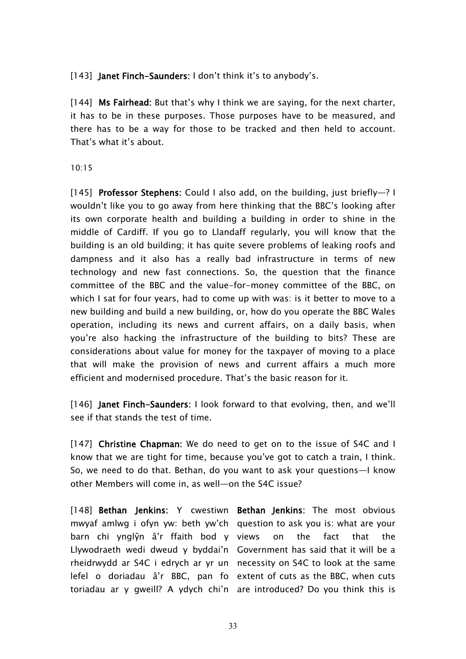[143] **Janet Finch-Saunders:** I don't think it's to anybody's.

[144] **Ms Fairhead:** But that's why I think we are saying, for the next charter, it has to be in these purposes. Those purposes have to be measured, and there has to be a way for those to be tracked and then held to account. That's what it's about.

#### 10:15

[145] **Professor Stephens:** Could I also add, on the building, just briefly—? I wouldn't like you to go away from here thinking that the BBC's looking after its own corporate health and building a building in order to shine in the middle of Cardiff. If you go to Llandaff regularly, you will know that the building is an old building; it has quite severe problems of leaking roofs and dampness and it also has a really bad infrastructure in terms of new technology and new fast connections. So, the question that the finance committee of the BBC and the value-for-money committee of the BBC, on which I sat for four years, had to come up with was: is it better to move to a new building and build a new building, or, how do you operate the BBC Wales operation, including its news and current affairs, on a daily basis, when you're also hacking the infrastructure of the building to bits? These are considerations about value for money for the taxpayer of moving to a place that will make the provision of news and current affairs a much more efficient and modernised procedure. That's the basic reason for it.

[146] **Janet Finch-Saunders:** I look forward to that evolving, then, and we'll see if that stands the test of time.

[147] **Christine Chapman:** We do need to get on to the issue of S4C and I know that we are tight for time, because you've got to catch a train, I think. So, we need to do that. Bethan, do you want to ask your questions—I know other Members will come in, as well—on the S4C issue?

[148] **Bethan Jenkins:** Y cwestiwn **Bethan Jenkins:** The most obvious mwyaf amlwg i ofyn yw: beth yw'ch question to ask you is: what are your barn chi ynglŷn â'r ffaith bod y Llywodraeth wedi dweud y byddai'n Government has said that it will be a rheidrwydd ar S4C i edrych ar yr un necessity on S4C to look at the same lefel o doriadau â'r BBC, pan fo extent of cuts as the BBC, when cuts

toriadau ar y gweill? A ydych chi'n are introduced? Do you think this ison the fact that the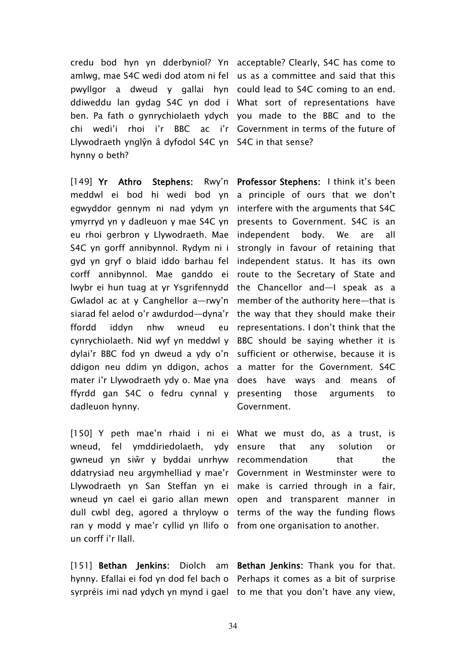credu bod hyn yn dderbyniol? Yn acceptable? Clearly, S4C has come to amlwg, mae S4C wedi dod atom ni fel us as a committee and said that this pwyllgor a dweud y gallai hyn could lead to S4C coming to an end. ddiweddu lan gydag S4C yn dod i What sort of representations have ben. Pa fath o gynrychiolaeth ydych you made to the BBC and to the chi wedi'i rhoi i'r BBC ac i'r Government in terms of the future of Llywodraeth ynglŷn â dyfodol S4C yn S4C in that sense? hynny o beth?

[149] **Yr Athro Stephens:** meddwl ei bod hi wedi bod yn a principle of ours that we don't egwyddor gennym ni nad ydym yn interfere with the arguments that S4C ymyrryd yn y dadleuon y mae S4C yn presents to Government. S4C is an eu rhoi gerbron y Llywodraeth. Mae independent body. We are all S4C yn gorff annibynnol. Rydym ni i strongly in favour of retaining that gyd yn gryf o blaid iddo barhau fel corff annibynnol. Mae ganddo ei route to the Secretary of State and lwybr ei hun tuag at yr Ysgrifennydd the Chancellor and—I speak as a Gwladol ac at y Canghellor a—rwy'n member of the authority here—that is siarad fel aelod o'r awdurdod—dyna'r the way that they should make their ffordd iddyn nhw wneud cynrychiolaeth. Nid wyf yn meddwl y BBC should be saying whether it is dylai'r BBC fod yn dweud a ydy o'n sufficient or otherwise, because it is ddigon neu ddim yn ddigon, achos a matter for the Government. S4C mater i'r Llywodraeth ydy o. Mae yna does have ways and means of ffyrdd gan S4C o fedru cynnal y presenting those arguments to dadleuon hynny.

[150] Y peth mae'n rhaid i ni ei What we must do, as a trust, is wneud, fel ymddiriedolaeth, ydy gwneud yn siŵr y byddai unrhyw recommendation that the ddatrysiad neu argymhelliad y mae'r Government in Westminster were to Llywodraeth yn San Steffan yn ei make is carried through in a fair, wneud yn cael ei gario allan mewn open and transparent manner in dull cwbl deg, agored a thryloyw o terms of the way the funding flows ran y modd y mae'r cyllid yn llifo o from one organisation to another. un corff i'r llall.

[151] **Bethan Jenkins:** Diolch am **Bethan Jenkins:** Thank you for that. hynny. Efallai ei fod yn dod fel bach o Perhaps it comes as a bit of surprise syrpréis imi nad ydych yn mynd i gael to me that you don't have any view,

**Professor Stephens:** I think it's been independent status. It has its own representations. I don't think that the Government.

that any solution or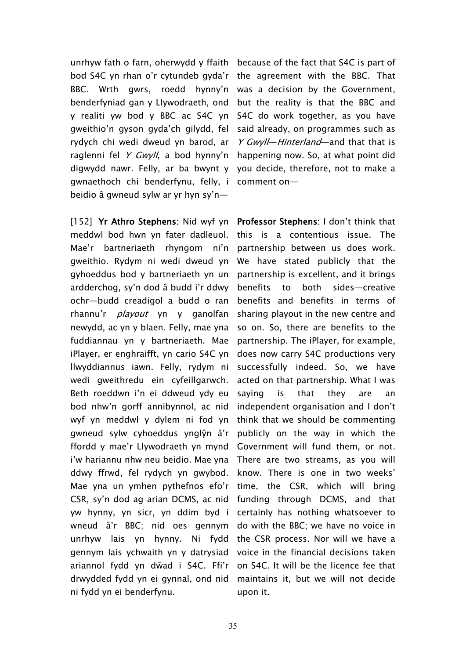unrhyw fath o farn, oherwydd y ffaith because of the fact that S4C is part of bod S4C yn rhan o'r cytundeb gyda'r the agreement with the BBC. That BBC. Wrth gwrs, roedd hynny'n benderfyniad gan y Llywodraeth, ond y realiti yw bod y BBC ac S4C yn gweithio'n gyson gyda'ch gilydd, fel rydych chi wedi dweud yn barod, ar raglenni fel *<sup>Y</sup> Gwyll*, a bod hynny'n digwydd nawr. Felly, ar ba bwynt y gwnaethoch chi benderfynu, felly, i beidio â gwneud sylw ar yr hyn sy'n—

[152] **Yr Athro Stephens:** Nid wyf yn **Professor Stephens:** I don't think that meddwl bod hwn yn fater dadleuol. Mae'r bartneriaeth rhyngom ni'n partnership-between-us-does-work. gweithio. Rydym ni wedi dweud yn gyhoeddus bod y bartneriaeth yn un ardderchog, sy'n dod â budd i'r ddwy ochr—budd creadigol a budd o ran rhannu'r *playout* yn y ganolfan newydd, ac yn y blaen. Felly, mae yna fuddiannau yn y bartneriaeth. Mae iPlayer, er enghraifft, yn cario S4C yn llwyddiannus iawn. Felly, rydym ni wedi gweithredu ein cyfeillgarwch. Beth roeddwn i'n ei ddweud ydy eu bod nhw'n gorff annibynnol, ac nid wyf yn meddwl y dylem ni fod yn gwneud sylw cyhoeddus ynglŷn â'r ffordd y mae'r Llywodraeth yn mynd i'w hariannu nhw neu beidio. Mae yna ddwy ffrwd, fel rydych yn gwybod. Mae yna un ymhen pythefnos efo'r CSR, sy'n dod ag arian DCMS, ac nid yw hynny, yn sicr, yn ddim byd i certainly has nothing whatsoever to wneud â'r BBC; nid oes gennym do with the BBC; we have no voice in unrhyw lais yn hynny. Ni fydd the CSR process. Nor will we have a gennym lais ychwaith yn y datrysiad voice in the financial decisions taken ariannol fydd yn dŵad i S4C. Ffi'r on S4C. It will be the licence fee that drwydded fydd yn ei gynnal, ond nid maintains it, but we will not decide ni fydd yn ei benderfynu.

was a decision by the Government, but the reality is that the BBC and S4C do work together, as you have said already, on programmes such as *<sup>Y</sup> Gwyll*—*Hinterland*—and that that is happening now. So, at what point did you decide, therefore, not to make a comment on—

this is a contentious issue. The We have stated publicly that the partnership is excellent, and it brings benefits to both sides—creative benefits and benefits in terms of sharing playout in the new centre and so on. So, there are benefits to the partnership. The iPlayer, for example, does now carry S4C productions very successfully indeed. So, we have acted on that partnership. What I was saying is that they are an independent organisation and I don't think that we should be commenting publicly on the way in which the Government will fund them, or not. There are two streams, as you will know. There is one in two weeks' time, the CSR, which will bring funding through DCMS, and that upon it.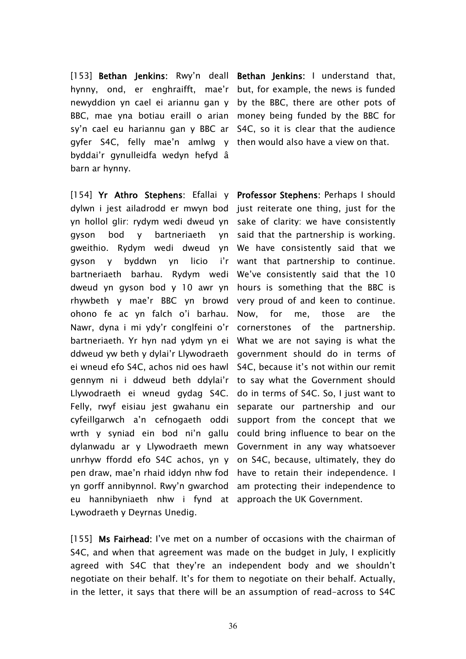[153] **Bethan Jenkins:** Rwy'n deall **Bethan Jenkins:** I understand that, hynny, ond, er enghraifft, mae'r but, for example, the news is funded newyddion yn cael ei ariannu gan y by the BBC, there are other pots of BBC, mae yna botiau eraill o arian money being funded by the BBC for sy'n cael eu hariannu gan y BBC ar S4C, so it is clear that the audience gyfer S4C, felly mae'n amlwg y then would also have a view on that. byddai'r gynulleidfa wedyn hefyd â barn ar hynny.

[154] **Yr Athro Stephens:** Efallai y **Professor Stephens:** Perhaps I should dylwn i jest ailadrodd er mwyn bod just reiterate one thing, just for the yn hollol glir: rydym wedi dweud yn sake of clarity: we have consistently gyson bod y bartneriaeth gweithio. Rydym wedi dweud yn We have consistently said that we gyson y byddwn yn licio bartneriaeth barhau. Rydym wedi We've consistently said that the 10 dweud yn gyson bod y 10 awr yn hours is something that the BBC is rhywbeth y mae'r BBC yn browd very proud of and keen to continue. ohono fe ac yn falch o'i barhau. Nawr, dyna i mi ydy'r conglfeini o'r cornerstones of the partnership. bartneriaeth. Yr hyn nad ydym yn ei What we are not saying is what the ddweud yw beth y dylai'r Llywodraeth government should do in terms of ei wneud efo S4C, achos nid oes hawl S4C, because it's not within our remit gennym ni i ddweud beth ddylai'r to say what the Government should Llywodraeth ei wneud gydag S4C. Felly, rwyf eisiau jest gwahanu ein cyfeillgarwch a'n cefnogaeth oddi wrth y syniad ein bod ni'n gallu could bring influence to bear on the dylanwadu ar y Llywodraeth mewn Government in any way whatsoever unrhyw ffordd efo S4C achos, yn y on S4C, because, ultimately, they do pen draw, mae'n rhaid iddyn nhw fod yn gorff annibynnol. Rwy'n gwarchod eu hannibyniaeth nhw i fynd at approach the UK Government. Lywodraeth y Deyrnas Unedig.

yn said that the partnership is working. i'r want that partnership to continue. Now, for me, those are the do in terms of S4C. So, I just want to separate our partnership and our support from the concept that we have to retain their independence. I am protecting their independence to

[155] **Ms Fairhead:** I've met on a number of occasions with the chairman of S4C, and when that agreement was made on the budget in July, I explicitly agreed with S4C that they're an independent body and we shouldn't negotiate on their behalf. It's for them to negotiate on their behalf. Actually, in the letter, it says that there will be an assumption of read-across to S4C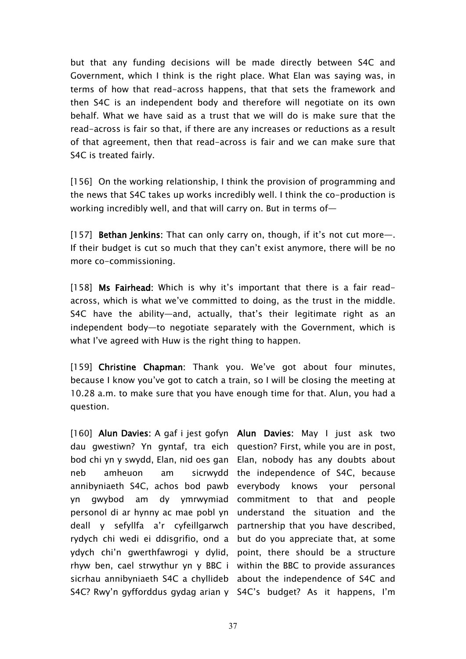but that any funding decisions will be made directly between S4C and Government, which I think is the right place. What Elan was saying was, in terms of how that read-across happens, that that sets the framework and then S4C is an independent body and therefore will negotiate on its own behalf. What we have said as a trust that we will do is make sure that the read-across is fair so that, if there are any increases or reductions as a result of that agreement, then that read-across is fair and we can make sure that S4C is treated fairly.

[156] On the working relationship, I think the provision of programming and the news that S4C takes up works incredibly well. I think the co-production is working incredibly well, and that will carry on. But in terms of—

[157] **Bethan Jenkins:** That can only carry on, though, if it's not cut more—. If their budget is cut so much that they can't exist anymore, there will be no more co-commissioning.

[158] **Ms Fairhead:** Which is why it's important that there is a fair readacross, which is what we've committed to doing, as the trust in the middle. S4C have the ability—and, actually, that's their legitimate right as an independent body—to negotiate separately with the Government, which is what I've agreed with Huw is the right thing to happen.

[159] **Christine Chapman:** Thank you. We've got about four minutes, because I know you've got to catch a train, so I will be closing the meeting at 10.28 a.m. to make sure that you have enough time for that. Alun, you had a question.

[160] **Alun Davies:** A gaf i jest gofyn **Alun Davies:** May I just ask two dau gwestiwn? Yn gyntaf, tra eich question? First, while you are in post, bod chi yn y swydd, Elan, nid oes gan Elan, nobody has any doubts about neb amheuon am sicrwydd the independence of S4C, because annibyniaeth S4C, achos bod pawb everybody knows your personal yn gwybod am dy ymrwymiad commitment to that and people personol di ar hynny ac mae pobl yn understand the situation and the deall y sefyllfa a'r cyfeillgarwch partnership that you have described, rydych chi wedi ei ddisgrifio, ond a but do you appreciate that, at some ydych chi'n gwerthfawrogi y dylid, point, there should be a structure rhyw ben, cael strwythur yn y BBC i within the BBC to provide assurances sicrhau annibyniaeth S4C a chyllideb about the independence of S4C and S4C? Rwy'n gyfforddus gydag arian y S4C's budget? As it happens, I'm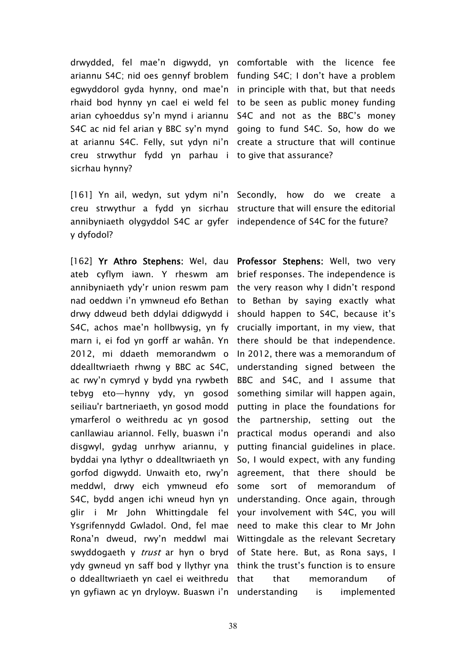drwydded, fel mae'n digwydd, yn comfortable with the licence fee ariannu S4C; nid oes gennyf broblem funding S4C; I don't have a problem egwyddorol gyda hynny, ond mae'n in principle with that, but that needs rhaid bod hynny yn cael ei weld fel to be seen as public money funding arian cyhoeddus sy'n mynd i ariannu S4C and not as the BBC's money S4C ac nid fel arian y BBC sy'n mynd going to fund S4C. So, how do we at ariannu S4C. Felly, sut ydyn ni'n create a structure that will continue creu strwythur fydd yn parhau i to give that assurance? sicrhau hynny?

[161] Yn ail, wedyn, sut ydym ni'n Secondly, how do we create a creu strwythur a fydd yn sicrhau structure that will ensure the editorial annibyniaeth olygyddol S4C ar gyfer independence of S4C for the future? y dyfodol?

[162] **Yr Athro Stephens:** Wel, dau **Professor Stephens:** Well, two very ateb cyflym iawn. Y rheswm am annibyniaeth ydy'r union reswm pam the very reason why I didn't respond nad oeddwn i'n ymwneud efo Bethan to Bethan by saying exactly what drwy ddweud beth ddylai ddigwydd i should happen to S4C, because it's S4C, achos mae'n hollbwysig, yn fy crucially important, in my view, that marn i, ei fod yn gorff ar wahân. Yn there should be that independence. 2012, mi ddaeth memorandwm o ddealltwriaeth rhwng y BBC ac S4C, ac rwy'n cymryd y bydd yna rywbeth tebyg eto—hynny ydy, yn gosod seiliau'r bartneriaeth, yn gosod modd ymarferol o weithredu ac yn gosod canllawiau ariannol. Felly, buaswn i'n disgwyl, gydag unrhyw ariannu, y byddai yna lythyr o ddealltwriaeth yn So, I would expect, with any funding gorfod digwydd. Unwaith eto, rwy'n meddwl, drwy eich ymwneud efo some sort of memorandum of S4C, bydd angen ichi wneud hyn yn glir i Mr John Whittingdale fel your involvement with S4C, you will Ysgrifennydd Gwladol. Ond, fel mae need to make this clear to Mr John Rona'n dweud, rwy'n meddwl mai Wittingdale as the relevant Secretary swyddogaeth y *trust* ar hyn o bryd of State here. But, as Rona says, I ydy gwneud yn saff bod y llythyr yna think the trust's function is to ensure o ddealltwriaeth yn cael ei weithredu yn gyfiawn ac yn dryloyw. Buaswn i'n understanding is implemented

brief responses. The independence is In 2012, there was a memorandum of understanding signed between the BBC and S4C, and I assume that something similar will happen again, putting in place the foundations for the partnership, setting out the practical modus operandi and also putting financial guidelines in place. agreement, that there should be understanding. Once again, through that memorandum of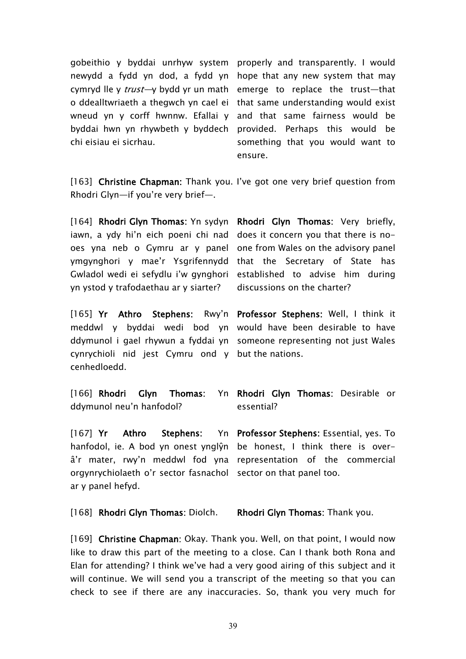gobeithio y byddai unrhyw system properly and transparently. I would newydd a fydd yn dod, a fydd yn hope that any new system that may cymryd lle y *trust—*y bydd yr un math emerge to replace the trust—that o ddealltwriaeth a thegwch yn cael ei that same understanding would exist wneud yn y corff hwnnw. Efallai y and that same fairness would be byddai hwn yn rhywbeth y byddech provided. Perhaps this would be chi eisiau ei sicrhau.

something that you would want to ensure.

[163] **Christine Chapman:** Thank you. I've got one very brief question from Rhodri Glyn—if you're very brief—.

[164] **Rhodri Glyn Thomas:** Yn sydyn **Rhodri Glyn Thomas:** Very briefly, iawn, a ydy hi'n eich poeni chi nad does it concern you that there is nooes yna neb o Gymru ar y panel one from Wales on the advisory panel ymgynghori y mae'r Ysgrifennydd that the Secretary of State has Gwladol wedi ei sefydlu i'w gynghori established to advise him during yn ystod y trafodaethau ar y siarter?

[165] **Yr Athro Stephens:** Rwy'n **Professor Stephens:** Well, I think it meddwl y byddai wedi bod yn would have been desirable to have ddymunol i gael rhywun a fyddai yn someone representing not just Wales cynrychioli nid jest Cymru ond y but the nations. cenhedloedd.

discussions on the charter?

[166] **Rhodri Glyn Thomas:** ddymunol neu'n hanfodol? **Rhodri Glyn Thomas:** Desirable or essential?

[167] **Yr Athro Stephens:** hanfodol, ie. A bod yn onest ynglŷn be honest, I think there is overâ'r mater, rwy'n meddwl fod yna representation of the commercial orgynrychiolaeth o'r sector fasnachol sector on that panel too. ar y panel hefyd. **Professor Stephens:** Essential, yes. To

[168] **Rhodri Glyn Thomas:** Diolch. **Rhodri Glyn Thomas:** Thank you.

[169] **Christine Chapman:** Okay. Thank you. Well, on that point, I would now like to draw this part of the meeting to a close. Can I thank both Rona and Elan for attending? I think we've had a very good airing of this subject and it will continue. We will send you a transcript of the meeting so that you can check to see if there are any inaccuracies. So, thank you very much for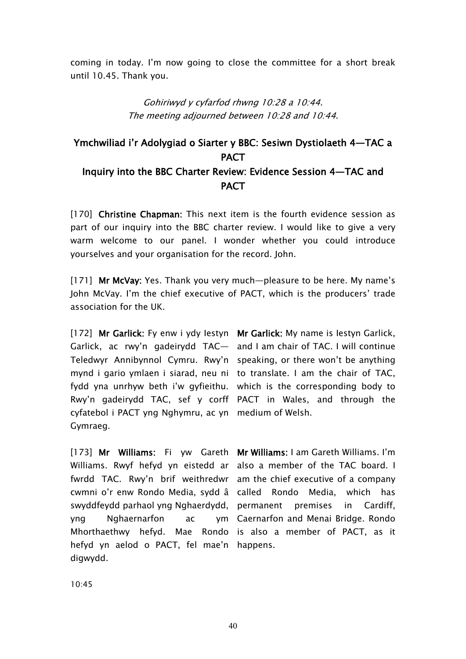coming in today. I'm now going to close the committee for a short break until 10.45. Thank you.

> *Gohiriwyd y cyfarfod rhwng 10:28 <sup>a</sup> 10:44. The meeting adjourned between 10:28 and 10:44.*

# **Ymchwiliad i'r Adolygiad o Siarter y BBC: Sesiwn Dystiolaeth 4—TAC a PACT Inquiry into the BBC Charter Review: Evidence Session 4—TAC and PACT**

[170] **Christine Chapman:** This next item is the fourth evidence session as part of our inquiry into the BBC charter review. I would like to give a very warm welcome to our panel. I wonder whether you could introduce yourselves and your organisation for the record. John.

[171] **Mr McVay:** Yes. Thank you very much—pleasure to be here. My name's John McVay. I'm the chief executive of PACT, which is the producers' trade association for the UK.

[172] **Mr Garlick:** Fy enw i ydy Iestyn **Mr Garlick:** My name is Iestyn Garlick, Garlick, ac rwy'n gadeirydd TAC— and I am chair of TAC. I will continue Teledwyr Annibynnol Cymru. Rwy'n speaking, or there won't be anything mynd i gario ymlaen i siarad, neu ni to translate. I am the chair of TAC, fydd yna unrhyw beth i'w gyfieithu. which is the corresponding body to Rwy'n gadeirydd TAC, sef y corff PACT in Wales, and through the cyfatebol i PACT yng Nghymru, ac yn medium of Welsh. Gymraeg.

[173] **Mr Williams:** Fi yw Gareth **Mr Williams:** I am Gareth Williams. I'm Williams. Rwyf hefyd yn eistedd ar also a member of the TAC board. I fwrdd TAC. Rwy'n brif weithredwr am the chief executive of a company cwmni o'r enw Rondo Media, sydd â called Rondo Media, which has swyddfeydd parhaol yng Nghaerdydd, permanent premises in Cardiff, yng Nghaernarfon ac Mhorthaethwy hefyd. Mae Rondo is also a member of PACT, as it hefyd yn aelod o PACT, fel mae'n happens. digwydd.

Caernarfon and Menai Bridge. Rondo

10:45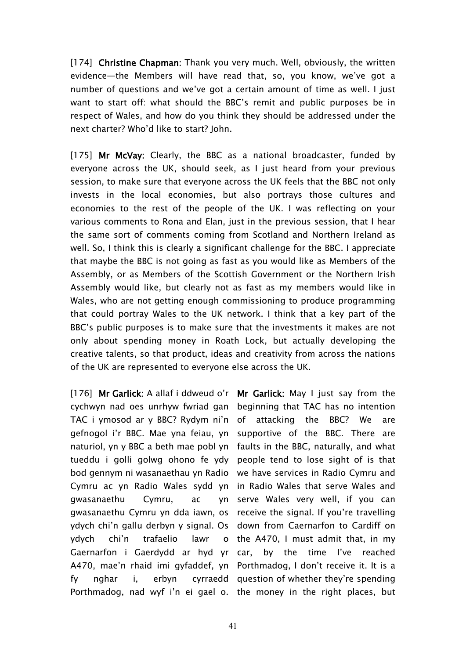[174] **Christine Chapman:** Thank you very much. Well, obviously, the written evidence—the Members will have read that, so, you know, we've got a number of questions and we've got a certain amount of time as well. I just want to start off: what should the BBC's remit and public purposes be in respect of Wales, and how do you think they should be addressed under the next charter? Who'd like to start? John.

[175] **Mr McVay:** Clearly, the BBC as a national broadcaster, funded by everyone across the UK, should seek, as I just heard from your previous session, to make sure that everyone across the UK feels that the BBC not only invests in the local economies, but also portrays those cultures and economies to the rest of the people of the UK. I was reflecting on your various comments to Rona and Elan, just in the previous session, that I hear the same sort of comments coming from Scotland and Northern Ireland as well. So, I think this is clearly a significant challenge for the BBC. I appreciate that maybe the BBC is not going as fast as you would like as Members of the Assembly, or as Members of the Scottish Government or the Northern Irish Assembly would like, but clearly not as fast as my members would like in Wales, who are not getting enough commissioning to produce programming that could portray Wales to the UK network. I think that a key part of the BBC's public purposes is to make sure that the investments it makes are not only about spending money in Roath Lock, but actually developing the creative talents, so that product, ideas and creativity from across the nations of the UK are represented to everyone else across the UK.

[176] **Mr Garlick:** A allaf i ddweud o'r **Mr Garlick:** May I just say from the cychwyn nad oes unrhyw fwriad gan beginning that TAC has no intention TAC i ymosod ar y BBC? Rydym ni'n of attacking the BBC? We are gefnogol i'r BBC. Mae yna feiau, yn supportive of the BBC. There are naturiol, yn y BBC a beth mae pobl yn faults in the BBC, naturally, and what tueddu i golli golwg ohono fe ydy people tend to lose sight of is that bod gennym ni wasanaethau yn Radio we have services in Radio Cymru and Cymru ac yn Radio Wales sydd yn in Radio Wales that serve Wales and gwasanaethu Cymru, ac gwasanaethu Cymru yn dda iawn, os receive the signal. If you're travelling ydych chi'n gallu derbyn y signal. Os down from Caernarfon to Cardiff on ydych chi'n trafaelio lawr Gaernarfon i Gaerdydd ar hyd yr A470, mae'n rhaid imi gyfaddef, yn Porthmadog, I don't receive it. It is a fy nghar i, erbyn cyrraedd question of whether they're spending Porthmadog, nad wyf i'n ei gael o. the money in the right places, but

yn serve Wales very well, if you can o the  $A470$ , I must admit that, in my by the time I've reached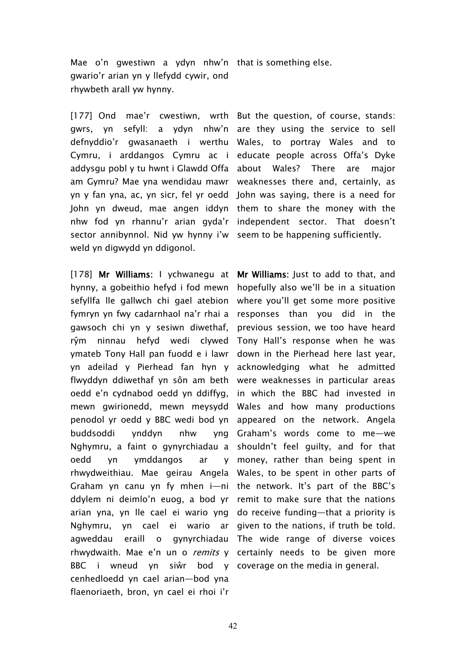Mae o'n gwestiwn a ydyn nhw'n that is something else. gwario'r arian yn y llefydd cywir, ond rhywbeth arall yw hynny.

[177] Ond mae'r cwestiwn, wrth But the question, of course, stands: gwrs, yn sefyll: a ydyn nhw'n are they using the service to sell defnyddio'r gwasanaeth i werthu Wales, to portray Wales and to Cymru, i arddangos Cymru ac i educate people across Offa's Dyke addysgu pobl y tu hwnt i Glawdd Offa about Wales? There are major am Gymru? Mae yna wendidau mawr weaknesses there and, certainly, as yn y fan yna, ac, yn sicr, fel yr oedd John was saying, there is a need for John yn dweud, mae angen iddyn them to share the money with the nhw fod yn rhannu'r arian gyda'r independent sector. That doesn't sector annibynnol. Nid yw hynny i'w seem to be happening sufficiently. weld yn digwydd yn ddigonol.

[178] **Mr Williams:** I ychwanegu at **Mr Williams:** Just to add to that, and hynny, a gobeithio hefyd i fod mewn hopefully also we'll be in a situation sefyllfa lle gallwch chi gael atebion fymryn yn fwy cadarnhaol na'r rhai a responses than you did in the gawsoch chi yn y sesiwn diwethaf, rŷm ninnau hefyd wedi clywed Tony Hall's response when he was ymateb Tony Hall pan fuodd e i lawr down in the Pierhead here last year, yn adeilad y Pierhead fan hyn y acknowledging what he admitted flwyddyn ddiwethaf yn sôn am beth were weaknesses in particular areas oedd e'n cydnabod oedd yn ddiffyg, mewn gwirionedd, mewn meysydd Wales and how many productions penodol yr oedd y BBC wedi bod yn appeared on the network. Angela buddsoddi ynddyn nhw yng Nghymru, a faint o gynyrchiadau a shouldn't feel guilty, and for that oedd yn ymddangos ar rhwydweithiau. Mae geirau Angela Wales, to be spent in other parts of Graham yn canu yn fy mhen i—ni the network. It's part of the BBC's ddylem ni deimlo'n euog, a bod yr remit to make sure that the nations arian yna, yn lle cael ei wario yng do receive funding—that a priority is Nghymru, yn cael ei wario ar given to the nations, if truth be told. agweddau eraill o rhwydwaith. Mae e'n un o *remits* y certainly needs to be given more BBC i wneud yn siŵr bod y coverage on the media in general.cenhedloedd yn cael arian—bod yna flaenoriaeth, bron, yn cael ei rhoi i'r

where you'll get some more positive previous session, we too have heard in which the BBC had invested in Graham's words come to me—we money, rather than being spent in gynyrchiadau The wide range of diverse voices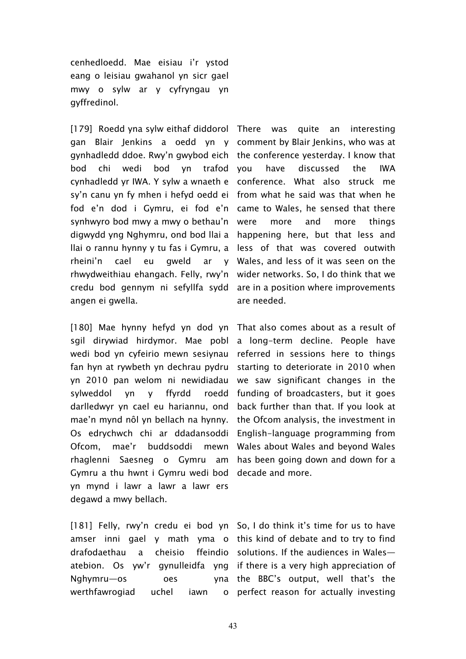cenhedloedd. Mae eisiau i'r ystod eang o leisiau gwahanol yn sicr gael mwy o sylw ar y cyfryngau yn gyffredinol.

[179] Roedd yna sylw eithaf diddorol There was quite an interesting gan Blair Jenkins a oedd yn y comment by Blair Jenkins, who was at gynhadledd ddoe. Rwy'n gwybod eich the conference yesterday. I know that bod chi wedi bod yn trafod cynhadledd yr IWA. Y sylw a wnaeth e conference. What also struck me sy'n canu yn fy mhen i hefyd oedd ei from what he said was that when he fod e'n dod i Gymru, ei fod e'n came-to-Wales, he-sensed-that-there synhwyro bod mwy a mwy o bethau'n digwydd yng Nghymru, ond bod llai a happening here, but that less and llai o rannu hynny y tu fas i Gymru, a less of that was covered outwith rheini'n cael eu gweld ar rhwydweithiau ehangach. Felly, rwy'n wider networks. So, I do think that we credu bod gennym ni sefyllfa sydd are in a position where improvements angen ei gwella.

[180] Mae hynny hefyd yn dod yn That also comes about as a result of sgil dirywiad hirdymor. Mae pobl a long-term decline. People have wedi bod yn cyfeirio mewn sesiynau referred in sessions here to things fan hyn at rywbeth yn dechrau pydru starting to deteriorate in 2010 when yn 2010 pan welom ni newidiadau sylweddol yn y ffyrdd darlledwyr yn cael eu hariannu, ond back further than that. If you look at mae'n mynd nôl yn bellach na hynny. the Ofcom analysis, the investment in Os edrychwch chi ar ddadansoddi English-language programming from Ofcom, mae'r buddsoddi mewn Wales about Wales and beyond Wales rhaglenni Saesneg o Gymru am has been going down and down for a Gymru a thu hwnt i Gymru wedi bod decade and more. yn mynd i lawr a lawr a lawr ers degawd a mwy bellach.

[181] Felly, rwy'n credu ei bod yn So, I do think it's time for us to have amser inni gael y math yma o this kind of debate and to try to find drafodaethau a cheisio atebion. Os yw'r gynulleidfa yng if there is a very high appreciation of Nghymru—os oes werthfawrogiad uchel iawn

have discussed the IWA more and more things Wales, and less of it was seen on the are needed.

we saw significant changes in the roedd funding of broadcasters, but it goes

ffeindio solutions. If the audiences in Walesthe BBC's output, well that's the perfect reason for actually investing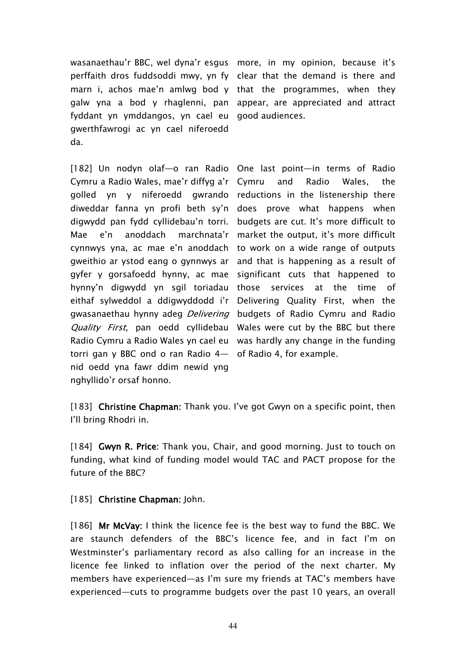wasanaethau'r BBC, wel dyna'r esgus more, in my opinion, because it's perffaith dros fuddsoddi mwy, yn fy clear that the demand is there and marn i, achos mae'n amlwg bod y that the programmes, when they galw yna a bod y rhaglenni, pan appear, are appreciated and attract fyddant yn ymddangos, yn cael eu good audiences. gwerthfawrogi ac yn cael niferoedd da.

[182] Un nodyn olaf—o ran Radio One last point—in terms of Radio Cymru a Radio Wales, mae'r diffyg a'r golled yn y niferoedd gwrando reductions in the listenership there diweddar fanna yn profi beth sy'n does prove what happens when digwydd pan fydd cyllidebau'n torri. budgets are cut. It's more difficult to Mae e'n anoddach marchnata'r market the output, it's more difficult cynnwys yna, ac mae e'n anoddach to work on a wide range of outputs gweithio ar ystod eang o gynnwys ar and that is happening as a result of gyfer y gorsafoedd hynny, ac mae significant cuts that happened to hynny'n digwydd yn sgil toriadau those services at the time of eithaf sylweddol a ddigwyddodd i'r Delivering Quality First, when the gwasanaethau hynny adeg *Delivering* budgets of Radio Cymru and Radio *Quality First*, pan oedd cyllidebau Wales were cut by the BBC but there Radio Cymru a Radio Wales yn cael eu was hardly any change in the funding torri gan y BBC ond o ran Radio 4— of Radio 4, for example. nid oedd yna fawr ddim newid yng nghyllido'r orsaf honno.

and Radio Wales, the

[183] **Christine Chapman:** Thank you. I've got Gwyn on a specific point, then I'll bring Rhodri in.

[184] **Gwyn R. Price:** Thank you, Chair, and good morning. Just to touch on funding, what kind of funding model would TAC and PACT propose for the future of the BBC?

[185] **Christine Chapman:** John.

[186] **Mr McVay:** I think the licence fee is the best way to fund the BBC. We are staunch defenders of the BBC's licence fee, and in fact I'm on Westminster's parliamentary record as also calling for an increase in the licence fee linked to inflation over the period of the next charter. My members have experienced—as I'm sure my friends at TAC's members have experienced—cuts to programme budgets over the past 10 years, an overall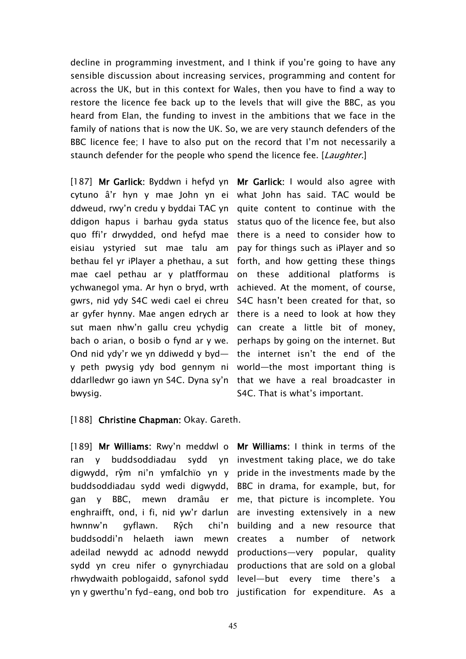decline in programming investment, and I think if you're going to have any sensible discussion about increasing services, programming and content for across the UK, but in this context for Wales, then you have to find a way to restore the licence fee back up to the levels that will give the BBC, as you heard from Elan, the funding to invest in the ambitions that we face in the family of nations that is now the UK. So, we are very staunch defenders of the BBC licence fee; I have to also put on the record that I'm not necessarily a staunch defender for the people who spend the licence fee. [*Laughter.*]

[187] **Mr Garlick:** Byddwn i hefyd yn **Mr Garlick:** I would also agree with cytuno â'r hyn y mae John yn ei what John has said. TAC would be ddweud, rwy'n credu y byddai TAC yn quite content to continue with the ddigon hapus i barhau gyda status status quo of the licence fee, but also quo ffi'r drwydded, ond hefyd mae eisiau ystyried sut mae talu am pay for things such as iPlayer and so bethau fel yr iPlayer a phethau, a sut forth, and how getting these things mae cael pethau ar y platfformau ychwanegol yma. Ar hyn o bryd, wrth gwrs, nid ydy S4C wedi cael ei chreu S4C hasn't been created for that, so ar gyfer hynny. Mae angen edrych ar there is a need to look at how they sut maen nhw'n gallu creu ychydig can create a little bit of money, bach o arian, o bosib o fynd ar y we. perhaps by going on the internet. But Ond nid ydy'r we yn ddiwedd y byd— the internet isn't the end of the y peth pwysig ydy bod gennym ni world—the most important thing is ddarlledwr go iawn yn S4C. Dyna sy'n that we have a real broadcaster in bwysig.

there is a need to consider how to on these additional platforms is achieved. At the moment, of course, S4C. That is what's important.

### [188] **Christine Chapman:** Okay. Gareth.

[189] **Mr Williams:** Rwy'n meddwl o **Mr Williams:** I think in terms of the ran y buddsoddiadau sydd yn investment taking place, we do take digwydd, rŷm ni'n ymfalchïo yn y pride in the investments made by the buddsoddiadau sydd wedi digwydd, BBC in drama, for example, but, for gan y BBC, mewn dramâu er me, that picture is incomplete. You enghraifft, ond, i fi, nid yw'r darlun are investing extensively in a new hwnnw'n gyflawn. Rŷch buddsoddi'n helaeth iawn mewn adeilad newydd ac adnodd newydd productions—very popular, quality sydd yn creu nifer o gynyrchiadau productions that are sold on a global rhwydwaith poblogaidd, safonol sydd level—but every time there's a yn y gwerthu'n fyd-eang, ond bob tro justification for expenditure. As a

chi'n building and a new resource that a number of network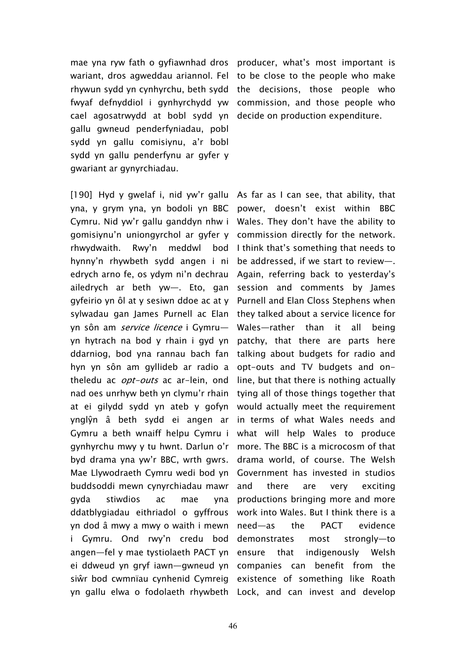mae yna ryw fath o gyfiawnhad dros producer, what's most important is wariant, dros agweddau ariannol. Fel rhywun sydd yn cynhyrchu, beth sydd the decisions, those people who fwyaf defnyddiol i gynhyrchydd yw cael agosatrwydd at bobl sydd yn decide on production expenditure. gallu gwneud penderfyniadau, pobl sydd yn gallu comisiynu, a'r bobl sydd yn gallu penderfynu ar gyfer y gwariant ar gynyrchiadau.

yna, y grym yna, yn bodoli yn BBC power, doesn't exist within BBC Cymru. Nid yw'r gallu ganddyn nhw i Wales. They don't have the ability to gomisiynu'n uniongyrchol ar gyfer y commission directly for the network. rhwydwaith. Rwy'n meddwl bod I think that's something that needs to hynny'n rhywbeth sydd angen i ni edrych arno fe, os ydym ni'n dechrau ailedrych ar beth yw—. Eto, gan session and comments by James gyfeirio yn ôl at y sesiwn ddoe ac at y Purnell and Elan Closs Stephens when sylwadau gan James Purnell ac Elan they talked about a service licence for yn sôn am *service licence* i Gymru yn hytrach na bod y rhain i gyd yn patchy, that there are parts here ddarniog, bod yna rannau bach fan talking about budgets for radio and hyn yn sôn am gyllideb ar radio a opt-outs and TV budgets and ontheledu ac *opt-outs* ac ar-lein, ond nad oes unrhyw beth yn clymu'r rhain tying all of those things together that at ei gilydd sydd yn ateb y gofyn ynglŷn â beth sydd ei angen ar Gymru a beth wnaiff helpu Cymru i gynhyrchu mwy y tu hwnt. Darlun o'r more. The BBC is a microcosm of that byd drama yna yw'r BBC, wrth gwrs. Mae Llywodraeth Cymru wedi bod yn Government has invested in studios buddsoddi mewn cynyrchiadau mawr gyda stiwdios ac mae ddatblygiadau eithriadol o gyffrous yn dod â mwy a mwy o waith i mewn need—as the PACT evidence i Gymru. Ond rwy'n credu bod demonstrates most strongly—to angen—fel y mae tystiolaeth PACT yn ei ddweud yn gryf iawn—gwneud yn companies can benefit from the siŵr bod cwmnïau cynhenid Cymreig existence of something like Roath yn gallu elwa o fodolaeth rhywbeth Lock, and can invest and develop

to be close to the people who make commission, and those people who

[190] Hyd y gwelaf i, nid yw'r gallu As far as I can see, that ability, that be addressed, if we start to review—. Again, referring back to yesterday's Wales—rather than it all being line, but that there is nothing actually would actually meet the requirement in terms of what Wales needs and what will help Wales to produce drama world, of course. The Welsh and there are very exciting productions bringing more and more work into Wales. But I think there is a indigenously Welsh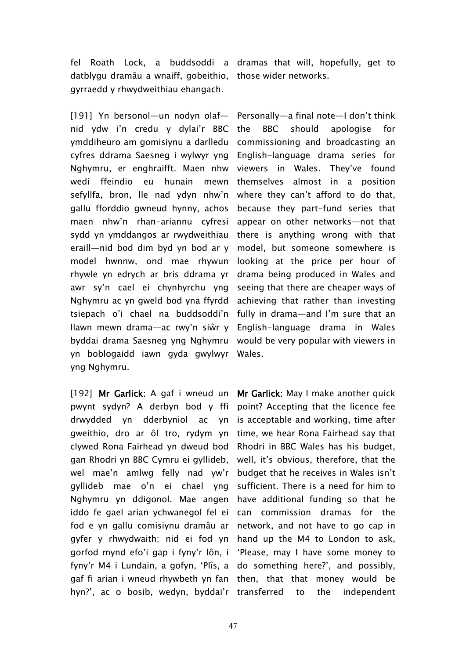fel Roath Lock, a buddsoddi a dramas that will, hopefully, get to datblygu dramâu a wnaiff, gobeithio, those wider networks. gyrraedd y rhwydweithiau ehangach.

[191] Yn bersonol—un nodyn olaf— Personally—a final note—I don't think nid ydw i'n credu y dylai'r BBC ymddiheuro am gomisiynu a darlledu cyfres ddrama Saesneg i wylwyr yng Nghymru, er enghraifft. Maen nhw wedi ffeindio eu hunain mewn sefyllfa, bron, lle nad ydyn nhw'n gallu fforddio gwneud hynny, achos maen nhw'n rhan-ariannu cyfresi sydd yn ymddangos ar rwydweithiau eraill—nid bod dim byd yn bod ar y model hwnnw, ond mae rhywun rhywle yn edrych ar bris ddrama yr awr sy'n cael ei chynhyrchu yng Nghymru ac yn gweld bod yna ffyrdd tsiepach o'i chael na buddsoddi'n fully in drama—and I'm sure that an llawn mewn drama—ac rwy'n siŵr y English-language drama in Wales byddai drama Saesneg yng Nghymru would be very popular with viewers in yn boblogaidd iawn gyda gwylwyr Wales. yng Nghymru.

[192] **Mr Garlick:** A gaf i wneud un pwynt sydyn? A derbyn bod y ffi drwydded yn dderbyniol ac yn gweithio, dro ar ôl tro, rydym yn clywed Rona Fairhead yn dweud bod gan Rhodri yn BBC Cymru ei gyllideb, wel mae'n amlwg felly nad yw'r gyllideb mae o'n ei chael yng Nghymru yn ddigonol. Mae angen have additional funding so that he iddo fe gael arian ychwanegol fel ei can commission dramas for the fod e yn gallu comisiynu dramâu ar gyfer y rhwydwaith; nid ei fod yn hand up the M4 to London to ask, gorfod mynd efo'i gap i fyny'r lôn, i 'Please, may I have some money to fyny'r M4 i Lundain, a gofyn, 'Plîs, a do something here?', and possibly, gaf fi arian i wneud rhywbeth yn fan then, that that money would be hyn?', ac o bosib, wedyn, byddai'r transferred to the independent

the BBC should apologise for commissioning and broadcasting an English-language drama series for viewers in Wales. They've found themselves almost in a position where they can't afford to do that, because they part-fund series that appear on other networks—not that there is anything wrong with that model, but someone somewhere is looking at the price per hour of drama being produced in Wales and seeing that there are cheaper ways of achieving that rather than investing

**Mr Garlick:** May I make another quick point? Accepting that the licence fee is acceptable and working, time after time, we hear Rona Fairhead say that Rhodri in BBC Wales has his budget, well, it's obvious, therefore, that the budget that he receives in Wales isn't sufficient. There is a need for him to network, and not have to go cap in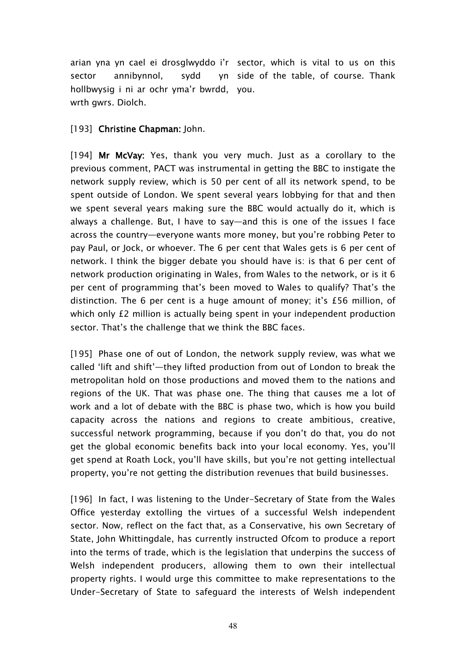arian yna yn cael ei drosglwyddo i'r sector, which is vital to us on this sector annibynnol, sydd hollbwysig i ni ar ochr yma'r bwrdd, you. wrth gwrs. Diolch. yn side of the table, of course. Thank

## [193] **Christine Chapman:** John.

[194] **Mr McVay:** Yes, thank you very much. Just as a corollary to the previous comment, PACT was instrumental in getting the BBC to instigate the network supply review, which is 50 per cent of all its network spend, to be spent outside of London. We spent several years lobbying for that and then we spent several years making sure the BBC would actually do it, which is always a challenge. But, I have to say—and this is one of the issues I face across the country—everyone wants more money, but you're robbing Peter to pay Paul, or Jock, or whoever. The 6 per cent that Wales gets is 6 per cent of network. I think the bigger debate you should have is: is that 6 per cent of network production originating in Wales, from Wales to the network, or is it 6 per cent of programming that's been moved to Wales to qualify? That's the distinction. The 6 per cent is a huge amount of money; it's £56 million, of which only £2 million is actually being spent in your independent production sector. That's the challenge that we think the BBC faces.

[195] Phase one of out of London, the network supply review, was what we called 'lift and shift'—they lifted production from out of London to break the metropolitan hold on those productions and moved them to the nations and regions of the UK. That was phase one. The thing that causes me a lot of work and a lot of debate with the BBC is phase two, which is how you build capacity across the nations and regions to create ambitious, creative, successful network programming, because if you don't do that, you do not get the global economic benefits back into your local economy. Yes, you'll get spend at Roath Lock, you'll have skills, but you're not getting intellectual property, you're not getting the distribution revenues that build businesses.

[196] In fact, I was listening to the Under-Secretary of State from the Wales Office yesterday extolling the virtues of a successful Welsh independent sector. Now, reflect on the fact that, as a Conservative, his own Secretary of State, John Whittingdale, has currently instructed Ofcom to produce a report into the terms of trade, which is the legislation that underpins the success of Welsh independent producers, allowing them to own their intellectual property rights. I would urge this committee to make representations to the Under-Secretary of State to safeguard the interests of Welsh independent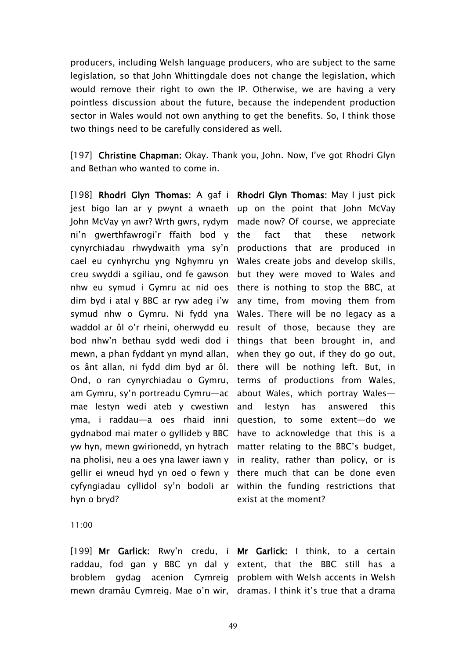producers, including Welsh language producers, who are subject to the same legislation, so that John Whittingdale does not change the legislation, which would remove their right to own the IP. Otherwise, we are having a very pointless discussion about the future, because the independent production sector in Wales would not own anything to get the benefits. So, I think those two things need to be carefully considered as well.

[197] **Christine Chapman:** Okay. Thank you, John. Now, I've got Rhodri Glyn and Bethan who wanted to come in.

[198] **Rhodri Glyn Thomas:** A gaf i **Rhodri Glyn Thomas:** May I just pick jest bigo lan ar y pwynt a wnaeth up on the point that John McVay John McVay yn awr? Wrth gwrs, rydym made now? Of course, we appreciate ni'n gwerthfawrogi'r ffaith bod y cynyrchiadau rhwydwaith yma sy'n productions that are produced in cael eu cynhyrchu yng Nghymru yn Wales create jobs and develop skills, creu swyddi a sgiliau, ond fe gawson but they were moved to Wales and nhw eu symud i Gymru ac nid oes dim byd i atal y BBC ar ryw adeg i'w symud nhw o Gymru. Ni fydd yna Wales. There will be no legacy as a waddol ar ôl o'r rheini, oherwydd eu result of those, because they are bod nhw'n bethau sydd wedi dod i things that been brought in, and mewn, a phan fyddant yn mynd allan, os ânt allan, ni fydd dim byd ar ôl. there will be nothing left. But, in Ond, o ran cynyrchiadau o Gymru, am Gymru, sy'n portreadu Cymru—ac mae Iestyn wedi ateb y cwestiwn yma, i raddau—a oes rhaid inni gydnabod mai mater o gyllideb y BBC yw hyn, mewn gwirionedd, yn hytrach matter relating to the BBC's budget, na pholisi, neu a oes yna lawer iawn y in reality, rather than policy, or is gellir ei wneud hyd yn oed o fewn y there much that can be done even cyfyngiadau cyllidol sy'n bodoli ar within the funding restrictions that hyn o bryd?

fact that these network there is nothing to stop the BBC, at any time, from moving them from when they go out, if they do go out, terms of productions from Wales, about Wales, which portray Wales and Iestyn has answered this question, to some extent—do we have to acknowledge that this is a exist at the moment?

11:00

[199] **Mr Garlick:** Rwy'n credu, i **Mr Garlick:** I think, to a certain raddau, fod gan y BBC yn dal y extent, that the BBC still has a broblem gydag acenion Cymreig problem-with-Welsh-accents-in-Welsh

mewn dramâu Cymreig. Mae o'n wir, dramas. I think it's true that a drama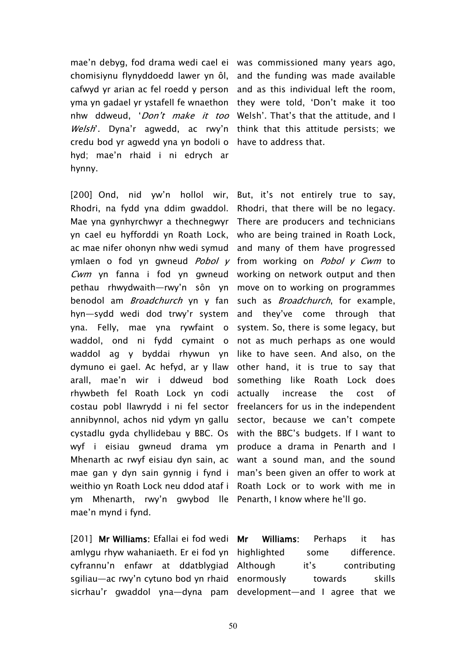mae'n debyg, fod drama wedi cael ei was commissioned many years ago, chomisiynu flynyddoedd lawer yn ôl, and the funding was made available cafwyd yr arian ac fel roedd y person and as this individual left the room, yma yn gadael yr ystafell fe wnaethon they were told, 'Don't make it too nhw ddweud, '*Don't make it too* Welsh'. That's that the attitude, and I Welsh'. Dyna'r agwedd, ac rwy'n think that this attitude persists; we credu bod yr agwedd yna yn bodoli o have to address that. hyd; mae'n rhaid i ni edrych ar hynny.

[200] Ond, nid yw'n hollol wir, But, it's not entirely true to say, Rhodri, na fydd yna ddim gwaddol. Rhodri, that there will be no legacy. Mae yna gynhyrchwyr a thechnegwyr There are producers and technicians yn cael eu hyfforddi yn Roath Lock, who are being trained in Roath Lock, ac mae nifer ohonyn nhw wedi symud  $\,$  and  $\,$  many  $\,$  of them  $\,$  have  $\,$  progressed  $\,$ ymlaen o fod yn gwneud *Pobol <sup>y</sup>* from working on *Pobol <sup>y</sup> Cwm* to *Cwm* yn fanna i fod yn gwneud working on network output and then pethau rhwydwaith—rwy'n sôn yn move on to working on programmes benodol am *Broadchurch* yn y fan such as *Broadchurch*, for example, hyn—sydd wedi dod trwy'r system and they've come through that yna. Felly, mae yna rywfaint o waddol, ond ni fydd cymaint o not as much perhaps as one would waddol ag y byddai rhywun yn like to have seen. And also, on the dymuno ei gael. Ac hefyd, ar y llaw other hand, it is true to say that arall, mae'n wir i ddweud bod something like Roath Lock does rhywbeth fel Roath Lock yn codi actually increase the cost of costau pobl llawrydd i ni fel sector freelancers for us in the independent annibynnol, achos nid ydym yn gallu sector, because we can't compete cystadlu gyda chyllidebau y BBC. Os with the BBC's budgets. If I want to wyf i eisiau gwneud drama ym produce a drama in Penarth and I Mhenarth ac rwyf eisiau dyn sain, ac want a sound man, and the sound mae gan y dyn sain gynnig i fynd i man's been given an offer to work at weithio yn Roath Lock neu ddod ataf i Roath Lock or to work with me in ym Mhenarth, rwy'n gwybod lle Penarth, I know where he'll go. mae'n mynd i fynd.

[201] **Mr Williams:** Efallai ei fod wedi amlygu rhyw wahaniaeth. Er ei fod yn highlighted some difference. cyfrannu'n enfawr at ddatblygiad sgiliau—ac rwy'n cytuno bod yn rhaid enormously towards skills

system. So, there is some legacy, but

sicrhau'r gwaddol yna—dyna pam development—and I agree that we**Mr Williams:** Perhaps it has it's contributing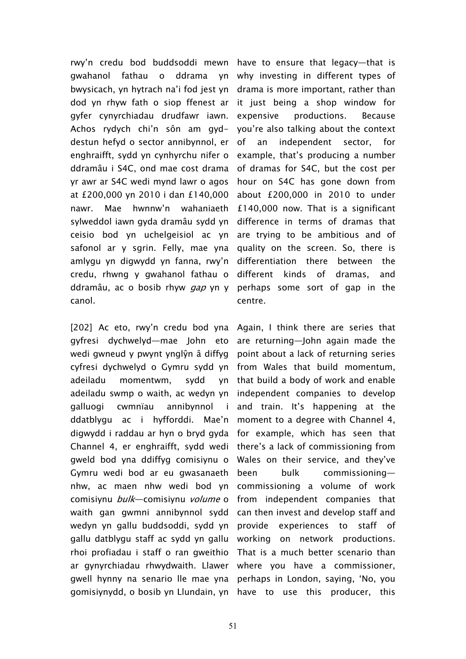rwy'n credu bod buddsoddi mewn have to ensure that legacy—that is gwahanol fathau o ddrama yn why investing in different types of bwysicach, yn hytrach na'i fod jest yn dod yn rhyw fath o siop ffenest ar gyfer cynyrchiadau drudfawr iawn. Achos rydych chi'n sôn am gyddestun hefyd o sector annibynnol, er enghraifft, sydd yn cynhyrchu nifer o ddramâu i S4C, ond mae cost drama yr awr ar S4C wedi mynd lawr o agos at £200,000 yn 2010 i dan £140,000 nawr. Mae hwnnw'n wahaniaeth sylweddol iawn gyda dramâu sydd yn ceisio bod yn uchelgeisiol ac yn safonol ar y sgrin. Felly, mae yna amlygu yn digwydd yn fanna, rwy'n credu, rhwng y gwahanol fathau o ddramâu, ac o bosib rhyw *gap* yn y perhaps some sort of gap in the canol.

[202] Ac eto, rwy'n credu bod yna Again, I think there are series that gyfresi dychwelyd—mae John eto are-returning—John-again-made-the wedi gwneud y pwynt ynglŷn â diffyg point about a lack of returning series cyfresi dychwelyd o Gymru sydd yn from Wales that build momentum, adeiladu momentwm, sydd adeiladu swmp o waith, ac wedyn yn independent companies to develop galluogi cwmnïau annibynnol i and train. It's happening at the ddatblygu ac i hyfforddi. Mae'n moment to a degree with Channel 4, digwydd i raddau ar hyn o bryd gyda for example, which has seen that Channel 4, er enghraifft, sydd wedi there's a lack of commissioning from gweld bod yna ddiffyg comisiynu o Wales on their service, and they've Gymru wedi bod ar eu gwasanaeth nhw, ac maen nhw wedi bod yn commissioning a volume of work comisiynu *bulk*—comisiynu *volume* o from independent companies that waith gan gwmni annibynnol sydd can then invest and develop staff and wedyn yn gallu buddsoddi, sydd yn provide experiences to staff of gallu datblygu staff ac sydd yn gallu working on network productions. rhoi profiadau i staff o ran gweithio That is a much better scenario than ar gynyrchiadau rhwydwaith. Llawer where you have a commissioner, gwell hynny na senario lle mae yna perhaps in London, saying, 'No, you gomisiynydd, o bosib yn Llundain, yn have to use this producer, this

drama is more important, rather than it just being a shop window for expensive productions. Because you're also talking about the context an independent sector, for example, that's producing a number of dramas for S4C, but the cost per hour on S4C has gone down from about £200,000 in 2010 to under £140,000 now. That is a significant difference in terms of dramas that are trying to be ambitious and of quality on the screen. So, there is differentiation there between the different kinds of dramas, and centre.

yn that build a body of work and enable been bulk commissioning—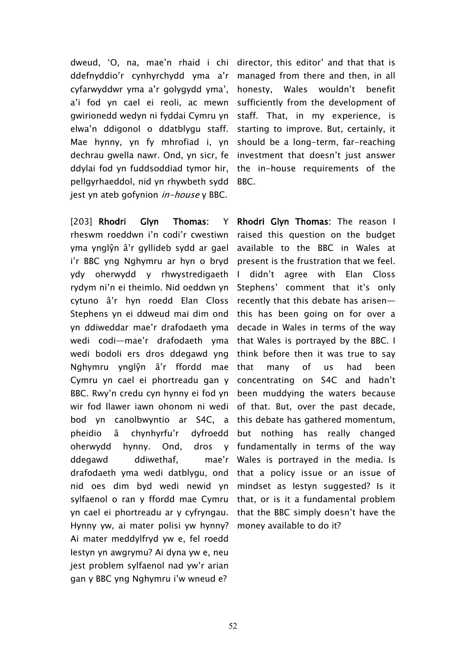dweud, 'O, na, mae'n rhaid i chi director, this editor' and that that is ddefnyddio'r cynhyrchydd yma a'r managed from there and then, in all cyfarwyddwr yma a'r golygydd yma', a'i fod yn cael ei reoli, ac mewn gwirionedd wedyn ni fyddai Cymru yn elwa'n ddigonol o ddatblygu staff. Mae hynny, yn fy mhrofiad i, yn dechrau gwella nawr. Ond, yn sicr, fe ddylai fod yn fuddsoddiad tymor hir, pellgyrhaeddol, nid yn rhywbeth sydd jest yn ateb gofynion *in-house* y BBC.

[203] **Rhodri Glyn Thomas:** Y rheswm roeddwn i'n codi'r cwestiwn yma ynglŷn â'r gyllideb sydd ar gael i'r BBC yng Nghymru ar hyn o bryd present is the frustration that we feel. ydy oherwydd y rhwystredigaeth I didn't agree with Elan Closs rydym ni'n ei theimlo. Nid oeddwn yn Stephens' comment that it's only cytuno â'r hyn roedd Elan Closs recently that this debate has arisen— Stephens yn ei ddweud mai dim ond this has been going on for over a yn ddiweddar mae'r drafodaeth yma decade in Wales in terms of the way wedi codi—mae'r drafodaeth yma that Wales is portrayed by the BBC. I wedi bodoli ers dros ddegawd yng think before then it was true to say Nghymru ynglŷn â'r ffordd mae Cymru yn cael ei phortreadu gan y concentrating on S4C and hadn't BBC. Rwy'n credu cyn hynny ei fod yn been muddying the waters because wir fod llawer iawn ohonom ni wedi of that. But, over the past decade, bod yn canolbwyntio ar S4C, a this debate has gathered momentum, pheidio â chynhyrfu'r dyfroedd oherwydd hynny. Ond, ddegawd ddiwethaf, mae'r drafodaeth yma wedi datblygu, ond that a policy issue or an issue of nid oes dim byd wedi newid yn mindset as Iestyn suggested? Is it sylfaenol o ran y ffordd mae Cymru that, or is it a fundamental problem yn cael ei phortreadu ar y cyfryngau. that the BBC simply doesn't have the Hynny yw, ai mater polisi yw hynny? money available to do it? Ai mater meddylfryd yw e, fel roedd Iestyn yn awgrymu? Ai dyna yw e, neu jest problem sylfaenol nad yw'r arian gan y BBC yng Nghymru i'w wneud e?

honesty, Wales wouldn't benefit sufficiently from the development of staff. That, in my experience, is starting to improve. But, certainly, it should be a long-term, far-reaching investment that doesn't just answer the in-house requirements of the BBC.

**Rhodri Glyn Thomas:** The reason I raised this question on the budget available to the BBC in Wales at many of us had been but nothing has really changed dros y fundamentally in terms of the way Wales is portrayed in the media. Is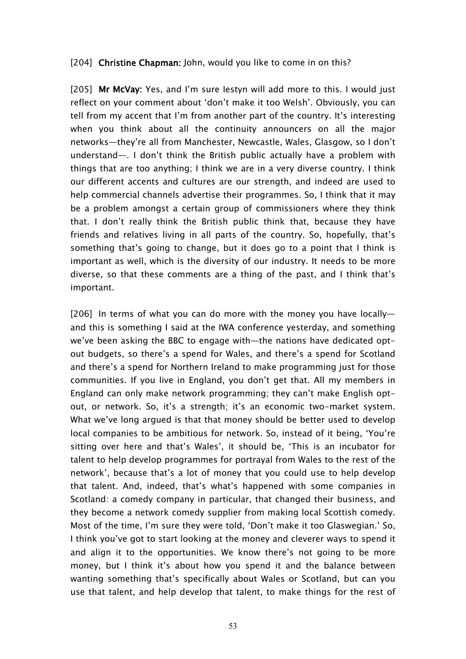## [204] **Christine Chapman:** John, would you like to come in on this?

[205] **Mr McVay:** Yes, and I'm sure Iestyn will add more to this.I would just reflect on your comment about 'don't make it too Welsh'. Obviously, you can tell from my accent that I'm from another part of the country. It's interesting when you think about all the continuity announcers on all the major networks—they're all from Manchester, Newcastle, Wales, Glasgow, so I don't understand—. I don't think the British public actually have a problem with things that are too anything; I think we are in a very diverse country. I think our different accents and cultures are our strength, and indeed are used to help commercial channels advertise their programmes. So, I think that it may be a problem amongst a certain group of commissioners where they think that. I don't really think the British public think that, because they have friends and relatives living in all parts of the country. So, hopefully, that's something that's going to change, but it does go to a point that I think is important as well, which is the diversity of our industry. It needs to be more diverse, so that these comments are a thing of the past, and I think that's important.

[206] In terms of what you can do more with the money you have locally and this is something I said at the IWA conference yesterday, and something we've been asking the BBC to engage with—the nations have dedicated optout budgets, so there's a spend for Wales, and there's a spend for Scotland and there's a spend for Northern Ireland to make programming just for those communities. If you live in England, you don't get that. All my members in England can only make network programming; they can't make English optout, or network. So, it's a strength; it's an economic two-market system. What we've long argued is that that money should be better used to develop local companies to be ambitious for network. So, instead of it being, 'You're sitting over here and that's Wales', it should be, 'This is an incubator for talent to help develop programmes for portrayal from Wales to the rest of the network', because that's a lot of money that you could use to help develop that talent. And, indeed, that's what's happened with some companies in Scotland: a comedy company in particular, that changed their business, and they become a network comedy supplier from making local Scottish comedy. Most of the time, I'm sure they were told, 'Don't make it too Glaswegian.' So, I think you've got to start looking at the money and cleverer ways to spend it and align it to the opportunities. We know there's not going to be more money, but I think it's about how you spend it and the balance between wanting something that's specifically about Wales or Scotland, but can you use that talent, and help develop that talent, to make things for the rest of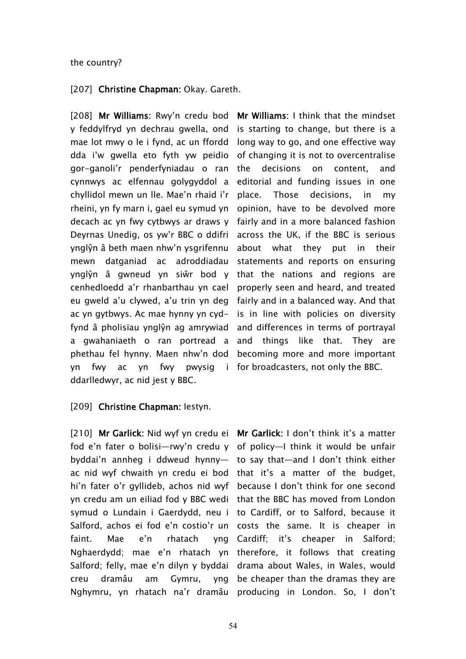### the country?

### [207] **Christine Chapman:** Okay. Gareth.

[208] **Mr Williams:** Rwy'n credu bod **Mr Williams:** I think that the mindset y feddylfryd yn dechrau gwella, ond is starting to change, but there is a mae lot mwy o le i fynd, ac un ffordd long way to go, and one effective way dda i'w gwella eto fyth yw peidio gor-ganoli'r penderfyniadau o ran cynnwys ac elfennau golygyddol a chyllidol mewn un lle. Mae'n rhaid i'r rheini, yn fy marn i, gael eu symud yn decach ac yn fwy cytbwys ar draws y fairly and in a more balanced fashion Deyrnas Unedig, os yw'r BBC o ddifri ynglŷn â beth maen nhw'n ysgrifennu mewn datganiad ac adroddiadau ynglŷn â gwneud yn siŵr bod y that the nations and regions are cenhedloedd a'r rhanbarthau yn cael properly seen and heard, and treated eu gweld a'u clywed, a'u trin yn deg fairly and in a balanced way. And that ac yn gytbwys. Ac mae hynny yn cyd-is in line with policies on diversity fynd â pholisïau ynglŷn ag amrywiad and differences in terms of portrayal a gwahaniaeth o ran portread a and things like that. They are phethau fel hynny. Maen nhw'n dod becoming more and more important yn fwy ac yn fwy ddarlledwyr, ac nid jest y BBC.

of changing it is not to overcentralise the decisions on content, and editorial and funding issues in one place. Those decisions, in my opinion, have to be devolved more across the UK, if the BBC is serious about what they put in their statements and reports on ensuring pwysig i for broadcasters, not only the BBC.

### [209] **Christine Chapman:** Iestyn.

[210] **Mr Garlick:** Nid wyf yn credu ei **Mr Garlick:** I don't think it's a matter fod e'n fater o bolisi—rwy'n credu y of policy—I think it would be unfair byddai'n annheg i ddweud hynny— to say that—and I don't think either ac nid wyf chwaith yn credu ei bod that it's a matter of the budget, hi'n fater o'r gyllideb, achos nid wyf because I don't think for one second yn credu am un eiliad fod y BBC wedi  $\,$  that the BBC has moved from London symud o Lundain i Gaerdydd, neu i to Cardiff, or to Salford, because it Salford, achos ei fod e'n costio'r un costs the same. It is cheaper in faint. Mae e'n rhatach Nghaerdydd; mae e'n rhatach yn therefore, it follows that creating Salford; felly, mae e'n dilyn y byddai drama about Wales, in Wales, would creu dramâu am Gymru, Nghymru, yn rhatach na'r dramâu producing in London. So, I don't

Cardiff; it's cheaper in Salford; be cheaper than the dramas they are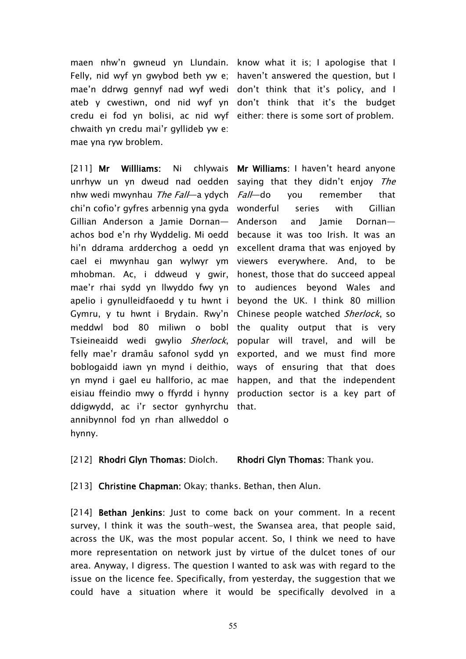maen nhw'n gwneud yn Llundain. know what it is; I apologise that I Felly, nid wyf yn gwybod beth yw e; haven't answered the question, but I mae'n ddrwg gennyf nad wyf wedi don't think that it's policy, and I ateb y cwestiwn, ond nid wyf yn don't think that it's the budget credu ei fod yn bolisi, ac nid wyf either: there is some sort of problem. chwaith yn credu mai'r gyllideb yw e: mae yna ryw broblem.

[211] **Mr Willliams:** Ni chlywais unrhyw un yn dweud nad oedden nhw wedi mwynhau *The Fall*—a ydych chi'n cofio'r gyfres arbennig yna gyda wonderful series with Gillian Gillian Anderson a Jamie Dornan achos bod e'n rhy Wyddelig. Mi oedd hi'n ddrama ardderchog a oedd yn excellent drama that was enjoyed by cael ei mwynhau gan wylwyr ym viewers everywhere. And, to be mhobman. Ac, i ddweud y gwir, mae'r rhai sydd yn llwyddo fwy yn to audiences beyond Wales and apelio i gynulleidfaoedd y tu hwnt i Gymru, y tu hwnt i Brydain. Rwy'n meddwl bod 80 miliwn o bobl Tsieineaidd wedi gwylio *Sherlock*, felly mae'r dramâu safonol sydd yn exported, and we must find more boblogaidd iawn yn mynd i deithio, yn mynd i gael eu hallforio, ac mae happen, and that the independent eisiau ffeindio mwy o ffyrdd i hynny production sector is a key part of ddigwydd, ac i'r sector gynhyrchu that. annibynnol fod yn rhan allweddol o hynny.

**Mr Williams:** I haven't heard anyone saying that they didn't enjoy *The Fall*—do you remember that Anderson and Jamie Dornan because it was too Irish. It was an honest, those that do succeed appeal beyond the UK. I think 80 million Chinese people watched *Sherlock*, so the quality output that is very popular will travel, and will be ways of ensuring that that does

### [212] **Rhodri Glyn Thomas:** Diolch. **Rhodri Glyn Thomas:** Thank you.

#### [213] **Christine Chapman:** Okay; thanks. Bethan, then Alun.

[214] **Bethan Jenkins:** Just to come back on your comment. In a recent survey, I think it was the south-west, the Swansea area, that people said, across the UK, was the most popular accent. So, I think we need to have more representation on network just by virtue of the dulcet tones of our area. Anyway, I digress. The question I wanted to ask was with regard to the issue on the licence fee. Specifically, from yesterday, the suggestion that we could have a situation where it would be specifically devolved in a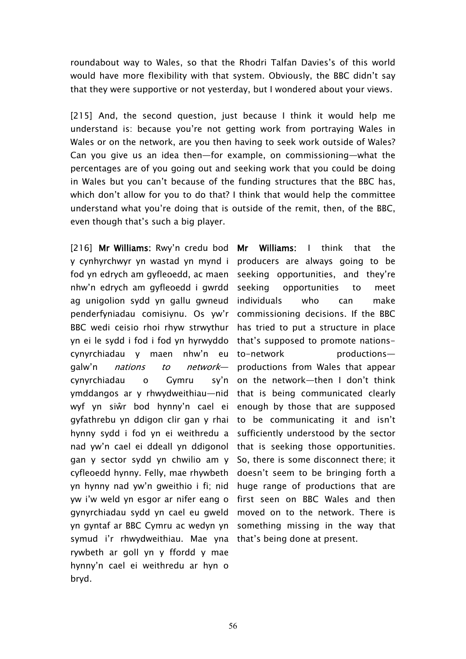roundabout way to Wales, so that the Rhodri Talfan Davies's of this world would have more flexibility with that system. Obviously, the BBC didn't say that they were supportive or not yesterday, but I wondered about your views.

[215] And, the second question, just because I think it would help me understand is: because you're not getting work from portraying Wales in Wales or on the network, are you then having to seek work outside of Wales? Can you give us an idea then—for example, on commissioning—what the percentages are of you going out and seeking work that you could be doing in Wales but you can't because of the funding structures that the BBC has, which don't allow for you to do that? I think that would help the committee understand what you're doing that is outside of the remit, then, of the BBC, even though that's such a big player.

[216] **Mr Williams:** Rwy'n credu bod **Mr Williams:** I think that the y cynhyrchwyr yn wastad yn mynd i producers are always going to be fod yn edrych am gyfleoedd, ac maen seeking opportunities, and they're nhw'n edrych am gyfleoedd i gwrdd ag unigolion sydd yn gallu gwneud penderfyniadau comisiynu. Os yw'r commissioning decisions. If the BBC BBC wedi ceisio rhoi rhyw strwythur has tried to put a structure in place yn ei le sydd i fod i fod yn hyrwyddo that's supposed to promote nationscynyrchiadau y maen nhw'n eu galw'n *nations to network* cynyrchiadau o Gymru sy'n ymddangos ar y rhwydweithiau—nid that is being communicated clearly wyf yn siŵr bod hynny'n cael ei enough by those that are supposed gyfathrebu yn ddigon clir gan y rhai hynny sydd i fod yn ei weithredu a nad yw'n cael ei ddeall yn ddigonol that is seeking those opportunities. gan y sector sydd yn chwilio am y So, there is some disconnect there; it cyfleoedd hynny. Felly, mae rhywbeth doesn't seem to be bringing forth a yn hynny nad yw'n gweithio i fi; nid huge range of productions that are yw i'w weld yn esgor ar nifer eang o first seen on BBC Wales and then gynyrchiadau sydd yn cael eu gweld moved on to the network. There is yn gyntaf ar BBC Cymru ac wedyn yn something missing in the way that symud i'r rhwydweithiau. Mae yna that's being done at present.rywbeth ar goll yn y ffordd y mae hynny'n cael ei weithredu ar hyn o bryd.

seeking opportunities to meet individuals who can make productionsproductions from Wales that appear on the network—then I don't think to be communicating it and isn't sufficiently understood by the sector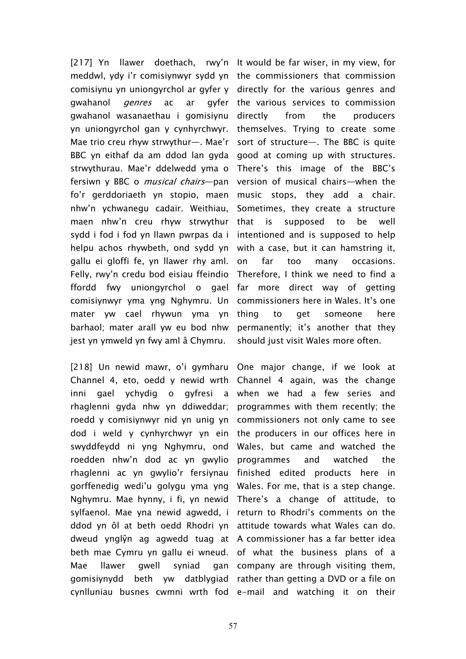[217] Yn llawer doethach, rwy'n It would be far wiser, in my view, for meddwl, ydy i'r comisiynwyr sydd yn the commissioners that commission comisiynu yn uniongyrchol ar gyfer y directly for the various genres and gwahanol *genres* ac ar gwahanol wasanaethau i gomisiynu yn uniongyrchol gan y cynhyrchwyr. Mae trio creu rhyw strwythur—. Mae'r BBC yn eithaf da am ddod lan gyda good at coming up with structures. strwythurau. Mae'r ddelwedd yma o fersiwn y BBC o *musical chairs*—pan fo'r gerddoriaeth yn stopio, maen nhw'n ychwanegu cadair. Weithiau, maen nhw'n creu rhyw strwythur sydd i fod i fod yn llawn pwrpas da i helpu achos rhywbeth, ond sydd yn gallu ei gloffi fe, yn llawer rhy aml. Felly, rwy'n credu bod eisiau ffeindio ffordd fwy uniongyrchol o gael comisiynwyr yma yng Nghymru. Un mater yw cael rhywun yma yn barhaol; mater arall yw eu bod nhw jest yn ymweld yn fwy aml â Chymru.

[218] Un newid mawr, o'i gymharu Channel 4, eto, oedd y newid wrth inni gael ychydig o gyfresi a rhaglenni gyda nhw yn ddiweddar; roedd y comisiynwyr nid yn unig yn dod i weld y cynhyrchwyr yn ein the producers in our offices here in swyddfeydd ni yng Nghymru, ond roedden nhw'n dod ac yn gwylio rhaglenni ac yn gwylio'r fersiynau gorffenedig wedi'u golygu yma yng Nghymru. Mae hynny, i fi, yn newid There's a change of attitude, to sylfaenol. Mae yna newid agwedd, i return to Rhodri's comments on the ddod yn ôl at beth oedd Rhodri yn attitude towards what Wales can do. dweud ynglŷn ag agwedd tuag at A commissioner has a far better idea beth mae Cymru yn gallu ei wneud. of what the business plans of a Mae llawer gwell syniad gomisiynydd beth yw datblygiad rather than getting a DVD or a file on cynlluniau busnes cwmni wrth fod e-mail and watching it on their

gyfer the various services to commission directly from the producers themselves. Trying to create some sort of structure—. The BBC is quite There's this image of the BBC's version of musical chairs—when the music stops, they add a chair. Sometimes, they create a structure that is supposed to be well intentioned and is supposed to help with a case, but it can hamstring it, on far too many occasions. Therefore, I think we need to find a far more direct way of getting commissioners here in Wales. It's one thing to get someone here permanently; it's another that they should just visit Wales more often.

One major change, if we look at Channel 4 again, was the change when we had a few series and programmes with them recently; the commissioners not only came to see Wales, but came and watched the programmes and watched the finished edited products here in Wales. For me, that is a step change. gan company are through visiting them,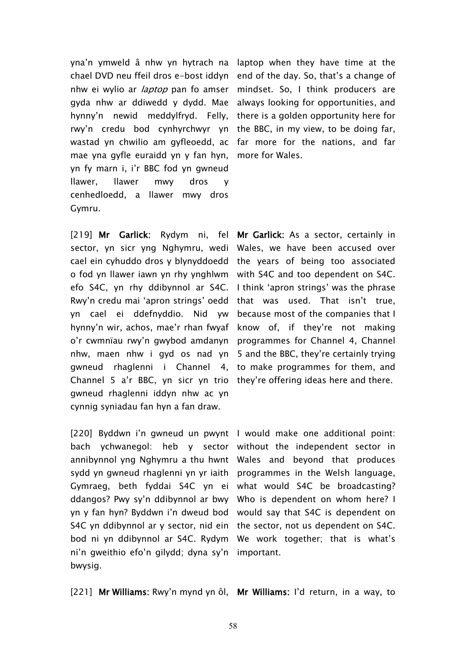yna'n ymweld â nhw yn hytrach na laptop when they have time at the chael DVD neu ffeil dros e–bost iddyn  $\;$  end of the day. So, that's a change of nhw ei wylio ar *laptop* pan fo amser mindset. So, I think producers are gyda nhw ar ddiwedd y dydd. Mae always looking for opportunities, and hynny'n newid meddylfryd. Felly, there is a golden opportunity here for rwy'n credu bod cynhyrchwyr yn the BBC, in my view, to be doing far, wastad yn chwilio am gyfleoedd, ac far more for the nations, and far mae yna gyfle euraidd yn y fan hyn, yn fy marn i, i'r BBC fod yn gwneud llawer, llawer mwy dros y cenhedloedd, a llawer mwy dros Gymru.

[219] **Mr Garlick:** Rydym ni, fel **Mr Garlick:** As a sector, certainly in sector, yn sicr yng Nghymru, wedi Wales, we have been accused over cael ein cyhuddo dros y blynyddoedd the years of being too associated o fod yn llawer iawn yn rhy ynghlwm with S4C and too dependent on S4C. efo S4C, yn rhy ddibynnol ar S4C. I think 'apron strings' was the phrase Rwy'n credu mai 'apron strings' oedd that was used. That isn't true, yn cael ei ddefnyddio. Nid yw because most of the companies that I hynny'n wir, achos, mae'r rhan fwyaf know of, if they're not making o'r cwmnïau rwy'n gwybod amdanyn programmes for Channel 4, Channel nhw, maen nhw i gyd os nad yn 5 and the BBC, they're certainly trying gwneud rhaglenni i Channel 4, to make programmes for them, and Channel 5 a'r BBC, yn sicr yn trio they're offering ideas here and there. gwneud rhaglenni iddyn nhw ac yn cynnig syniadau fan hyn a fan draw.

[220] Byddwn i'n gwneud un pwynt I would make one additional point: bach ychwanegol: heb y sector without the independent sector in annibynnol yng Nghymru a thu hwnt Wales and beyond that produces sydd yn gwneud rhaglenni yn yr iaith programmes in the Welsh language, Gymraeg, beth fyddai S4C yn ei what would S4C be broadcasting? ddangos? Pwy sy'n ddibynnol ar bwy Who is dependent on whom here? I yn y fan hyn? Byddwn i'n dweud bod would say that S4C is dependent on S4C yn ddibynnol ar y sector, nid ein the sector, not us dependent on S4C. bod ni yn ddibynnol ar S4C. Rydym We work together; that is what's ni'n gweithio efo'n gilydd; dyna sy'n important. bwysig.

more for Wales.

[221] **Mr Williams:** Rwy'n mynd yn ôl, **Mr Williams:** I'd return, in a way, to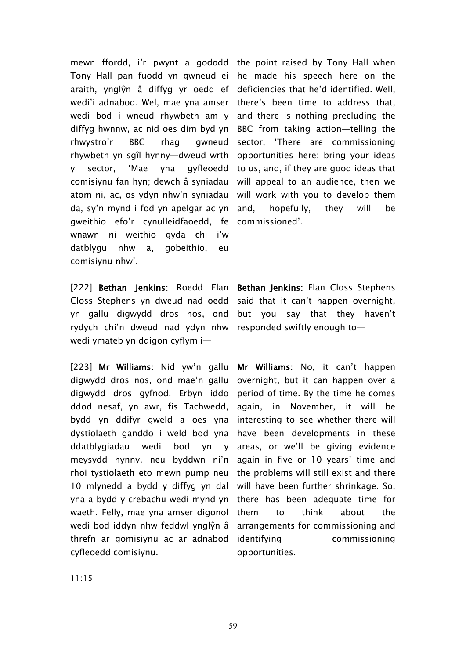mewn ffordd, i'r pwynt a gododd the point raised by Tony Hall when Tony Hall pan fuodd yn gwneud ei he made his speech here on the araith, ynglŷn â diffyg yr oedd ef deficiencies that he'd identified. Well, wedi'i adnabod. Wel, mae yna amser there's been time to address that, wedi bod i wneud rhywbeth am y and there is nothing precluding the diffyg hwnnw, ac nid oes dim byd yn BBC from taking action—telling the rhwystro'r BBC rhag rhywbeth yn sgîl hynny—dweud wrth y sector, 'Mae yna gyfleoedd comisiynu fan hyn; dewch â syniadau atom ni, ac, os ydyn nhw'n syniadau will work with you to develop them da, sy'n mynd i fod yn apelgar ac yn gweithio efo'r cynulleidfaoedd, fe wnawn ni weithio gyda chi i'w datblygu nhw a, gobeithio, eu comisiynu nhw'.

[222] **Bethan Jenkins**: Roedd Elan **Bethan Jenkins**: Elan Closs Stephens Closs Stephens yn dweud nad oedd said that it can't happen overnight, yn gallu digwydd dros nos, ond but you say that they haven't rydych chi'n dweud nad ydyn nhw responded swiftly enough to wedi ymateb yn ddigon cyflym i—

[223] **Mr Williams:** Nid yw'n gallu **Mr Williams:** No, it can't happen digwydd dros nos, ond mae'n gallu overnight, but it can happen over a digwydd dros gyfnod. Erbyn iddo period of time. By the time he comes ddod nesaf, yn awr, fis Tachwedd, again, in November, it will be bydd yn ddifyr gweld a oes yna interesting to see whether there will dystiolaeth ganddo i weld bod yna have been developments in these ddatblygiadau wedi bod yn y meysydd hynny, neu byddwn ni'n again in five or 10 years' time and rhoi tystiolaeth eto mewn pump neu the problems will still exist and there 10 mlynedd a bydd y diffyg yn dal will have been further shrinkage. So, yna a bydd y crebachu wedi mynd yn there has been adequate time for waeth. Felly, mae yna amser digonol wedi bod iddyn nhw feddwl ynglŷn â arrangements for commissioning and threfn ar gomisiynu ac ar adnabod cyfleoedd comisiynu.

awneud sector, 'There are commissioning opportunities here; bring your ideas to us, and, if they are good ideas that will appeal to an audience, then we hopefully, they will be commissioned'.

y areas, or we'll be giving evidence to think about the commissioning opportunities.

11:15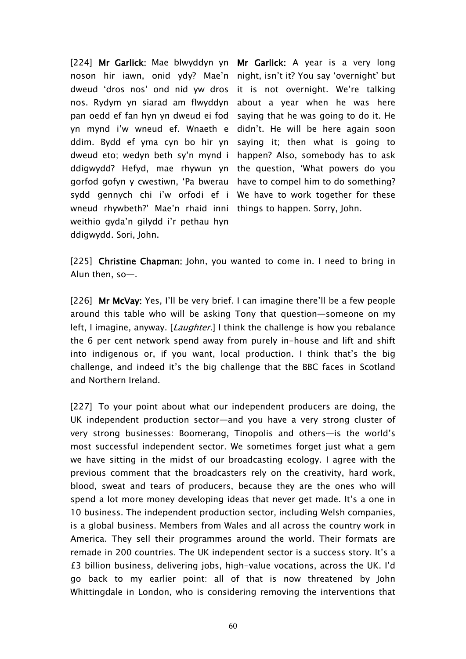[224] **Mr Garlick:** Mae blwyddyn yn **Mr Garlick:** A year is a very long noson hir iawn, onid ydy? Mae'n night, isn't it? You say 'overnight' but dweud 'dros nos' ond nid yw dros it is not overnight. We're talking nos. Rydym yn siarad am flwyddyn pan oedd ef fan hyn yn dweud ei fod saying that he was going to do it. He yn mynd i'w wneud ef. Wnaeth e ddim. Bydd ef yma cyn bo hir yn dweud eto; wedyn beth sy'n mynd i ddigwydd? Hefyd, mae rhywun yn the question, 'What powers do you gorfod gofyn y cwestiwn, 'Pa bwerau have to compel him to do something? sydd gennych chi i'w orfodi ef i We have to work together for these wneud rhywbeth?' Mae'n rhaid inni things to happen. Sorry, John. weithio gyda'n gilydd i'r pethau hyn ddigwydd. Sori, John.

about a year when he was here didn't. He will be here again soon saying it; then what is going to happen? Also, somebody has to ask

[225] **Christine Chapman:** John, you wanted to come in. I need to bring in Alun then, so—.

[226] **Mr McVay:** Yes, I'll be very brief. I can imagine there'll be a few people around this table who will be asking Tony that question—someone on my left, I imagine, anyway. [*Laughter.*] I think the challenge is how you rebalance the 6 per cent network spend away from purely in-house and lift and shift into indigenous or, if you want, local production. I think that's the big challenge, and indeed it's the big challenge that the BBC faces in Scotland and Northern Ireland.

[227] To your point about what our independent producers are doing, the UK independent production sector—and you have a very strong cluster of very strong businesses: Boomerang, Tinopolis and others—is the world's most successful independent sector. We sometimes forget just what a gem we have sitting in the midst of our broadcasting ecology. I agree with the previous comment that the broadcasters rely on the creativity, hard work, blood, sweat and tears of producers, because they are the ones who will spend a lot more money developing ideas that never get made. It's a one in 10 business. The independent production sector, including Welsh companies, is a global business. Members from Wales and all across the country work in America. They sell their programmes around the world. Their formats are remade in 200 countries. The UK independent sector is a success story. It's a £3 billion business, delivering jobs, high-value vocations, across the UK. I'd go back to my earlier point: all of that is now threatened by John Whittingdale in London, who is considering removing the interventions that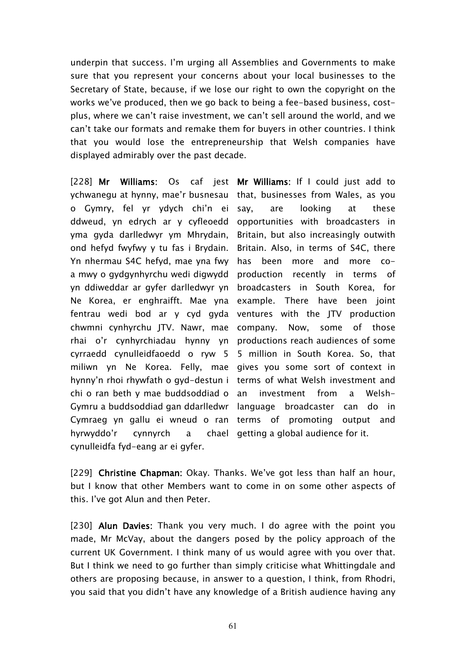underpin that success. I'm urging all Assemblies and Governments to make sure that you represent your concerns about your local businesses to the Secretary of State, because, if we lose our right to own the copyright on the works we've produced, then we go back to being a fee-based business, costplus, where we can't raise investment, we can't sell around the world, and we can't take our formats and remake them for buyers in other countries. I think that you would lose the entrepreneurship that Welsh companies have displayed admirably over the past decade.

[228] **Mr Williams:** Os caf jest **Mr Williams:** If I could just add to ychwanegu at hynny, mae'r busnesau o Gymry, fel yr ydych chi'n ei ddweud, yn edrych ar y cyfleoedd opportunities with broadcasters in yma gyda darlledwyr ym Mhrydain, Britain, but also increasingly outwith ond hefyd fwyfwy y tu fas i Brydain. Yn nhermau S4C hefyd, mae yna fwy has been more and more coa mwy o gydgynhyrchu wedi digwydd production recently in terms of yn ddiweddar ar gyfer darlledwyr yn broadcasters in South Korea, for Ne Korea, er enghraifft. Mae yna example. There have been joint fentrau wedi bod ar y cyd gyda ventures with the JTV production chwmni cynhyrchu JTV. Nawr, mae company. Now, some of those rhai o'r cynhyrchiadau hynny yn productions reach audiences of some cyrraedd cynulleidfaoedd o ryw 5 miliwn yn Ne Korea. Felly, mae gives you some sort of context in hynny'n rhoi rhywfath o gyd-destun i terms of what Welsh investment and chi o ran beth y mae buddsoddiad o Gymru a buddsoddiad gan ddarlledwr language broadcaster can do in Cymraeg yn gallu ei wneud o ran terms of promoting output and hyrwyddo'r cynnyrch cynulleidfa fyd-eang ar ei gyfer.

that, businesses from Wales, as you say, are looking at these Britain. Also, in terms of S4C, there 5 million in South Korea. So, that investment from a Welsha chael getting a global audience for it.

[229] **Christine Chapman:** Okay. Thanks. We've got less than half an hour, but I know that other Members want to come in on some other aspects of this. I've got Alun and then Peter.

[230] **Alun Davies:** Thank you very much. I do agree with the point you made, Mr McVay, about the dangers posed by the policy approach of the current UK Government. I think many of us would agree with you over that. But I think we need to go further than simply criticise what Whittingdale and others are proposing because, in answer to a question, I think, from Rhodri, you said that you didn't have any knowledge of a British audience having any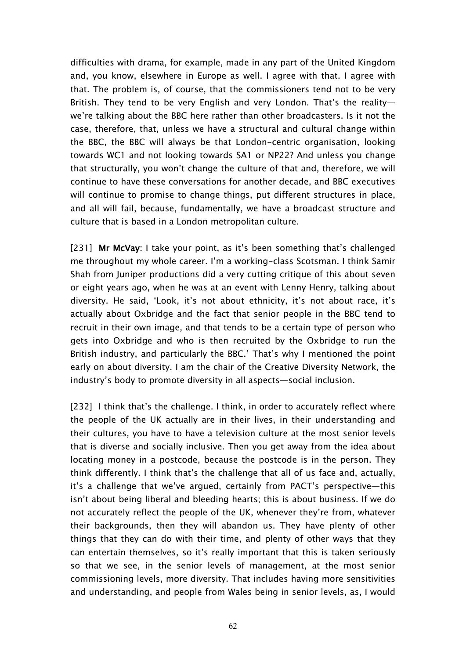difficulties with drama, for example, made in any part of the United Kingdom and, you know, elsewhere in Europe as well. I agree with that. I agree with that. The problem is, of course, that the commissioners tend not to be very British. They tend to be very English and very London. That's the reality we're talking about the BBC here rather than other broadcasters. Is it not the case, therefore, that, unless we have a structural and cultural change within the BBC, the BBC will always be that London-centric organisation, looking towards WC1 and not looking towards SA1 or NP22? And unless you change that structurally, you won't change the culture of that and, therefore, we will continue to have these conversations for another decade, and BBC executives will continue to promise to change things, put different structures in place, and all will fail, because, fundamentally, we have a broadcast structure and culture that is based in a London metropolitan culture.

[231] **Mr McVay:** I take your point, as it's been something that's challenged me throughout my whole career. I'm a working-class Scotsman. I think Samir Shah from Juniper productions did a very cutting critique of this about seven or eight years ago, when he was at an event with Lenny Henry, talking about diversity. He said, 'Look, it's not about ethnicity, it's not about race, it's actually about Oxbridge and the fact that senior people in the BBC tend to recruit in their own image, and that tends to be a certain type of person who gets into Oxbridge and who is then recruited by the Oxbridge to run the British industry, and particularly the BBC.' That's why I mentioned the point early on about diversity. I am the chair of the Creative Diversity Network, the industry's body to promote diversity in all aspects—social inclusion.

[232] I think that's the challenge. I think, in order to accurately reflect where the people of the UK actually are in their lives, in their understanding and their cultures, you have to have a television culture at the most senior levels that is diverse and socially inclusive. Then you get away from the idea about locating money in a postcode, because the postcode is in the person. They think differently. I think that's the challenge that all of us face and, actually, it's a challenge that we've argued, certainly from PACT's perspective—this isn't about being liberal and bleeding hearts; this is about business. If we do not accurately reflect the people of the UK, whenever they're from, whatever their backgrounds, then they will abandon us. They have plenty of other things that they can do with their time, and plenty of other ways that they can entertain themselves, so it's really important that this is taken seriously so that we see, in the senior levels of management, at the most senior commissioning levels, more diversity. That includes having more sensitivities and understanding, and people from Wales being in senior levels, as, I would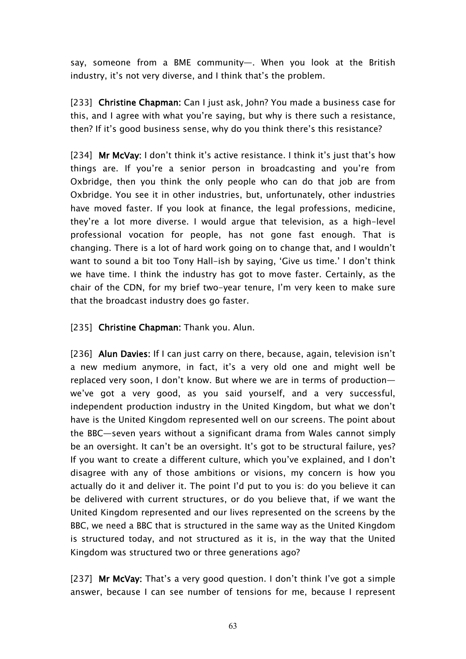say, someone from a BME community—. When you look at the British industry, it's not very diverse, and I think that's the problem.

[233] **Christine Chapman:** Can I just ask, John? You made a business case for this, and I agree with what you're saying, but why is there such a resistance, then? If it's good business sense, why do you think there's this resistance?

[234] **Mr McVay:** I don't think it's active resistance. I think it's just that's how things are. If you're a senior person in broadcasting and you're from Oxbridge, then you think the only people who can do that job are from Oxbridge. You see it in other industries, but, unfortunately, other industries have moved faster. If you look at finance, the legal professions, medicine, they're a lot more diverse. I would argue that television, as a high-level professional vocation for people, has not gone fast enough. That is changing. There is a lot of hard work going on to change that, and I wouldn't want to sound a bit too Tony Hall-ish by saying, 'Give us time.' I don't think we have time. I think the industry has got to move faster. Certainly, as the chair of the CDN, for my brief two-year tenure, I'm very keen to make sure that the broadcast industry does go faster.

[235] **Christine Chapman:** Thank you. Alun.

[236] **Alun Davies:** If I can just carry on there, because, again, television isn't a new medium anymore, in fact, it's a very old one and might well be replaced very soon, I don't know. But where we are in terms of production we've got a very good, as you said yourself, and a very successful, independent production industry in the United Kingdom, but what we don't have is the United Kingdom represented well on our screens. The point about the BBC—seven years without a significant drama from Wales cannot simply be an oversight. It can't be an oversight. It's got to be structural failure, yes? If you want to create a different culture, which you've explained, and I don't disagree with any of those ambitions or visions, my concern is how you actually do it and deliver it. The point I'd put to you is: do you believe it can be delivered with current structures, or do you believe that, if we want the United Kingdom represented and our lives represented on the screens by the BBC, we need a BBC that is structured in the same way as the United Kingdom is structured today, and not structured as it is, in the way that the United Kingdom was structured two or three generations ago?

[237] **Mr McVay:** That's a very good question. I don't think I've got a simple answer, because I can see number of tensions for me, because I represent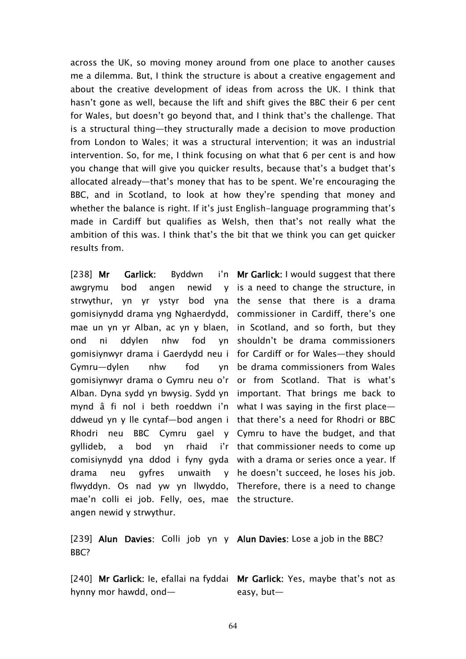across the UK, so moving money around from one place to another causes me a dilemma. But, I think the structure is about a creative engagement and about the creative development of ideas from across the UK. I think that hasn't gone as well, because the lift and shift gives the BBC their 6 per cent for Wales, but doesn't go beyond that, and I think that's the challenge. That is a structural thing—they structurally made a decision to move production from London to Wales; it was a structural intervention; it was an industrial intervention. So, for me, I think focusing on what that 6 per cent is and how you change that will give you quicker results, because that's a budget that's allocated already—that's money that has to be spent. We're encouraging the BBC, and in Scotland, to look at how they're spending that money and whether the balance is right. If it's just English-language programming that's made in Cardiff but qualifies as Welsh, then that's not really what the ambition of this was. I think that's the bit that we think you can get quicker results from.

[238] Mr Garlick: Byddwn awgrymu bod angen newid strwythur, yn yr ystyr bod yna the sense that there is a drama gomisiynydd drama yng Nghaerdydd, commissioner in Cardiff, there's one mae un yn yr Alban, ac yn y blaen, in Scotland, and so forth, but they ond ni ddylen nhw fod gomisiynwyr drama i Gaerdydd neu i for Cardiff or for Wales—they should Gymru—dylen nhw fod gomisiynwyr drama o Gymru neu o'r or from Scotland. That is what's Alban. Dyna sydd yn bwysig. Sydd yn important. That brings me back to mynd â fi nol i beth roeddwn i'n what I was saying in the first place ddweud yn y lle cyntaf—bod angen i that there's a need for Rhodri or BBC Rhodri neu BBC Cymru gael y Cymru to have the budget, and that gyllideb, a bod yn rhaid comisiynydd yna ddod i fyny gyda with a drama or series once a year. If drama neu gyfres unwaith flwyddyn. Os nad yw yn llwyddo, Therefore, there is a need to change mae'n colli ei job. Felly, oes, mae the structure. angen newid y strwythur.

**Mr Garlick:** I would suggest that there v is a need to change the structure, in yn shouldn't be drama commissioners be drama commissioners from Wales i'r that commissioner needs to come up y he doesn't succeed, he loses his job.

[239] **Alun Davies:** Colli job yn y **Alun Davies:** Lose a job in the BBC? BBC?

hynny mor hawdd, ond—

[240] **Mr Garlick:** Ie, efallai na fyddai **Mr Garlick:** Yes, maybe that's not as easy, but—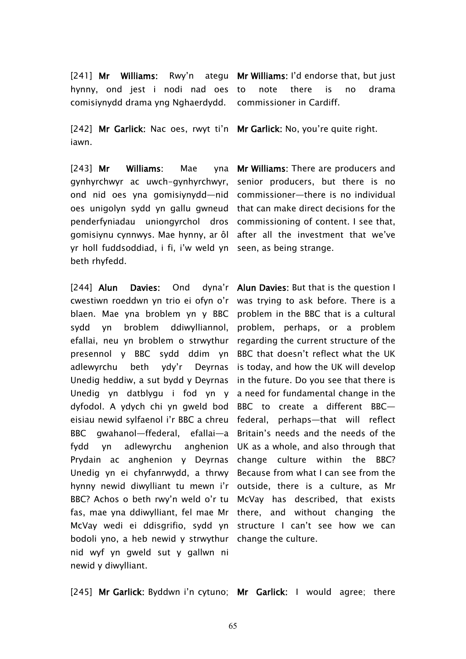[241] **Mr Williams:** Rwy'n ategu **Mr Williams:** I'd endorse that, but just hynny, ond jest i nodi nad oes comisiynydd drama yng Nghaerdydd.

[242] **Mr Garlick:** Nac oes, rwyt ti'n **Mr Garlick:** No, you're quite right. iawn.

[243] Mr Williams: Mae gynhyrchwyr ac uwch-gynhyrchwyr, senior producers, but there is no ond nid oes yna gomisiynydd—nid commissioner—there is no individual oes unigolyn sydd yn gallu gwneud that can make direct decisions for the penderfyniadau uniongyrchol dros commissioning of content. I see that, gomisiynu cynnwys. Mae hynny, ar ôl after all the investment that we've yr holl fuddsoddiad, i fi, i'w weld yn seen, as being strange. beth rhyfedd.

[244] **Alun Davies: Ond** cwestiwn roeddwn yn trio ei ofyn o'r was trying to ask before. There is a blaen. Mae yna broblem yn y BBC problem in the BBC that is a cultural sydd yn broblem ddiwylliannol, problem, perhaps, or a problem efallai, neu yn broblem o strwythur regarding the current structure of the presennol y BBC sydd ddim yn BBC that doesn't reflect what the UK adlewyrchu beth ydy'r Unedig heddiw, a sut bydd y Deyrnas in the future. Do you see that there is Unedig yn datblygu i fod yn y a need for fundamental change in the dyfodol. A ydych chi yn gweld bod BBC to create a different BBC eisiau newid sylfaenol i'r BBC a chreu federal, perhaps—that will reflect BBC gwahanol—ffederal, efallai—a Britain's needs and the needs of the fydd yn adlewyrchu Prydain ac anghenion y Deyrnas change culture within the BBC? Unedig yn ei chyfanrwydd, a thrwy Because from what I can see from the hynny newid diwylliant tu mewn i'r outside, there is a culture, as Mr BBC? Achos o beth rwy'n weld o'r tu McVay has described, that exists fas, mae yna ddiwylliant, fel mae Mr there, and without changing the McVay wedi ei ddisgrifio, sydd yn structure I can't see how we can bodoli yno, a heb newid y strwythur change the culture. nid wyf yn gweld sut y gallwn ni newid y diwylliant.

note there is no drama commissioner in Cardiff.

**Mr Williams:** There are producers and

**Alun Davies:** But that is the question I Deyrnas is today, and how the UK will develop anghenion UK as a whole, and also through that

[245] **Mr Garlick:** Byddwn i'n cytuno; **Mr Garlick:** I would agree; there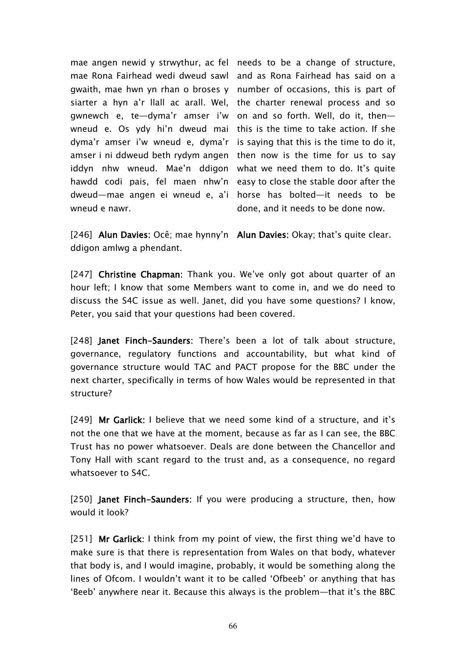mae angen newid y strwythur, ac fel needs to be a change of structure, mae Rona Fairhead wedi dweud sawl and as Rona Fairhead has said on a gwaith, mae hwn yn rhan o broses y number of occasions, this is part of siarter a hyn a'r llall ac arall. Wel, the charter renewal process and so gwnewch e, te—dyma'r amser i'w on and so forth. Well, do it, then wneud e. Os ydy hi'n dweud mai this is the time to take action. If she dyma'r amser i'w wneud e, dyma'r is saying that this is the time to do it, amser i ni ddweud beth rydym angen  $\,$  then now is the time for us to say iddyn nhw wneud. Mae'n ddigon what we need them to do. It's quite hawdd codi pais, fel maen nhw'n easy to close the stable door after the dweud—mae angen ei wneud e, a'i horse has bolted—it needs to be wneud e nawr.

done, and it needs to be done now.

[246] **Alun Davies:** Ocê; mae hynny'n **Alun Davies:** Okay; that's quite clear. ddigon amlwg a phendant.

[247] **Christine Chapman:** Thank you. We've only got about quarter of an hour left; I know that some Members want to come in, and we do need to discuss the S4C issue as well. Janet, did you have some questions? I know, Peter, you said that your questions had been covered.

[248] **Janet Finch-Saunders:** There's been a lot of talk about structure, governance, regulatory functions and accountability, but what kind of governance structure would TAC and PACT propose for the BBC under the next charter, specifically in terms of how Wales would be represented in that structure?

[249] **Mr Garlick:** I believe that we need some kind of a structure, and it's not the one that we have at the moment, because as far as I can see, the BBC Trust has no power whatsoever. Deals are done between the Chancellor and Tony Hall with scant regard to the trust and, as a consequence, no regard whatsoever to S4C.

[250] **Janet Finch-Saunders:** If you were producing a structure, then, how would it look?

[251] **Mr Garlick:** I think from my point of view, the first thing we'd have to make sure is that there is representation from Wales on that body, whatever that body is, and I would imagine, probably, it would be something along the lines of Ofcom. I wouldn't want it to be called 'Ofbeeb' or anything that has 'Beeb' anywhere near it. Because this always is the problem—that it's the BBC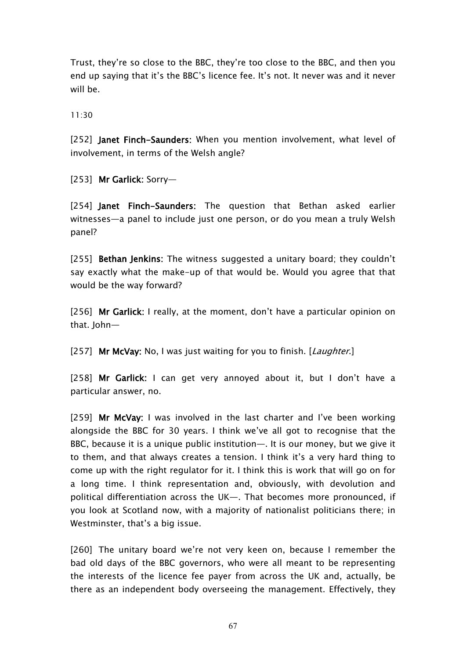Trust, they're so close to the BBC, they're too close to the BBC, and then you end up saying that it's the BBC's licence fee. It's not. It never was and it never will be.

11:30

[252] **Janet Finch-Saunders:** When you mention involvement, what level of involvement, in terms of the Welsh angle?

[253] **Mr Garlick:** Sorry—

[254] **Janet Finch-Saunders:** The question that Bethan asked earlier witnesses—a panel to include just one person, or do you mean a truly Welsh panel?

[255] **Bethan Jenkins:** The witness suggested a unitary board; they couldn't say exactly what the make-up of that would be. Would you agree that that would be the way forward?

[256] **Mr Garlick:** I really, at the moment, don't have a particular opinion on that. John-

[257] **Mr McVay:** No, I was just waiting for you to finish. [*Laughter*.]

[258] **Mr Garlick:** I can get very annoyed about it, but I don't have a particular answer, no.

[259] **Mr McVay:** I was involved in the last charter and I've been working alongside the BBC for 30 years. I think we've all got to recognise that the BBC, because it is a unique public institution—. It is our money, but we give it to them, and that always creates a tension. I think it's a very hard thing to come up with the right regulator for it. I think this is work that will go on for a long time. I think representation and, obviously, with devolution and political differentiation across the UK—. That becomes more pronounced, if you look at Scotland now, with a majority of nationalist politicians there; in Westminster, that's a big issue.

[260] The unitary board we're not very keen on, because I remember the bad old days of the BBC governors, who were all meant to be representing the interests of the licence fee payer from across the UK and, actually, be there as an independent body overseeing the management. Effectively, they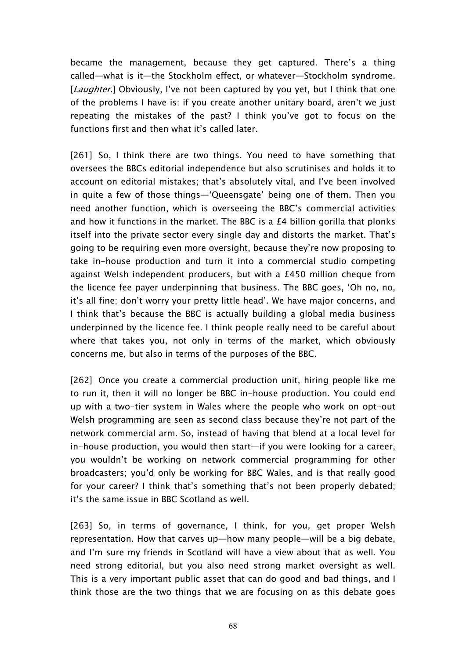became the management, because they get captured. There's a thing called—what is it—the Stockholm effect, or whatever—Stockholm syndrome. [*Laughter*.] Obviously, I've not been captured by you yet, but I think that one of the problems I have is: if you create another unitary board, aren't we just repeating the mistakes of the past? I think you've got to focus on the functions first and then what it's called later.

[261] So, I think there are two things. You need to have something that oversees the BBCs editorial independence but also scrutinises and holds it to account on editorial mistakes; that's absolutely vital, and I've been involved in quite a few of those things—'Queensgate' being one of them. Then you need another function, which is overseeing the BBC's commercial activities and how it functions in the market. The BBC is a  $E4$  billion gorilla that plonks itself into the private sector every single day and distorts the market. That's going to be requiring even more oversight, because they're now proposing to take in-house production and turn it into a commercial studio competing against Welsh independent producers, but with a £450 million cheque from the licence fee payer underpinning that business. The BBC goes, 'Oh no, no, it's all fine; don't worry your pretty little head'. We have major concerns, and I think that's because the BBC is actually building a global media business underpinned by the licence fee. I think people really need to be careful about where that takes you, not only in terms of the market, which obviously concerns me, but also in terms of the purposes of the BBC.

[262] Once you create a commercial production unit, hiring people like me to run it, then it will no longer be BBC in-house production. You could end up with a two-tier system in Wales where the people who work on opt-out Welsh programming are seen as second class because they're not part of the network commercial arm. So, instead of having that blend at a local level for in-house production, you would then start—if you were looking for a career, you wouldn't be working on network commercial programming for other broadcasters; you'd only be working for BBC Wales, and is that really good for your career? I think that's something that's not been properly debated; it's the same issue in BBC Scotland as well.

[263] So, in terms of governance, I think, for you, get proper Welsh representation. How that carves up—how many people—will be a big debate, and I'm sure my friends in Scotland will have a view about that as well. You need strong editorial, but you also need strong market oversight as well. This is a very important public asset that can do good and bad things, and I think those are the two things that we are focusing on as this debate goes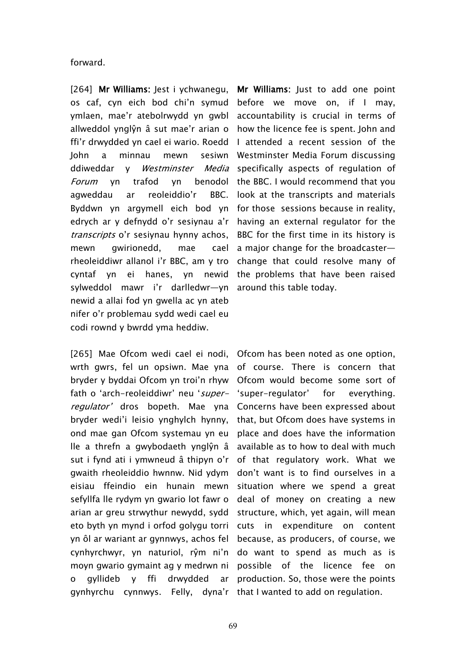forward.

[264] **Mr Williams:** Jest i ychwanegu, **Mr Williams:** Just to add one point os caf, cyn eich bod chi'n symud ymlaen, mae'r atebolrwydd yn gwbl accountability is crucial in terms of allweddol ynglŷn â sut mae'r arian o ffi'r drwydded yn cael ei wario. Roedd I attended a recent session of the John a minnau mewn sesiwn ddiweddar y *Westminster Media Forum* yn trafod yn benodol agweddau ar reoleiddio'r BBC. Byddwn yn argymell eich bod yn edrych ar y defnydd o'r sesiynau a'r *transcripts* o'r sesiynau hynny achos, mewn gwirionedd, mae cael rheoleiddiwr allanol i'r BBC, am y tro cyntaf yn ei hanes, yn newid sylweddol mawr i'r darlledwr—yn newid a allai fod yn gwella ac yn ateb nifer o'r problemau sydd wedi cael eu codi rownd y bwrdd yma heddiw.

[265] Mae Ofcom wedi cael ei nodi, Ofcom has been noted as one option, wrth gwrs, fel un opsiwn. Mae yna of course. There is concern that bryder y byddai Ofcom yn troi'n rhyw fath o 'arch-reoleiddiwr' neu '*superregulator'* dros bopeth. Mae yna Concerns have been expressed about bryder wedi'i leisio ynghylch hynny, ond mae gan Ofcom systemau yn eu lle a threfn a gwybodaeth ynglŷn â sut i fynd ati i ymwneud â thipyn o'r of that regulatory work. What we gwaith rheoleiddio hwnnw. Nid ydym eisiau ffeindio ein hunain mewn situation where we spend a great sefyllfa lle rydym yn gwario lot fawr o arian ar greu strwythur newydd, sydd structure, which, yet again, will mean eto byth yn mynd i orfod golygu torri cuts in expenditure on content yn ôl ar wariant ar gynnwys, achos fel cynhyrchwyr, yn naturiol, rŷm ni'n do want to spend as much as is moyn gwario gymaint ag y medrwn ni possible of the licence fee on o gyllideb y ffi drwydded

before we move on, if I may, how the licence fee is spent. John and Westminster Media Forum discussing specifically aspects of regulation of the BBC. I would recommend that you look at the transcripts and materials for those sessions because in reality, having an external regulator for the BBC for the first time in its history is a major change for the broadcaster change that could resolve many of the problems that have been raised around this table today.

gynhyrchu cynnwys. Felly, dyna'r that I wanted to add on regulation.Ofcom would become some sort of 'super-regulator' for everything. that, but Ofcom does have systems in place and does have the information available as to how to deal with much don't want is to find ourselves in a deal of money on creating a new because, as producers, of course, we ar production. So, those were the points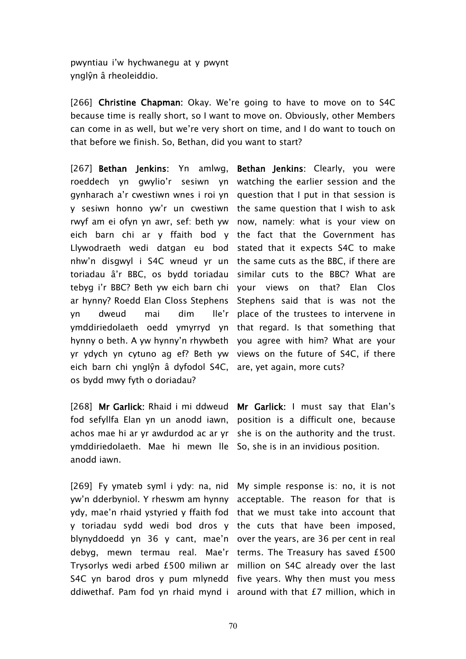pwyntiau i'w hychwanegu at y pwynt ynglŷn â rheoleiddio.

[266] **Christine Chapman:** Okay. We're going to have to move on to S4C because time is really short, so I want to move on. Obviously, other Members can come in as well, but we're very short on time, and I do want to touch on that before we finish. So, Bethan, did you want to start?

[267] **Bethan Jenkins:** Yn amlwg, **Bethan Jenkins:** Clearly, you were roeddech yn gwylio'r sesiwn yn watching the earlier session and the gynharach a'r cwestiwn wnes i roi yn question that I put in that session is y sesiwn honno yw'r un cwestiwn the same-question-that I wish-to-ask rwyf am ei ofyn yn awr, sef: beth yw now, namely: what is your view on eich barn chi ar y ffaith bod y the fact that the Government has Llywodraeth wedi datgan eu bod stated that it expects S4C to make nhw'n disgwyl i S4C wneud yr un the same cuts as the BBC, if there are toriadau â'r BBC, os bydd toriadau similar cuts to the BBC? What are tebyg i'r BBC? Beth yw eich barn chi your views on that? Elan Clos ar hynny? Roedd Elan Closs Stephens Stephens said that is was not the yn dweud mai dim ymddiriedolaeth oedd ymyrryd yn that regard. Is that something that hynny o beth. A yw hynny'n rhywbeth you agree with him? What are your yr ydych yn cytuno ag ef? Beth yw views on the future of S4C, if there eich barn chi ynglŷn â dyfodol S4C, are, yet again, more cuts? os bydd mwy fyth o doriadau?

[268] **Mr Garlick:** Rhaid i mi ddweud **Mr Garlick:** I must say that Elan's fod sefyllfa Elan yn un anodd iawn, position is a difficult one, because achos mae hi ar yr awdurdod ac ar yr she is on the authority and the trust. ymddiriedolaeth. Mae hi mewn lle So, she is in an invidious position. anodd iawn.

[269] Fy ymateb syml i ydy: na, nid My simple response is: no, it is not yw'n dderbyniol. Y rheswm am hynny acceptable. The reason for that is ydy, mae'n rhaid ystyried y ffaith fod that we must take into account that y toriadau sydd wedi bod dros y the cuts that have been imposed, blynyddoedd yn 36 y cant, mae'n over the years, are 36 per cent in real debyg, mewn termau real. Mae'r terms. The Treasury has saved £500 Trysorlys wedi arbed £500 miliwn ar million on S4C already over the last S4C yn barod dros y pum mlynedd five years. Why then must you mess ddiwethaf. Pam fod yn rhaid mynd i around with that £7 million, which in

Ile'r place of the trustees to intervene in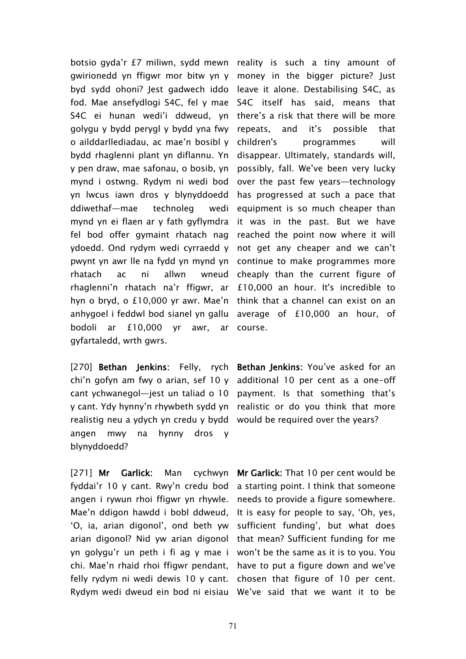botsio gyda'r £7 miliwn, sydd mewn reality is such a tiny amount of gwirionedd yn ffigwr mor bitw yn y money in the bigger picture? Just byd sydd ohoni? Jest gadwech iddo leave it alone. Destabilising S4C, as fod. Mae ansefydlogi S4C, fel y mae S4C itself has said, means that S4C ei hunan wedi'i ddweud, yn there's a risk that there will be more golygu y bydd perygl y bydd yna fwy o ailddarllediadau, ac mae'n bosibl y bydd rhaglenni plant yn diflannu. Yn y pen draw, mae safonau, o bosib, yn mynd i ostwng. Rydym ni wedi bod yn lwcus iawn dros y blynyddoedd ddiwethaf—mae technoleg wedi mynd yn ei flaen ar y fath gyflymdra fel bod offer gymaint rhatach nag ydoedd. Ond rydym wedi cyrraedd y not get any cheaper and we can't pwynt yn awr lle na fydd yn mynd yn rhatach ac ni allwn wneud rhaglenni'n rhatach na'r ffigwr, ar hyn o bryd, o £10,000 yr awr. Mae'n think that a channel can exist on an anhygoel i feddwl bod sianel yn gallu bodoli ar £10,000 yr awr, ar gyfartaledd, wrth gwrs.

[270] **Bethan Jenkins:** Felly, rych **Bethan Jenkins:** You've asked for an chi'n gofyn am fwy o arian, sef 10 y additional 10 per cent as a one-off cant ychwanegol—jest un taliad o 10 payment. Is that something that's y cant. Ydy hynny'n rhywbeth sydd yn realistic or do you think that more realistig neu a ydych yn credu y bydd would be required over the years? angen mwy na hynny dros y blynyddoedd?

[271] **Mr Garlick:** Man cychwyn fyddai'r 10 y cant. Rwy'n credu bod angen i rywun rhoi ffigwr yn rhywle. Mae'n ddigon hawdd i bobl ddweud, 'O, ia, arian digonol', ond beth yw sufficient funding', but what does arian digonol? Nid yw arian digonol that mean? Sufficient funding for me yn golygu'r un peth i fi ag y mae i won't be the same as it is to you. You chi. Mae'n rhaid rhoi ffigwr pendant, have to put a figure down and we've felly rydym ni wedi dewis 10 y cant. chosen that figure of 10 per cent.

repeats, and it's possible that children's programmes will disappear. Ultimately, standards will, possibly, fall. We've been very lucky over the past few years—technology has progressed at such a pace that equipment is so much cheaper than it was in the past. But we have reached the point now where it will continue to make programmes more cheaply than the current figure of £10,000 an hour. It's incredible to average of £10,000 an hour, of course.

Rydym wedi dweud ein bod ni eisiau We've said that we want it to be**Mr Garlick:** That 10 per cent would be a starting point. I think that someone needs to provide a figure somewhere. It is easy for people to say, 'Oh, yes,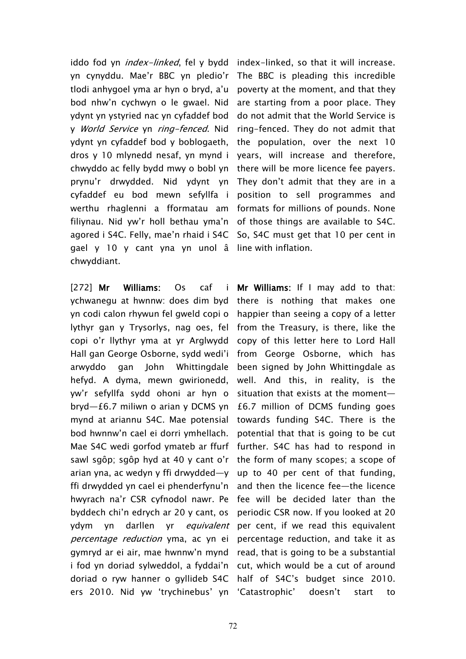iddo fod yn *index-linked*, fel y bydd index-linked, so that it will increase. yn cynyddu. Mae'r BBC yn pledio'r tlodi anhygoel yma ar hyn o bryd, a'u bod nhw'n cychwyn o le gwael. Nid ydynt yn ystyried nac yn cyfaddef bod y *World Service* yn *ring-fenced*. Nid ydynt yn cyfaddef bod y boblogaeth, dros y 10 mlynedd nesaf, yn mynd i chwyddo ac felly bydd mwy o bobl yn prynu'r drwydded. Nid ydynt yn cyfaddef eu bod mewn sefyllfa i werthu rhaglenni a fformatau am filiynau. Nid yw'r holl bethau yma'n of those things are available to S4C. agored i S4C. Felly, mae'n rhaid i S4C So, S4C must get that 10 per cent in gael y 10 y cant yna yn unol â line with inflation. chwyddiant.

[272] **Mr Williams:** Os caf i ychwanegu at hwnnw: does dim byd yn codi calon rhywun fel gweld copi o lythyr gan y Trysorlys, nag oes, fel copi o'r llythyr yma at yr Arglwydd Hall gan George Osborne, sydd wedi'i arwyddo gan John Whittingdale hefyd. A dyma, mewn gwirionedd, yw'r sefyllfa sydd ohoni ar hyn o bryd—£6.7 miliwn o arian y DCMS yn mynd at ariannu S4C. Mae potensial bod hwnnw'n cael ei dorri ymhellach. Mae S4C wedi gorfod ymateb ar ffurf sawl sgôp; sgôp hyd at 40 y cant o'r arian yna, ac wedyn y ffi drwydded—y ffi drwydded yn cael ei phenderfynu'n hwyrach na'r CSR cyfnodol nawr. Pe byddech chi'n edrych ar 20 y cant, os ydym yn darllen yr *equivalent percentage reduction* yma, ac yn ei gymryd ar ei air, mae hwnnw'n mynd i fod yn doriad sylweddol, a fyddai'n doriad o ryw hanner o gyllideb S4C ers 2010. Nid yw 'trychinebus' yn 'Catastrophic' doesn't start to

The BBC is pleading this incredible poverty at the moment, and that they are starting from a poor place. They do not admit that the World Service is ring-fenced. They do not admit that the population, over the next 10 years, will increase and therefore, there will be more licence fee payers. They don't admit that they are in a position to sell programmes and formats for millions of pounds. None

**Mr Williams:** If I may add to that: there is nothing that makes one happier than seeing a copy of a letter from the Treasury, is there, like the copy of this letter here to Lord Hall from George Osborne, which has been signed by John Whittingdale as well. And this, in reality, is the situation that exists at the moment— £6.7 million of DCMS funding goes towards funding S4C. There is the potential that that is going to be cut further. S4C has had to respond in the form of many scopes; a scope of up to 40 per cent of that funding, and then the licence fee—the licence fee will be decided later than the periodic CSR now. If you looked at 20 per cent, if we read this equivalent percentage reduction, and take it as read, that is going to be a substantial cut, which would be a cut of around half of S4C's budget since 2010.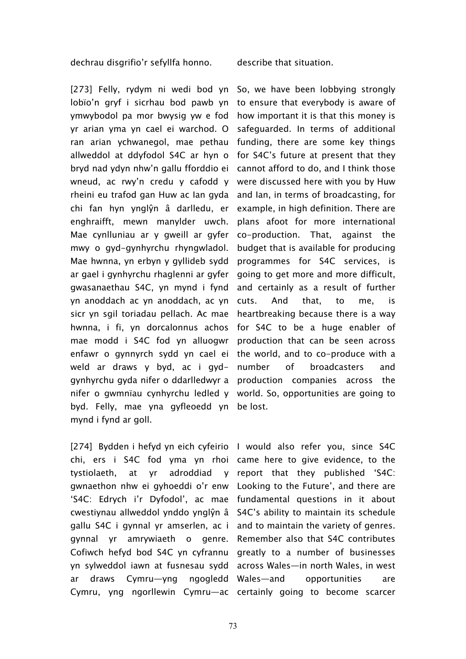dechrau disgrifio'r sefyllfa honno. describe that situation.

[273] Felly, rydym ni wedi bod yn So, we have been lobbying strongly lobїo'n gryf i sicrhau bod pawb yn to ensure that everybody is aware of ymwybodol pa mor bwysig yw e fod yr arian yma yn cael ei warchod. O ran arian ychwanegol, mae pethau funding, there are some key things allweddol at ddyfodol S4C ar hyn o bryd nad ydyn nhw'n gallu fforddio ei wneud, ac rwy'n credu y cafodd y rheini eu trafod gan Huw ac Ian gyda and Ian, in terms of broadcasting, for chi fan hyn ynglŷn â darlledu, er enghraifft, mewn manylder uwch. Mae cynlluniau ar y gweill ar gyfer mwy o gyd-gynhyrchu rhyngwladol. Mae hwnna, yn erbyn y gyllideb sydd ar gael i gynhyrchu rhaglenni ar gyfer gwasanaethau S4C, yn mynd i fynd yn anoddach ac yn anoddach, ac yn cuts. And that, to me, is sicr yn sgil toriadau pellach. Ac mae heartbreaking because there is a way hwnna, i fi, yn dorcalonnus achos for S4C to be a huge enabler of mae modd i S4C fod yn alluogwr production that can be seen across enfawr o gynnyrch sydd yn cael ei the world, and to co-produce with a weld ar draws y byd, ac i gydgynhyrchu gyda nifer o ddarlledwyr a production companies across the nifer o gwmnïau cynhyrchu ledled y world. So, opportunities are going to byd. Felly, mae yna gyfleoedd yn be lost. mynd i fynd ar goll.

[274] Bydden i hefyd yn eich cyfeirio I would also refer you, since S4C chi, ers i S4C fod yma yn rhoi came here to give evidence, to the tystiolaeth, at yr adroddiad y report that they published 'S4C: gwnaethon nhw ei gyhoeddi o'r enw Looking to the Future', and there are 'S4C: Edrych i'r Dyfodol', ac mae fundamental questions in it about cwestiynau allweddol ynddo ynglŷn â S4C's ability to maintain its schedule gallu S4C i gynnal yr amserlen, ac i and to maintain the variety of genres. gynnal yr amrywiaeth o genre. Remember also that S4C contributes Cofiwch hefyd bod S4C yn cyfrannu greatly to a number of businesses yn sylweddol iawn at fusnesau sydd across Wales—in north Wales, in west ar draws Cymru—yng ngogledd Cymru, yng ngorllewin Cymru—ac certainly going to become scarcer

how important it is that this money is safeguarded. In terms of additional for S4C's future at present that they cannot afford to do, and I think those were discussed here with you by Huw example, in high definition. There are plans afoot for more international co-production. That, against the budget that is available for producing programmes for S4C services, is going to get more and more difficult, and certainly as a result of further number of broadcasters and

opportunities are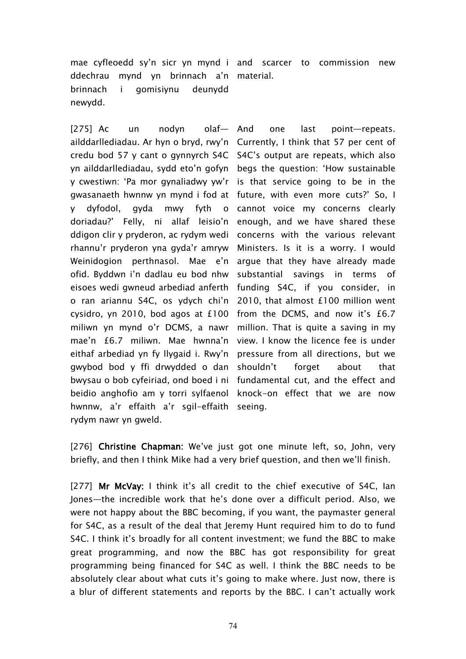mae cyfleoedd sy'n sicr yn mynd i and scarcer to commission new ddechrau mynd yn brinnach a'n material. brinnach i gomisiynu deunydd newydd.

[275] Ac un nodyn olaf- And ailddarllediadau. Ar hyn o bryd, rwy'n Currently, I think that 57 per cent of credu bod 57 y cant o gynnyrch S4C S4C's output are repeats, which also yn ailddarllediadau, sydd eto'n gofyn begs the question: 'How sustainable y cwestiwn: 'Pa mor gynaliadwy yw'r is that service going to be in the gwasanaeth hwnnw yn mynd i fod at future, with even more cuts?' So, I y dyfodol, gyda mwy fyth o doriadau?' Felly, ni allaf leisio'n ddigon clir y pryderon, ac rydym wedi rhannu'r pryderon yna gyda'r amryw Weinidogion perthnasol. Mae e'n argue-that-they-have-already-made ofid. Byddwn i'n dadlau eu bod nhw eisoes wedi gwneud arbediad anferth o ran ariannu S4C, os ydych chi'n 2010, that almost £100 million went cysidro, yn 2010, bod agos at £100 from the DCMS, and now it's £6.7 miliwn yn mynd o'r DCMS, a nawr million. That is quite a saving in my mae'n £6.7 miliwn. Mae hwnna'n view. I know the licence fee is under eithaf arbediad yn fy llygaid i. Rwy'n pressure from all directions, but we gwybod bod y ffi drwydded o dan shouldn't forget about that bwysau o bob cyfeiriad, ond boed i ni fundamental cut, and the effect and beidio anghofio am y torri sylfaenol knock-on effect that we are now hwnnw, a'r effaith a'r sgil-effaith seeing. rydym nawr yn gweld.

one last point—repeats. cannot voice my concerns clearly enough, and we have shared these concerns with the various relevant Ministers. Is it is a worry. I would substantial savings in terms of funding S4C, if you consider, in

[276] **Christine Chapman:** We've just got one minute left, so, John, very briefly, and then I think Mike had a very brief question, and then we'll finish.

[277] Mr McVay: I think it's all credit to the chief executive of S4C, Ian Jones—the incredible work that he's done over a difficult period. Also, we were not happy about the BBC becoming, if you want, the paymaster general for S4C, as a result of the deal that Jeremy Hunt required him to do to fund S4C. I think it's broadly for all content investment; we fund the BBC to make great programming, and now the BBC has got responsibility for great programming being financed for S4C as well. I think the BBC needs to be absolutely clear about what cuts it's going to make where. Just now, there is a blur of different statements and reports by the BBC. I can't actually work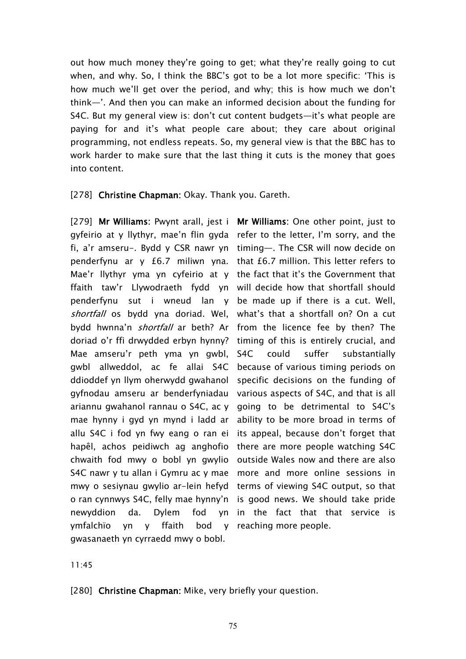out how much money they're going to get; what they're really going to cut when, and why. So, I think the BBC's got to be a lot more specific: 'This is how much we'll get over the period, and why; this is how much we don't think—'. And then you can make an informed decision about the funding for S4C. But my general view is: don't cut content budgets—it's what people are paying for and it's what people care about; they care about original programming, not endless repeats. So, my general view is that the BBC has to work harder to make sure that the last thing it cuts is the money that goes into content.

[278] **Christine Chapman:** Okay. Thank you. Gareth.

[279] **Mr Williams:** Pwynt arall, jest i **Mr Williams:** One other point, just to gyfeirio at y llythyr, mae'n flin gyda refer to the letter, I'm sorry, and the fi, a'r amseru-. Bydd y CSR nawr yn timing—. The CSR will now decide on penderfynu ar y £6.7 miliwn yna. that £6.7 million. This letter refers to Mae'r llythyr yma yn cyfeirio at y the fact that it's the Government that ffaith taw'r Llywodraeth fydd yn will decide how that shortfall should penderfynu sut i wneud lan y be made up if there is a cut. Well, *shortfall* os bydd yna doriad. Wel, what's that a shortfall on? On a cut bydd hwnna'n *shortfall* ar beth? Ar from the licence fee by then? The doriad o'r ffi drwydded erbyn hynny? timing of this is entirely crucial, and Mae amseru'r peth yma yn gwbl, gwbl allweddol, ac fe allai S4C ddioddef yn llym oherwydd gwahanol specific decisions on the funding of gyfnodau amseru ar benderfyniadau various aspects of S4C, and that is all ariannu gwahanol rannau o S4C, ac y going to be detrimental to S4C's mae hynny i gyd yn mynd i ladd ar allu S4C i fod yn fwy eang o ran ei hapêl, achos peidiwch ag anghofio there are more people watching S4C chwaith fod mwy o bobl yn gwylio outside Wales now and there are also S4C nawr y tu allan i Gymru ac y mae more and more online sessions in mwy o sesiynau gwylio ar-lein hefyd terms of viewing S4C output, so that o ran cynnwys S4C, felly mae hynny'n is good news. We should take pride newyddion da. Dylem fod ymfalchïo yn y ffaith bod gwasanaeth yn cyrraedd mwy o bobl.

S4C could suffer substantially because of various timing periods on ability to be more broad in terms of its appeal, because don't forget that yn in the fact that that service is y reaching more people.

11:45

[280] **Christine Chapman:** Mike, very briefly your question.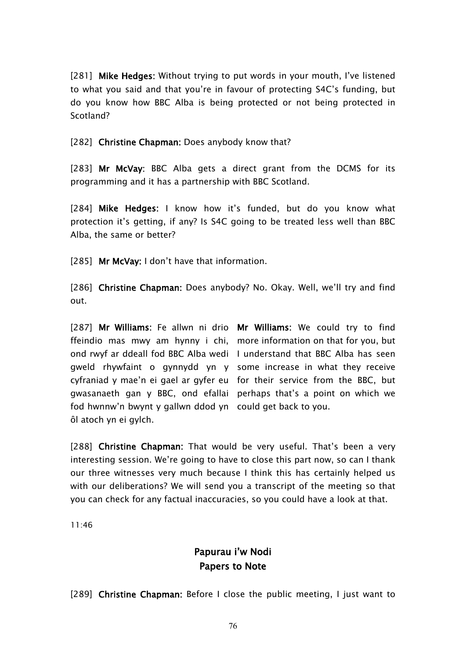[281] **Mike Hedges:** Without trying to put words in your mouth, I've listened to what you said and that you're in favour of protecting S4C's funding, but do you know how BBC Alba is being protected or not being protected in Scotland?

[282] **Christine Chapman:** Does anybody know that?

[283] **Mr McVay:** BBC Alba gets a direct grant from the DCMS for its programming and it has a partnership with BBC Scotland.

[284] **Mike Hedges:** I know how it's funded, but do you know what protection it's getting, if any? Is S4C going to be treated less well than BBC Alba, the same or better?

[285] **Mr McVay:** I don't have that information.

[286] **Christine Chapman:** Does anybody? No. Okay. Well, we'll try and find out.

[287] **Mr Williams:** Fe allwn ni drio **Mr Williams:** We could try to find ffeindio mas mwy am hynny i chi, more information on that for you, but ond rwyf ar ddeall fod BBC Alba wedi I understand that BBC Alba has seen gweld rhywfaint o gynnydd yn y some increase in what they receive cyfraniad y mae'n ei gael ar gyfer eu for their service from the BBC, but gwasanaeth gan y BBC, ond efallai perhaps that's a point on which we fod hwnnw'n bwynt y gallwn ddod yn could get back to you. ôl atoch yn ei gylch.

[288] **Christine Chapman:** That would be very useful. That's been a very interesting session. We're going to have to close this part now, so can I thank our three witnesses very much because I think this has certainly helped us with our deliberations? We will send you a transcript of the meeting so that you can check for any factual inaccuracies, so you could have a look at that.

11:46

## **Papurau i'w Nodi Papers to Note**

[289] **Christine Chapman:** Before I close the public meeting, I just want to